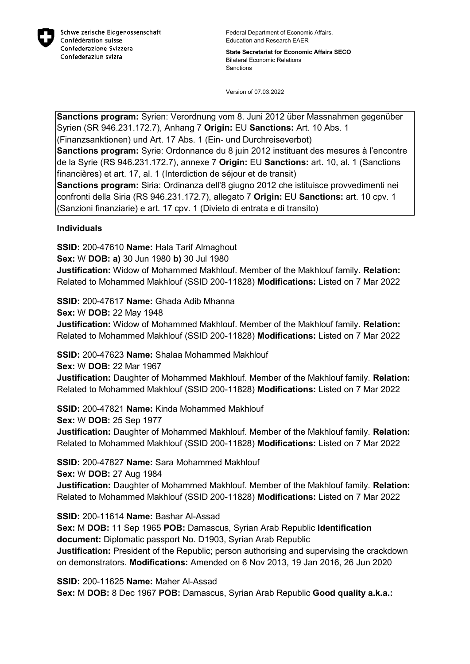

Federal Department of Economic Affairs, Education and Research EAER

**State Secretariat for Economic Affairs SECO** Bilateral Economic Relations **Sanctions** 

Version of 07.03.2022

**Sanctions program:** Syrien: Verordnung vom 8. Juni 2012 über Massnahmen gegenüber Syrien (SR 946.231.172.7), Anhang 7 **Origin:** EU **Sanctions:** Art. 10 Abs. 1 (Finanzsanktionen) und Art. 17 Abs. 1 (Ein- und Durchreiseverbot)

**Sanctions program:** Syrie: Ordonnance du 8 juin 2012 instituant des mesures à l'encontre de la Syrie (RS 946.231.172.7), annexe 7 **Origin:** EU **Sanctions:** art. 10, al. 1 (Sanctions financières) et art. 17, al. 1 (Interdiction de séjour et de transit)

**Sanctions program:** Siria: Ordinanza dell'8 giugno 2012 che istituisce provvedimenti nei confronti della Siria (RS 946.231.172.7), allegato 7 **Origin:** EU **Sanctions:** art. 10 cpv. 1 (Sanzioni finanziarie) e art. 17 cpv. 1 (Divieto di entrata e di transito)

**Individuals**

**SSID:** 200-47610 **Name:** Hala Tarif Almaghout **Sex:** W **DOB: a)** 30 Jun 1980 **b)** 30 Jul 1980 **Justification:** Widow of Mohammed Makhlouf. Member of the Makhlouf family. **Relation:** Related to Mohammed Makhlouf (SSID 200-11828) **Modifications:** Listed on 7 Mar 2022

**SSID:** 200-47617 **Name:** Ghada Adib Mhanna

**Sex:** W **DOB:** 22 May 1948 **Justification:** Widow of Mohammed Makhlouf. Member of the Makhlouf family. **Relation:** Related to Mohammed Makhlouf (SSID 200-11828) **Modifications:** Listed on 7 Mar 2022

**SSID:** 200-47623 **Name:** Shalaa Mohammed Makhlouf **Sex:** W **DOB:** 22 Mar 1967 **Justification:** Daughter of Mohammed Makhlouf. Member of the Makhlouf family. **Relation:** Related to Mohammed Makhlouf (SSID 200-11828) **Modifications:** Listed on 7 Mar 2022

**SSID:** 200-47821 **Name:** Kinda Mohammed Makhlouf **Sex:** W **DOB:** 25 Sep 1977 **Justification:** Daughter of Mohammed Makhlouf. Member of the Makhlouf family. **Relation:** Related to Mohammed Makhlouf (SSID 200-11828) **Modifications:** Listed on 7 Mar 2022

**SSID:** 200-47827 **Name:** Sara Mohammed Makhlouf **Sex:** W **DOB:** 27 Aug 1984 **Justification:** Daughter of Mohammed Makhlouf. Member of the Makhlouf family. **Relation:** Related to Mohammed Makhlouf (SSID 200-11828) **Modifications:** Listed on 7 Mar 2022

**SSID:** 200-11614 **Name:** Bashar Al-Assad **Sex:** M **DOB:** 11 Sep 1965 **POB:** Damascus, Syrian Arab Republic **Identification document:** Diplomatic passport No. D1903, Syrian Arab Republic **Justification:** President of the Republic; person authorising and supervising the crackdown on demonstrators. **Modifications:** Amended on 6 Nov 2013, 19 Jan 2016, 26 Jun 2020

**SSID:** 200-11625 **Name:** Maher Al-Assad **Sex:** M **DOB:** 8 Dec 1967 **POB:** Damascus, Syrian Arab Republic **Good quality a.k.a.:**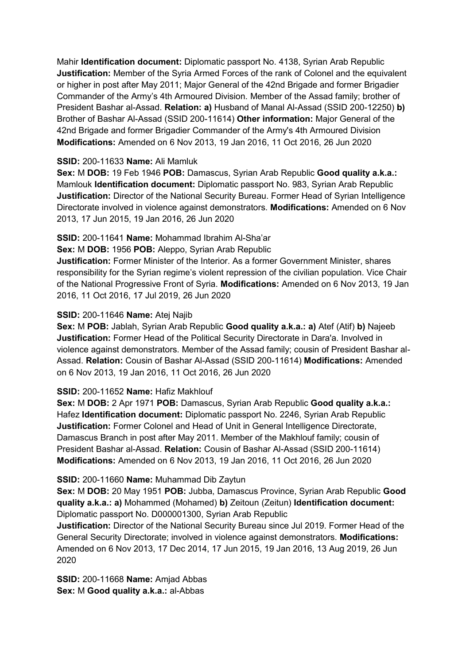Mahir **Identification document:** Diplomatic passport No. 4138, Syrian Arab Republic **Justification:** Member of the Syria Armed Forces of the rank of Colonel and the equivalent or higher in post after May 2011; Major General of the 42nd Brigade and former Brigadier Commander of the Army's 4th Armoured Division. Member of the Assad family; brother of President Bashar al-Assad. **Relation: a)** Husband of Manal Al-Assad (SSID 200-12250) **b)**  Brother of Bashar Al-Assad (SSID 200-11614) **Other information:** Major General of the 42nd Brigade and former Brigadier Commander of the Army's 4th Armoured Division **Modifications:** Amended on 6 Nov 2013, 19 Jan 2016, 11 Oct 2016, 26 Jun 2020

## **SSID:** 200-11633 **Name:** Ali Mamluk

**Sex:** M **DOB:** 19 Feb 1946 **POB:** Damascus, Syrian Arab Republic **Good quality a.k.a.:**  Mamlouk **Identification document:** Diplomatic passport No. 983, Syrian Arab Republic **Justification:** Director of the National Security Bureau. Former Head of Syrian Intelligence Directorate involved in violence against demonstrators. **Modifications:** Amended on 6 Nov 2013, 17 Jun 2015, 19 Jan 2016, 26 Jun 2020

### **SSID:** 200-11641 **Name:** Mohammad Ibrahim Al-Sha'ar

**Sex:** M **DOB:** 1956 **POB:** Aleppo, Syrian Arab Republic

**Justification:** Former Minister of the Interior. As a former Government Minister, shares responsibility for the Syrian regime's violent repression of the civilian population. Vice Chair of the National Progressive Front of Syria. **Modifications:** Amended on 6 Nov 2013, 19 Jan 2016, 11 Oct 2016, 17 Jul 2019, 26 Jun 2020

## **SSID:** 200-11646 **Name:** Atej Najib

**Sex:** M **POB:** Jablah, Syrian Arab Republic **Good quality a.k.a.: a)** Atef (Atif) **b)** Najeeb **Justification:** Former Head of the Political Security Directorate in Dara'a. Involved in violence against demonstrators. Member of the Assad family; cousin of President Bashar al-Assad. **Relation:** Cousin of Bashar Al-Assad (SSID 200-11614) **Modifications:** Amended on 6 Nov 2013, 19 Jan 2016, 11 Oct 2016, 26 Jun 2020

## **SSID:** 200-11652 **Name:** Hafiz Makhlouf

**Sex:** M **DOB:** 2 Apr 1971 **POB:** Damascus, Syrian Arab Republic **Good quality a.k.a.:**  Hafez **Identification document:** Diplomatic passport No. 2246, Syrian Arab Republic **Justification:** Former Colonel and Head of Unit in General Intelligence Directorate, Damascus Branch in post after May 2011. Member of the Makhlouf family; cousin of President Bashar al-Assad. **Relation:** Cousin of Bashar Al-Assad (SSID 200-11614) **Modifications:** Amended on 6 Nov 2013, 19 Jan 2016, 11 Oct 2016, 26 Jun 2020

## **SSID:** 200-11660 **Name:** Muhammad Dib Zaytun

**Sex:** M **DOB:** 20 May 1951 **POB:** Jubba, Damascus Province, Syrian Arab Republic **Good quality a.k.a.: a)** Mohammed (Mohamed) **b)** Zeitoun (Zeitun) **Identification document:** Diplomatic passport No. D000001300, Syrian Arab Republic

**Justification:** Director of the National Security Bureau since Jul 2019. Former Head of the General Security Directorate; involved in violence against demonstrators. **Modifications:**  Amended on 6 Nov 2013, 17 Dec 2014, 17 Jun 2015, 19 Jan 2016, 13 Aug 2019, 26 Jun 2020

**SSID:** 200-11668 **Name:** Amjad Abbas **Sex:** M **Good quality a.k.a.:** al-Abbas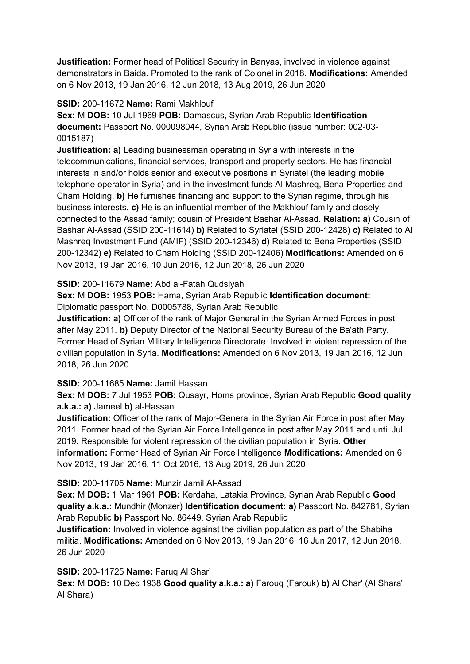**Justification:** Former head of Political Security in Banyas, involved in violence against demonstrators in Baida. Promoted to the rank of Colonel in 2018. **Modifications:** Amended on 6 Nov 2013, 19 Jan 2016, 12 Jun 2018, 13 Aug 2019, 26 Jun 2020

### **SSID:** 200-11672 **Name:** Rami Makhlouf

**Sex:** M **DOB:** 10 Jul 1969 **POB:** Damascus, Syrian Arab Republic **Identification document:** Passport No. 000098044, Syrian Arab Republic (issue number: 002-03- 0015187)

**Justification: a)** Leading businessman operating in Syria with interests in the telecommunications, financial services, transport and property sectors. He has financial interests in and/or holds senior and executive positions in Syriatel (the leading mobile telephone operator in Syria) and in the investment funds Al Mashreq, Bena Properties and Cham Holding. **b)** He furnishes financing and support to the Syrian regime, through his business interests. **c)** He is an influential member of the Makhlouf family and closely connected to the Assad family; cousin of President Bashar Al-Assad. **Relation: a)** Cousin of Bashar Al-Assad (SSID 200-11614) **b)** Related to Syriatel (SSID 200-12428) **c)** Related to Al Mashreq Investment Fund (AMIF) (SSID 200-12346) **d)** Related to Bena Properties (SSID 200-12342) **e)** Related to Cham Holding (SSID 200-12406) **Modifications:** Amended on 6 Nov 2013, 19 Jan 2016, 10 Jun 2016, 12 Jun 2018, 26 Jun 2020

### **SSID:** 200-11679 **Name:** Abd al-Fatah Qudsiyah

**Sex:** M **DOB:** 1953 **POB:** Hama, Syrian Arab Republic **Identification document:** Diplomatic passport No. D0005788, Syrian Arab Republic

**Justification: a)** Officer of the rank of Major General in the Syrian Armed Forces in post after May 2011. **b)** Deputy Director of the National Security Bureau of the Ba'ath Party. Former Head of Syrian Military Intelligence Directorate. Involved in violent repression of the civilian population in Syria. **Modifications:** Amended on 6 Nov 2013, 19 Jan 2016, 12 Jun 2018, 26 Jun 2020

## **SSID:** 200-11685 **Name:** Jamil Hassan

**Sex:** M **DOB:** 7 Jul 1953 **POB:** Qusayr, Homs province, Syrian Arab Republic **Good quality a.k.a.: a)** Jameel **b)** al-Hassan

**Justification:** Officer of the rank of Major-General in the Syrian Air Force in post after May 2011. Former head of the Syrian Air Force Intelligence in post after May 2011 and until Jul 2019. Responsible for violent repression of the civilian population in Syria. **Other information:** Former Head of Syrian Air Force Intelligence **Modifications:** Amended on 6 Nov 2013, 19 Jan 2016, 11 Oct 2016, 13 Aug 2019, 26 Jun 2020

#### **SSID:** 200-11705 **Name:** Munzir Jamil Al-Assad

**Sex:** M **DOB:** 1 Mar 1961 **POB:** Kerdaha, Latakia Province, Syrian Arab Republic **Good quality a.k.a.:** Mundhir (Monzer) **Identification document: a)** Passport No. 842781, Syrian Arab Republic **b)** Passport No. 86449, Syrian Arab Republic

**Justification:** Involved in violence against the civilian population as part of the Shabiha militia. **Modifications:** Amended on 6 Nov 2013, 19 Jan 2016, 16 Jun 2017, 12 Jun 2018, 26 Jun 2020

## **SSID:** 200-11725 **Name:** Faruq Al Shar'

**Sex:** M **DOB:** 10 Dec 1938 **Good quality a.k.a.: a)** Farouq (Farouk) **b)** Al Char' (Al Shara', Al Shara)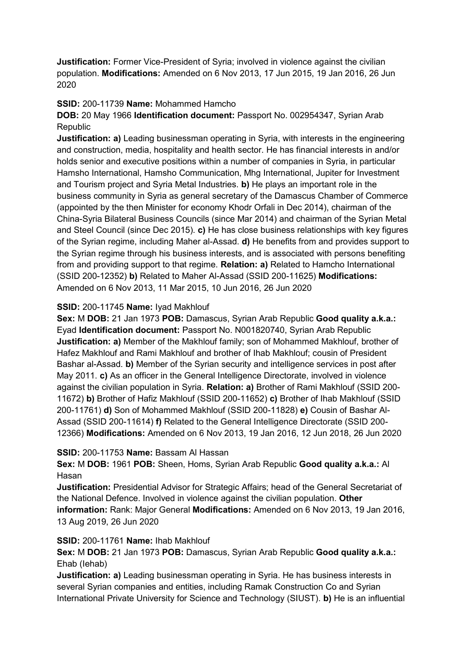**Justification:** Former Vice-President of Syria; involved in violence against the civilian population. **Modifications:** Amended on 6 Nov 2013, 17 Jun 2015, 19 Jan 2016, 26 Jun 2020

### **SSID:** 200-11739 **Name:** Mohammed Hamcho

## **DOB:** 20 May 1966 **Identification document:** Passport No. 002954347, Syrian Arab Republic

**Justification: a)** Leading businessman operating in Syria, with interests in the engineering and construction, media, hospitality and health sector. He has financial interests in and/or holds senior and executive positions within a number of companies in Syria, in particular Hamsho International, Hamsho Communication, Mhg International, Jupiter for Investment and Tourism project and Syria Metal Industries. **b)** He plays an important role in the business community in Syria as general secretary of the Damascus Chamber of Commerce (appointed by the then Minister for economy Khodr Orfali in Dec 2014), chairman of the China-Syria Bilateral Business Councils (since Mar 2014) and chairman of the Syrian Metal and Steel Council (since Dec 2015). **c)** He has close business relationships with key figures of the Syrian regime, including Maher al-Assad. **d)** He benefits from and provides support to the Syrian regime through his business interests, and is associated with persons benefiting from and providing support to that regime. **Relation: a)** Related to Hamcho International (SSID 200-12352) **b)** Related to Maher Al-Assad (SSID 200-11625) **Modifications:**  Amended on 6 Nov 2013, 11 Mar 2015, 10 Jun 2016, 26 Jun 2020

### **SSID:** 200-11745 **Name:** Iyad Makhlouf

**Sex:** M **DOB:** 21 Jan 1973 **POB:** Damascus, Syrian Arab Republic **Good quality a.k.a.:**  Eyad **Identification document:** Passport No. N001820740, Syrian Arab Republic **Justification: a)** Member of the Makhlouf family; son of Mohammed Makhlouf, brother of Hafez Makhlouf and Rami Makhlouf and brother of Ihab Makhlouf; cousin of President Bashar al-Assad. **b)** Member of the Syrian security and intelligence services in post after May 2011. **c)** As an officer in the General Intelligence Directorate, involved in violence against the civilian population in Syria. **Relation: a)** Brother of Rami Makhlouf (SSID 200- 11672) **b)** Brother of Hafiz Makhlouf (SSID 200-11652) **c)** Brother of Ihab Makhlouf (SSID 200-11761) **d)** Son of Mohammed Makhlouf (SSID 200-11828) **e)** Cousin of Bashar Al-Assad (SSID 200-11614) **f)** Related to the General Intelligence Directorate (SSID 200- 12366) **Modifications:** Amended on 6 Nov 2013, 19 Jan 2016, 12 Jun 2018, 26 Jun 2020

#### **SSID:** 200-11753 **Name:** Bassam Al Hassan

**Sex:** M **DOB:** 1961 **POB:** Sheen, Homs, Syrian Arab Republic **Good quality a.k.a.:** Al Hasan

**Justification:** Presidential Advisor for Strategic Affairs; head of the General Secretariat of the National Defence. Involved in violence against the civilian population. **Other information:** Rank: Major General **Modifications:** Amended on 6 Nov 2013, 19 Jan 2016, 13 Aug 2019, 26 Jun 2020

#### **SSID:** 200-11761 **Name:** Ihab Makhlouf

**Sex:** M **DOB:** 21 Jan 1973 **POB:** Damascus, Syrian Arab Republic **Good quality a.k.a.:**  Ehab (Iehab)

**Justification: a)** Leading businessman operating in Syria. He has business interests in several Syrian companies and entities, including Ramak Construction Co and Syrian International Private University for Science and Technology (SIUST). **b)** He is an influential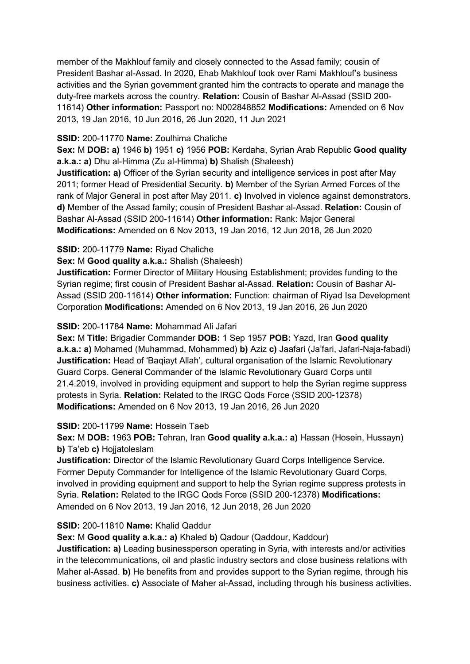member of the Makhlouf family and closely connected to the Assad family; cousin of President Bashar al-Assad. In 2020, Ehab Makhlouf took over Rami Makhlouf's business activities and the Syrian government granted him the contracts to operate and manage the duty-free markets across the country. **Relation:** Cousin of Bashar Al-Assad (SSID 200- 11614) **Other information:** Passport no: N002848852 **Modifications:** Amended on 6 Nov 2013, 19 Jan 2016, 10 Jun 2016, 26 Jun 2020, 11 Jun 2021

### **SSID:** 200-11770 **Name:** Zoulhima Chaliche

**Sex:** M **DOB: a)** 1946 **b)** 1951 **c)** 1956 **POB:** Kerdaha, Syrian Arab Republic **Good quality a.k.a.: a)** Dhu al-Himma (Zu al-Himma) **b)** Shalish (Shaleesh)

**Justification: a)** Officer of the Syrian security and intelligence services in post after May 2011; former Head of Presidential Security. **b)** Member of the Syrian Armed Forces of the rank of Major General in post after May 2011. **c)** Involved in violence against demonstrators. **d)** Member of the Assad family; cousin of President Bashar al-Assad. **Relation:** Cousin of Bashar Al-Assad (SSID 200-11614) **Other information:** Rank: Major General **Modifications:** Amended on 6 Nov 2013, 19 Jan 2016, 12 Jun 2018, 26 Jun 2020

## **SSID:** 200-11779 **Name:** Riyad Chaliche

**Sex:** M **Good quality a.k.a.:** Shalish (Shaleesh)

**Justification:** Former Director of Military Housing Establishment; provides funding to the Syrian regime; first cousin of President Bashar al-Assad. **Relation:** Cousin of Bashar Al-Assad (SSID 200-11614) **Other information:** Function: chairman of Riyad Isa Development Corporation **Modifications:** Amended on 6 Nov 2013, 19 Jan 2016, 26 Jun 2020

## **SSID:** 200-11784 **Name:** Mohammad Ali Jafari

**Sex:** M **Title:** Brigadier Commander **DOB:** 1 Sep 1957 **POB:** Yazd, Iran **Good quality a.k.a.: a)** Mohamed (Muhammad, Mohammed) **b)** Aziz **c)** Jaafari (Ja'fari, Jafari-Naja-fabadi) **Justification:** Head of 'Baqiayt Allah', cultural organisation of the Islamic Revolutionary Guard Corps. General Commander of the Islamic Revolutionary Guard Corps until 21.4.2019, involved in providing equipment and support to help the Syrian regime suppress protests in Syria. **Relation:** Related to the IRGC Qods Force (SSID 200-12378) **Modifications:** Amended on 6 Nov 2013, 19 Jan 2016, 26 Jun 2020

#### **SSID:** 200-11799 **Name:** Hossein Taeb

**Sex:** M **DOB:** 1963 **POB:** Tehran, Iran **Good quality a.k.a.: a)** Hassan (Hosein, Hussayn) **b)** Ta'eb **c)** Hojiatoleslam

**Justification:** Director of the Islamic Revolutionary Guard Corps Intelligence Service. Former Deputy Commander for Intelligence of the Islamic Revolutionary Guard Corps, involved in providing equipment and support to help the Syrian regime suppress protests in Syria. **Relation:** Related to the IRGC Qods Force (SSID 200-12378) **Modifications:**  Amended on 6 Nov 2013, 19 Jan 2016, 12 Jun 2018, 26 Jun 2020

## **SSID:** 200-11810 **Name:** Khalid Qaddur

**Sex:** M **Good quality a.k.a.: a)** Khaled **b)** Qadour (Qaddour, Kaddour)

**Justification: a)** Leading businessperson operating in Syria, with interests and/or activities in the telecommunications, oil and plastic industry sectors and close business relations with Maher al-Assad. **b)** He benefits from and provides support to the Syrian regime, through his business activities. **c)** Associate of Maher al-Assad, including through his business activities.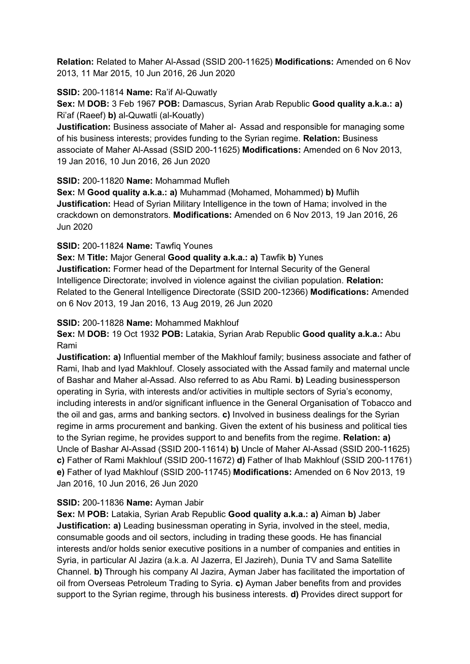**Relation:** Related to Maher Al-Assad (SSID 200-11625) **Modifications:** Amended on 6 Nov 2013, 11 Mar 2015, 10 Jun 2016, 26 Jun 2020

### **SSID:** 200-11814 **Name:** Ra'if Al-Quwatly

**Sex:** M **DOB:** 3 Feb 1967 **POB:** Damascus, Syrian Arab Republic **Good quality a.k.a.: a)**  Ri'af (Raeef) **b)** al-Quwatli (al-Kouatly)

**Justification:** Business associate of Maher al- Assad and responsible for managing some of his business interests; provides funding to the Syrian regime. **Relation:** Business associate of Maher Al-Assad (SSID 200-11625) **Modifications:** Amended on 6 Nov 2013, 19 Jan 2016, 10 Jun 2016, 26 Jun 2020

### **SSID:** 200-11820 **Name:** Mohammad Mufleh

**Sex:** M **Good quality a.k.a.: a)** Muhammad (Mohamed, Mohammed) **b)** Muflih **Justification:** Head of Syrian Military Intelligence in the town of Hama; involved in the crackdown on demonstrators. **Modifications:** Amended on 6 Nov 2013, 19 Jan 2016, 26 Jun 2020

### **SSID:** 200-11824 **Name:** Tawfiq Younes

**Sex:** M **Title:** Major General **Good quality a.k.a.: a)** Tawfik **b)** Yunes **Justification:** Former head of the Department for Internal Security of the General Intelligence Directorate; involved in violence against the civilian population. **Relation:** Related to the General Intelligence Directorate (SSID 200-12366) **Modifications:** Amended on 6 Nov 2013, 19 Jan 2016, 13 Aug 2019, 26 Jun 2020

### **SSID:** 200-11828 **Name:** Mohammed Makhlouf

**Sex:** M **DOB:** 19 Oct 1932 **POB:** Latakia, Syrian Arab Republic **Good quality a.k.a.:** Abu Rami

**Justification: a)** Influential member of the Makhlouf family; business associate and father of Rami, Ihab and Iyad Makhlouf. Closely associated with the Assad family and maternal uncle of Bashar and Maher al-Assad. Also referred to as Abu Rami. **b)** Leading businessperson operating in Syria, with interests and/or activities in multiple sectors of Syria's economy, including interests in and/or significant influence in the General Organisation of Tobacco and the oil and gas, arms and banking sectors. **c)** Involved in business dealings for the Syrian regime in arms procurement and banking. Given the extent of his business and political ties to the Syrian regime, he provides support to and benefits from the regime. **Relation: a)**  Uncle of Bashar Al-Assad (SSID 200-11614) **b)** Uncle of Maher Al-Assad (SSID 200-11625) **c)** Father of Rami Makhlouf (SSID 200-11672) **d)** Father of Ihab Makhlouf (SSID 200-11761) **e)** Father of Iyad Makhlouf (SSID 200-11745) **Modifications:** Amended on 6 Nov 2013, 19 Jan 2016, 10 Jun 2016, 26 Jun 2020

## **SSID:** 200-11836 **Name:** Ayman Jabir

**Sex:** M **POB:** Latakia, Syrian Arab Republic **Good quality a.k.a.: a)** Aiman **b)** Jaber **Justification: a)** Leading businessman operating in Syria, involved in the steel, media, consumable goods and oil sectors, including in trading these goods. He has financial interests and/or holds senior executive positions in a number of companies and entities in Syria, in particular Al Jazira (a.k.a. Al Jazerra, El Jazireh), Dunia TV and Sama Satellite Channel. **b)** Through his company Al Jazira, Ayman Jaber has facilitated the importation of oil from Overseas Petroleum Trading to Syria. **c)** Ayman Jaber benefits from and provides support to the Syrian regime, through his business interests. **d)** Provides direct support for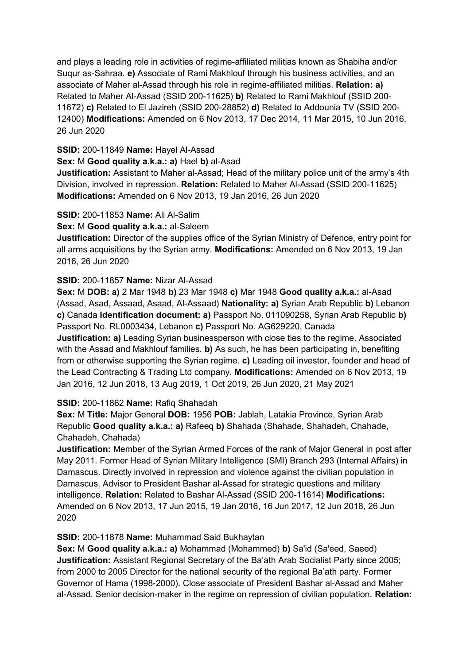and plays a leading role in activities of regime-affiliated militias known as Shabiha and/or Suqur as-Sahraa. **e)** Associate of Rami Makhlouf through his business activities, and an associate of Maher al-Assad through his role in regime-affiliated militias. **Relation: a)**  Related to Maher Al-Assad (SSID 200-11625) **b)** Related to Rami Makhlouf (SSID 200- 11672) **c)** Related to El Jazireh (SSID 200-28852) **d)** Related to Addounia TV (SSID 200- 12400) **Modifications:** Amended on 6 Nov 2013, 17 Dec 2014, 11 Mar 2015, 10 Jun 2016, 26 Jun 2020

#### **SSID:** 200-11849 **Name:** Hayel Al-Assad

**Sex:** M **Good quality a.k.a.: a)** Hael **b)** al-Asad

**Justification:** Assistant to Maher al-Assad; Head of the military police unit of the army's 4th Division, involved in repression. **Relation:** Related to Maher Al-Assad (SSID 200-11625) **Modifications:** Amended on 6 Nov 2013, 19 Jan 2016, 26 Jun 2020

#### **SSID:** 200-11853 **Name:** Ali Al-Salim

#### **Sex:** M **Good quality a.k.a.:** al-Saleem

**Justification:** Director of the supplies office of the Syrian Ministry of Defence, entry point for all arms acquisitions by the Syrian army. **Modifications:** Amended on 6 Nov 2013, 19 Jan 2016, 26 Jun 2020

## **SSID:** 200-11857 **Name:** Nizar Al-Assad

**Sex:** M **DOB: a)** 2 Mar 1948 **b)** 23 Mar 1948 **c)** Mar 1948 **Good quality a.k.a.:** al-Asad (Assad, Asad, Assaad, Asaad, Al-Assaad) **Nationality: a)** Syrian Arab Republic **b)** Lebanon **c)** Canada **Identification document: a)** Passport No. 011090258, Syrian Arab Republic **b)**  Passport No. RL0003434, Lebanon **c)** Passport No. AG629220, Canada **Justification: a)** Leading Syrian businessperson with close ties to the regime. Associated with the Assad and Makhlouf families. **b)** As such, he has been participating in, benefiting from or otherwise supporting the Syrian regime. **c)** Leading oil investor, founder and head of the Lead Contracting & Trading Ltd company. **Modifications:** Amended on 6 Nov 2013, 19 Jan 2016, 12 Jun 2018, 13 Aug 2019, 1 Oct 2019, 26 Jun 2020, 21 May 2021

## **SSID:** 200-11862 **Name:** Rafiq Shahadah

**Sex:** M **Title:** Major General **DOB:** 1956 **POB:** Jablah, Latakia Province, Syrian Arab Republic **Good quality a.k.a.: a)** Rafeeq **b)** Shahada (Shahade, Shahadeh, Chahade, Chahadeh, Chahada)

**Justification:** Member of the Syrian Armed Forces of the rank of Major General in post after May 2011. Former Head of Syrian Military Intelligence (SMI) Branch 293 (Internal Affairs) in Damascus. Directly involved in repression and violence against the civilian population in Damascus. Advisor to President Bashar al-Assad for strategic questions and military intelligence. **Relation:** Related to Bashar Al-Assad (SSID 200-11614) **Modifications:**  Amended on 6 Nov 2013, 17 Jun 2015, 19 Jan 2016, 16 Jun 2017, 12 Jun 2018, 26 Jun 2020

## **SSID:** 200-11878 **Name:** Muhammad Said Bukhaytan

**Sex:** M **Good quality a.k.a.: a)** Mohammad (Mohammed) **b)** Sa'id (Sa'eed, Saeed) **Justification:** Assistant Regional Secretary of the Ba'ath Arab Socialist Party since 2005; from 2000 to 2005 Director for the national security of the regional Ba'ath party. Former Governor of Hama (1998-2000). Close associate of President Bashar al-Assad and Maher al-Assad. Senior decision-maker in the regime on repression of civilian population. **Relation:**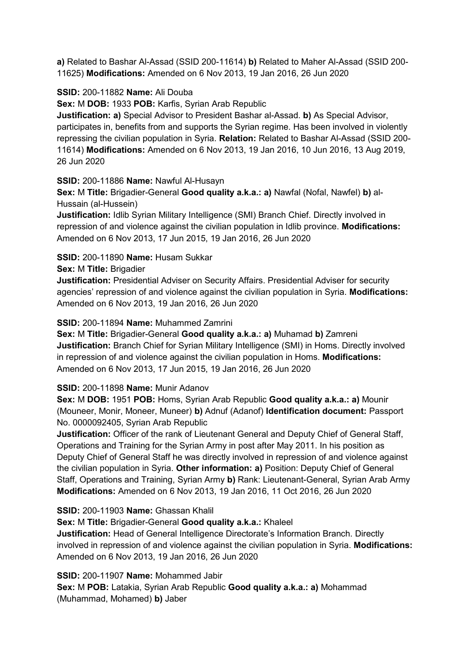**a)** Related to Bashar Al-Assad (SSID 200-11614) **b)** Related to Maher Al-Assad (SSID 200- 11625) **Modifications:** Amended on 6 Nov 2013, 19 Jan 2016, 26 Jun 2020

### **SSID:** 200-11882 **Name:** Ali Douba

**Sex:** M **DOB:** 1933 **POB:** Karfis, Syrian Arab Republic

**Justification: a)** Special Advisor to President Bashar al-Assad. **b)** As Special Advisor, participates in, benefits from and supports the Syrian regime. Has been involved in violently repressing the civilian population in Syria. **Relation:** Related to Bashar Al-Assad (SSID 200- 11614) **Modifications:** Amended on 6 Nov 2013, 19 Jan 2016, 10 Jun 2016, 13 Aug 2019, 26 Jun 2020

#### **SSID:** 200-11886 **Name:** Nawful Al-Husayn

**Sex:** M **Title:** Brigadier-General **Good quality a.k.a.: a)** Nawfal (Nofal, Nawfel) **b)** al-Hussain (al-Hussein)

**Justification:** Idlib Syrian Military Intelligence (SMI) Branch Chief. Directly involved in repression of and violence against the civilian population in Idlib province. **Modifications:**  Amended on 6 Nov 2013, 17 Jun 2015, 19 Jan 2016, 26 Jun 2020

### **SSID:** 200-11890 **Name:** Husam Sukkar

#### **Sex:** M **Title:** Brigadier

**Justification:** Presidential Adviser on Security Affairs. Presidential Adviser for security agencies' repression of and violence against the civilian population in Syria. **Modifications:**  Amended on 6 Nov 2013, 19 Jan 2016, 26 Jun 2020

#### **SSID:** 200-11894 **Name:** Muhammed Zamrini

**Sex:** M **Title:** Brigadier-General **Good quality a.k.a.: a)** Muhamad **b)** Zamreni **Justification:** Branch Chief for Syrian Military Intelligence (SMI) in Homs. Directly involved in repression of and violence against the civilian population in Homs. **Modifications:**  Amended on 6 Nov 2013, 17 Jun 2015, 19 Jan 2016, 26 Jun 2020

## **SSID:** 200-11898 **Name:** Munir Adanov

**Sex:** M **DOB:** 1951 **POB:** Homs, Syrian Arab Republic **Good quality a.k.a.: a)** Mounir (Mouneer, Monir, Moneer, Muneer) **b)** Adnuf (Adanof) **Identification document:** Passport No. 0000092405, Syrian Arab Republic

**Justification:** Officer of the rank of Lieutenant General and Deputy Chief of General Staff, Operations and Training for the Syrian Army in post after May 2011. In his position as Deputy Chief of General Staff he was directly involved in repression of and violence against the civilian population in Syria. **Other information: a)** Position: Deputy Chief of General Staff, Operations and Training, Syrian Army **b)** Rank: Lieutenant-General, Syrian Arab Army **Modifications:** Amended on 6 Nov 2013, 19 Jan 2016, 11 Oct 2016, 26 Jun 2020

#### **SSID:** 200-11903 **Name:** Ghassan Khalil

**Sex:** M **Title:** Brigadier-General **Good quality a.k.a.:** Khaleel

**Justification:** Head of General Intelligence Directorate's Information Branch. Directly involved in repression of and violence against the civilian population in Syria. **Modifications:**  Amended on 6 Nov 2013, 19 Jan 2016, 26 Jun 2020

**SSID:** 200-11907 **Name:** Mohammed Jabir

**Sex:** M **POB:** Latakia, Syrian Arab Republic **Good quality a.k.a.: a)** Mohammad (Muhammad, Mohamed) **b)** Jaber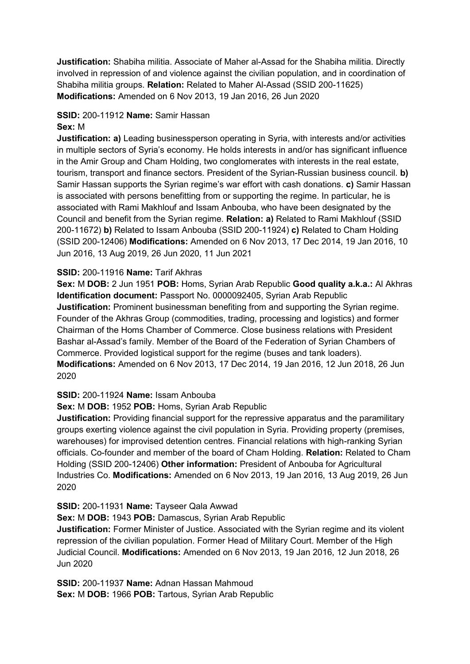**Justification:** Shabiha militia. Associate of Maher al-Assad for the Shabiha militia. Directly involved in repression of and violence against the civilian population, and in coordination of Shabiha militia groups. **Relation:** Related to Maher Al-Assad (SSID 200-11625) **Modifications:** Amended on 6 Nov 2013, 19 Jan 2016, 26 Jun 2020

## **SSID:** 200-11912 **Name:** Samir Hassan

#### **Sex:** M

**Justification: a)** Leading businessperson operating in Syria, with interests and/or activities in multiple sectors of Syria's economy. He holds interests in and/or has significant influence in the Amir Group and Cham Holding, two conglomerates with interests in the real estate, tourism, transport and finance sectors. President of the Syrian-Russian business council. **b)**  Samir Hassan supports the Syrian regime's war effort with cash donations. **c)** Samir Hassan is associated with persons benefitting from or supporting the regime. In particular, he is associated with Rami Makhlouf and Issam Anbouba, who have been designated by the Council and benefit from the Syrian regime. **Relation: a)** Related to Rami Makhlouf (SSID 200-11672) **b)** Related to Issam Anbouba (SSID 200-11924) **c)** Related to Cham Holding (SSID 200-12406) **Modifications:** Amended on 6 Nov 2013, 17 Dec 2014, 19 Jan 2016, 10 Jun 2016, 13 Aug 2019, 26 Jun 2020, 11 Jun 2021

### **SSID:** 200-11916 **Name:** Tarif Akhras

**Sex:** M **DOB:** 2 Jun 1951 **POB:** Homs, Syrian Arab Republic **Good quality a.k.a.:** Al Akhras **Identification document:** Passport No. 0000092405, Syrian Arab Republic **Justification:** Prominent businessman benefiting from and supporting the Syrian regime. Founder of the Akhras Group (commodities, trading, processing and logistics) and former Chairman of the Homs Chamber of Commerce. Close business relations with President Bashar al-Assad's family. Member of the Board of the Federation of Syrian Chambers of Commerce. Provided logistical support for the regime (buses and tank loaders). **Modifications:** Amended on 6 Nov 2013, 17 Dec 2014, 19 Jan 2016, 12 Jun 2018, 26 Jun 2020

## **SSID:** 200-11924 **Name:** Issam Anbouba

## **Sex:** M **DOB:** 1952 **POB:** Homs, Syrian Arab Republic

**Justification:** Providing financial support for the repressive apparatus and the paramilitary groups exerting violence against the civil population in Syria. Providing property (premises, warehouses) for improvised detention centres. Financial relations with high-ranking Syrian officials. Co-founder and member of the board of Cham Holding. **Relation:** Related to Cham Holding (SSID 200-12406) **Other information:** President of Anbouba for Agricultural Industries Co. **Modifications:** Amended on 6 Nov 2013, 19 Jan 2016, 13 Aug 2019, 26 Jun 2020

#### **SSID:** 200-11931 **Name:** Tayseer Qala Awwad

**Sex:** M **DOB:** 1943 **POB:** Damascus, Syrian Arab Republic

**Justification:** Former Minister of Justice. Associated with the Syrian regime and its violent repression of the civilian population. Former Head of Military Court. Member of the High Judicial Council. **Modifications:** Amended on 6 Nov 2013, 19 Jan 2016, 12 Jun 2018, 26 Jun 2020

**SSID:** 200-11937 **Name:** Adnan Hassan Mahmoud **Sex:** M **DOB:** 1966 **POB:** Tartous, Syrian Arab Republic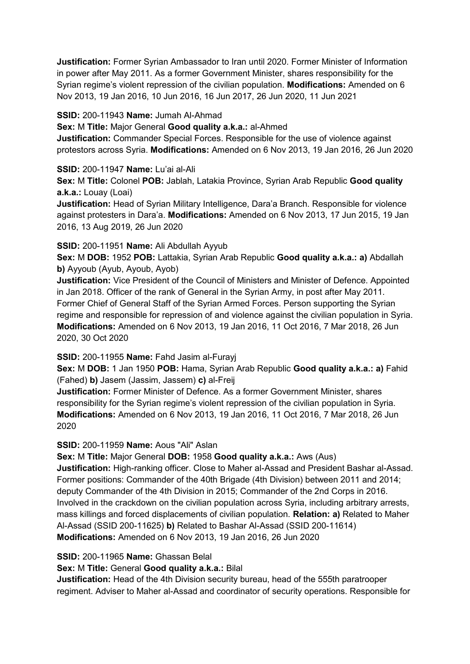**Justification:** Former Syrian Ambassador to Iran until 2020. Former Minister of Information in power after May 2011. As a former Government Minister, shares responsibility for the Syrian regime's violent repression of the civilian population. **Modifications:** Amended on 6 Nov 2013, 19 Jan 2016, 10 Jun 2016, 16 Jun 2017, 26 Jun 2020, 11 Jun 2021

## **SSID:** 200-11943 **Name:** Jumah Al-Ahmad

**Sex:** M **Title:** Major General **Good quality a.k.a.:** al-Ahmed

**Justification:** Commander Special Forces. Responsible for the use of violence against protestors across Syria. **Modifications:** Amended on 6 Nov 2013, 19 Jan 2016, 26 Jun 2020

#### **SSID:** 200-11947 **Name:** Lu'ai al-Ali

**Sex:** M **Title:** Colonel **POB:** Jablah, Latakia Province, Syrian Arab Republic **Good quality a.k.a.:** Louay (Loai)

**Justification:** Head of Syrian Military Intelligence, Dara'a Branch. Responsible for violence against protesters in Dara'a. **Modifications:** Amended on 6 Nov 2013, 17 Jun 2015, 19 Jan 2016, 13 Aug 2019, 26 Jun 2020

#### **SSID:** 200-11951 **Name:** Ali Abdullah Ayyub

**Sex:** M **DOB:** 1952 **POB:** Lattakia, Syrian Arab Republic **Good quality a.k.a.: a)** Abdallah **b)** Ayyoub (Ayub, Ayoub, Ayob)

**Justification:** Vice President of the Council of Ministers and Minister of Defence. Appointed in Jan 2018. Officer of the rank of General in the Syrian Army, in post after May 2011. Former Chief of General Staff of the Syrian Armed Forces. Person supporting the Syrian regime and responsible for repression of and violence against the civilian population in Syria. **Modifications:** Amended on 6 Nov 2013, 19 Jan 2016, 11 Oct 2016, 7 Mar 2018, 26 Jun 2020, 30 Oct 2020

**SSID:** 200-11955 **Name:** Fahd Jasim al-Furayj

**Sex:** M **DOB:** 1 Jan 1950 **POB:** Hama, Syrian Arab Republic **Good quality a.k.a.: a)** Fahid (Fahed) **b)** Jasem (Jassim, Jassem) **c)** al-Freij

**Justification:** Former Minister of Defence. As a former Government Minister, shares responsibility for the Syrian regime's violent repression of the civilian population in Syria. **Modifications:** Amended on 6 Nov 2013, 19 Jan 2016, 11 Oct 2016, 7 Mar 2018, 26 Jun 2020

## **SSID:** 200-11959 **Name:** Aous "Ali" Aslan

**Sex:** M **Title:** Major General **DOB:** 1958 **Good quality a.k.a.:** Aws (Aus)

**Justification:** High-ranking officer. Close to Maher al-Assad and President Bashar al-Assad. Former positions: Commander of the 40th Brigade (4th Division) between 2011 and 2014; deputy Commander of the 4th Division in 2015; Commander of the 2nd Corps in 2016. Involved in the crackdown on the civilian population across Syria, including arbitrary arrests, mass killings and forced displacements of civilian population. **Relation: a)** Related to Maher Al-Assad (SSID 200-11625) **b)** Related to Bashar Al-Assad (SSID 200-11614) **Modifications:** Amended on 6 Nov 2013, 19 Jan 2016, 26 Jun 2020

## **SSID:** 200-11965 **Name:** Ghassan Belal

**Sex:** M **Title:** General **Good quality a.k.a.:** Bilal

**Justification:** Head of the 4th Division security bureau, head of the 555th paratrooper regiment. Adviser to Maher al-Assad and coordinator of security operations. Responsible for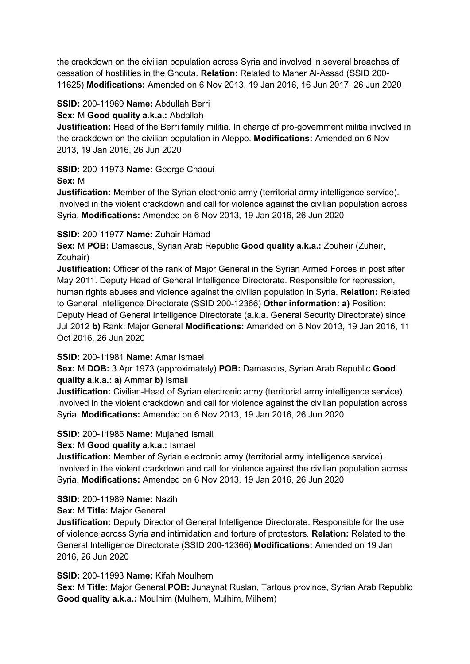the crackdown on the civilian population across Syria and involved in several breaches of cessation of hostilities in the Ghouta. **Relation:** Related to Maher Al-Assad (SSID 200- 11625) **Modifications:** Amended on 6 Nov 2013, 19 Jan 2016, 16 Jun 2017, 26 Jun 2020

### **SSID:** 200-11969 **Name:** Abdullah Berri

### **Sex:** M **Good quality a.k.a.:** Abdallah

**Justification:** Head of the Berri family militia. In charge of pro-government militia involved in the crackdown on the civilian population in Aleppo. **Modifications:** Amended on 6 Nov 2013, 19 Jan 2016, 26 Jun 2020

## **SSID:** 200-11973 **Name:** George Chaoui

### **Sex:** M

**Justification:** Member of the Syrian electronic army (territorial army intelligence service). Involved in the violent crackdown and call for violence against the civilian population across Syria. **Modifications:** Amended on 6 Nov 2013, 19 Jan 2016, 26 Jun 2020

## **SSID:** 200-11977 **Name:** Zuhair Hamad

**Sex:** M **POB:** Damascus, Syrian Arab Republic **Good quality a.k.a.:** Zouheir (Zuheir, Zouhair)

**Justification:** Officer of the rank of Major General in the Syrian Armed Forces in post after May 2011. Deputy Head of General Intelligence Directorate. Responsible for repression, human rights abuses and violence against the civilian population in Syria. **Relation:** Related to General Intelligence Directorate (SSID 200-12366) **Other information: a)** Position: Deputy Head of General Intelligence Directorate (a.k.a. General Security Directorate) since Jul 2012 **b)** Rank: Major General **Modifications:** Amended on 6 Nov 2013, 19 Jan 2016, 11 Oct 2016, 26 Jun 2020

## **SSID:** 200-11981 **Name:** Amar Ismael

**Sex:** M **DOB:** 3 Apr 1973 (approximately) **POB:** Damascus, Syrian Arab Republic **Good quality a.k.a.: a)** Ammar **b)** Ismail

**Justification:** Civilian-Head of Syrian electronic army (territorial army intelligence service). Involved in the violent crackdown and call for violence against the civilian population across Syria. **Modifications:** Amended on 6 Nov 2013, 19 Jan 2016, 26 Jun 2020

**SSID:** 200-11985 **Name:** Mujahed Ismail

## **Sex:** M **Good quality a.k.a.:** Ismael

**Justification:** Member of Syrian electronic army (territorial army intelligence service). Involved in the violent crackdown and call for violence against the civilian population across Syria. **Modifications:** Amended on 6 Nov 2013, 19 Jan 2016, 26 Jun 2020

#### **SSID:** 200-11989 **Name:** Nazih

#### **Sex:** M **Title:** Major General

**Justification:** Deputy Director of General Intelligence Directorate. Responsible for the use of violence across Syria and intimidation and torture of protestors. **Relation:** Related to the General Intelligence Directorate (SSID 200-12366) **Modifications:** Amended on 19 Jan 2016, 26 Jun 2020

# **SSID:** 200-11993 **Name:** Kifah Moulhem

**Sex:** M **Title:** Major General **POB:** Junaynat Ruslan, Tartous province, Syrian Arab Republic **Good quality a.k.a.:** Moulhim (Mulhem, Mulhim, Milhem)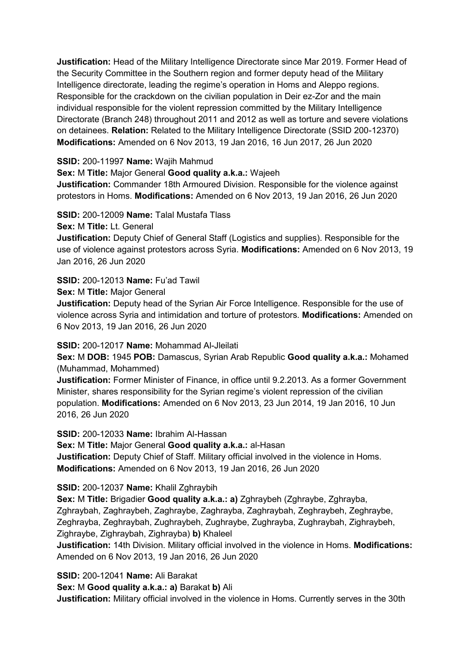**Justification:** Head of the Military Intelligence Directorate since Mar 2019. Former Head of the Security Committee in the Southern region and former deputy head of the Military Intelligence directorate, leading the regime's operation in Homs and Aleppo regions. Responsible for the crackdown on the civilian population in Deir ez-Zor and the main individual responsible for the violent repression committed by the Military Intelligence Directorate (Branch 248) throughout 2011 and 2012 as well as torture and severe violations on detainees. **Relation:** Related to the Military Intelligence Directorate (SSID 200-12370) **Modifications:** Amended on 6 Nov 2013, 19 Jan 2016, 16 Jun 2017, 26 Jun 2020

## **SSID:** 200-11997 **Name:** Wajih Mahmud

**Sex:** M **Title:** Major General **Good quality a.k.a.:** Wajeeh

**Justification:** Commander 18th Armoured Division. Responsible for the violence against protestors in Homs. **Modifications:** Amended on 6 Nov 2013, 19 Jan 2016, 26 Jun 2020

**SSID:** 200-12009 **Name:** Talal Mustafa Tlass

**Sex:** M **Title:** Lt. General

**Justification:** Deputy Chief of General Staff (Logistics and supplies). Responsible for the use of violence against protestors across Syria. **Modifications:** Amended on 6 Nov 2013, 19 Jan 2016, 26 Jun 2020

**SSID:** 200-12013 **Name:** Fu'ad Tawil

**Sex:** M **Title:** Major General

**Justification:** Deputy head of the Syrian Air Force Intelligence. Responsible for the use of violence across Syria and intimidation and torture of protestors. **Modifications:** Amended on 6 Nov 2013, 19 Jan 2016, 26 Jun 2020

**SSID:** 200-12017 **Name:** Mohammad Al-Jleilati

**Sex:** M **DOB:** 1945 **POB:** Damascus, Syrian Arab Republic **Good quality a.k.a.:** Mohamed (Muhammad, Mohammed)

**Justification:** Former Minister of Finance, in office until 9.2.2013. As a former Government Minister, shares responsibility for the Syrian regime's violent repression of the civilian population. **Modifications:** Amended on 6 Nov 2013, 23 Jun 2014, 19 Jan 2016, 10 Jun 2016, 26 Jun 2020

**SSID:** 200-12033 **Name:** Ibrahim Al-Hassan **Sex:** M **Title:** Major General **Good quality a.k.a.:** al-Hasan **Justification:** Deputy Chief of Staff. Military official involved in the violence in Homs. **Modifications:** Amended on 6 Nov 2013, 19 Jan 2016, 26 Jun 2020

**SSID:** 200-12037 **Name:** Khalil Zghraybih

**Sex:** M **Title:** Brigadier **Good quality a.k.a.: a)** Zghraybeh (Zghraybe, Zghrayba, Zghraybah, Zaghraybeh, Zaghraybe, Zaghrayba, Zaghraybah, Zeghraybeh, Zeghraybe, Zeghrayba, Zeghraybah, Zughraybeh, Zughraybe, Zughrayba, Zughraybah, Zighraybeh, Zighraybe, Zighraybah, Zighrayba) **b)** Khaleel

**Justification:** 14th Division. Military official involved in the violence in Homs. **Modifications:**  Amended on 6 Nov 2013, 19 Jan 2016, 26 Jun 2020

**SSID:** 200-12041 **Name:** Ali Barakat

**Sex:** M **Good quality a.k.a.: a)** Barakat **b)** Ali

**Justification:** Military official involved in the violence in Homs. Currently serves in the 30th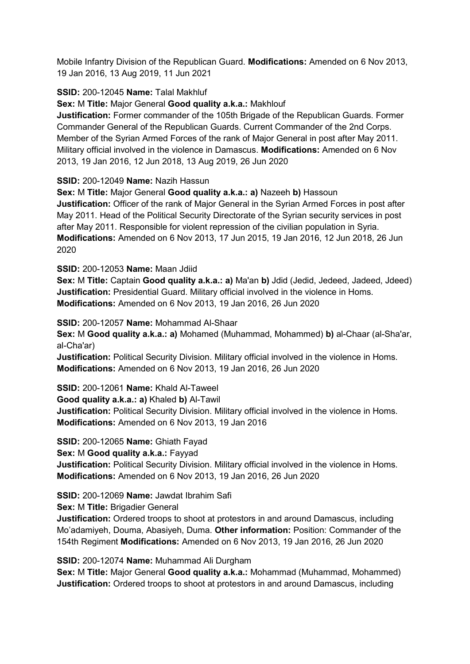Mobile Infantry Division of the Republican Guard. **Modifications:** Amended on 6 Nov 2013, 19 Jan 2016, 13 Aug 2019, 11 Jun 2021

## **SSID:** 200-12045 **Name:** Talal Makhluf

**Sex:** M **Title:** Major General **Good quality a.k.a.:** Makhlouf

**Justification:** Former commander of the 105th Brigade of the Republican Guards. Former Commander General of the Republican Guards. Current Commander of the 2nd Corps. Member of the Syrian Armed Forces of the rank of Major General in post after May 2011. Military official involved in the violence in Damascus. **Modifications:** Amended on 6 Nov 2013, 19 Jan 2016, 12 Jun 2018, 13 Aug 2019, 26 Jun 2020

**SSID:** 200-12049 **Name:** Nazih Hassun

**Sex:** M **Title:** Major General **Good quality a.k.a.: a)** Nazeeh **b)** Hassoun

**Justification:** Officer of the rank of Major General in the Syrian Armed Forces in post after May 2011. Head of the Political Security Directorate of the Syrian security services in post after May 2011. Responsible for violent repression of the civilian population in Syria. **Modifications:** Amended on 6 Nov 2013, 17 Jun 2015, 19 Jan 2016, 12 Jun 2018, 26 Jun 2020

**SSID:** 200-12053 **Name:** Maan Jdiid

**Sex:** M **Title:** Captain **Good quality a.k.a.: a)** Ma'an **b)** Jdid (Jedid, Jedeed, Jadeed, Jdeed) **Justification:** Presidential Guard. Military official involved in the violence in Homs. **Modifications:** Amended on 6 Nov 2013, 19 Jan 2016, 26 Jun 2020

**SSID:** 200-12057 **Name:** Mohammad Al-Shaar

**Sex:** M **Good quality a.k.a.: a)** Mohamed (Muhammad, Mohammed) **b)** al-Chaar (al-Sha'ar, al-Cha'ar)

**Justification:** Political Security Division. Military official involved in the violence in Homs. **Modifications:** Amended on 6 Nov 2013, 19 Jan 2016, 26 Jun 2020

**SSID:** 200-12061 **Name:** Khald Al-Taweel

**Good quality a.k.a.: a)** Khaled **b)** Al-Tawil

**Justification:** Political Security Division. Military official involved in the violence in Homs. **Modifications:** Amended on 6 Nov 2013, 19 Jan 2016

**SSID:** 200-12065 **Name:** Ghiath Fayad

**Sex:** M **Good quality a.k.a.:** Fayyad **Justification:** Political Security Division. Military official involved in the violence in Homs. **Modifications:** Amended on 6 Nov 2013, 19 Jan 2016, 26 Jun 2020

#### **SSID:** 200-12069 **Name:** Jawdat Ibrahim Safi

**Sex:** M **Title:** Brigadier General

**Justification:** Ordered troops to shoot at protestors in and around Damascus, including Mo'adamiyeh, Douma, Abasiyeh, Duma. **Other information:** Position: Commander of the 154th Regiment **Modifications:** Amended on 6 Nov 2013, 19 Jan 2016, 26 Jun 2020

**SSID:** 200-12074 **Name:** Muhammad Ali Durgham

**Sex:** M **Title:** Major General **Good quality a.k.a.:** Mohammad (Muhammad, Mohammed) **Justification:** Ordered troops to shoot at protestors in and around Damascus, including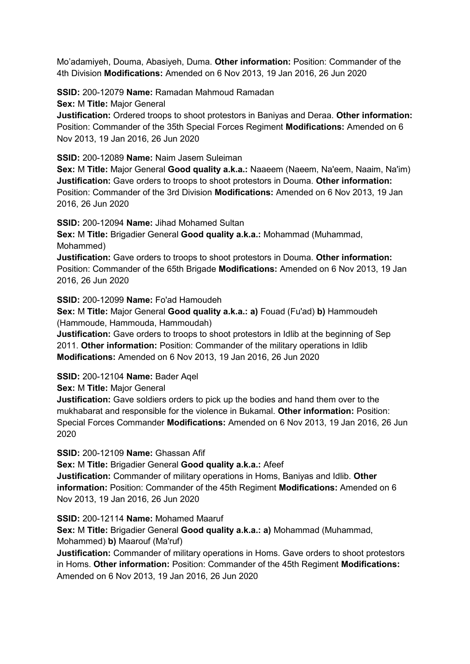Mo'adamiyeh, Douma, Abasiyeh, Duma. **Other information:** Position: Commander of the 4th Division **Modifications:** Amended on 6 Nov 2013, 19 Jan 2016, 26 Jun 2020

**SSID:** 200-12079 **Name:** Ramadan Mahmoud Ramadan

**Sex:** M **Title:** Major General

**Justification:** Ordered troops to shoot protestors in Baniyas and Deraa. **Other information:** Position: Commander of the 35th Special Forces Regiment **Modifications:** Amended on 6 Nov 2013, 19 Jan 2016, 26 Jun 2020

**SSID:** 200-12089 **Name:** Naim Jasem Suleiman

**Sex:** M **Title:** Major General **Good quality a.k.a.:** Naaeem (Naeem, Na'eem, Naaim, Na'im) **Justification:** Gave orders to troops to shoot protestors in Douma. **Other information:** Position: Commander of the 3rd Division **Modifications:** Amended on 6 Nov 2013, 19 Jan 2016, 26 Jun 2020

**SSID:** 200-12094 **Name:** Jihad Mohamed Sultan

**Sex:** M **Title:** Brigadier General **Good quality a.k.a.:** Mohammad (Muhammad, Mohammed)

**Justification:** Gave orders to troops to shoot protestors in Douma. **Other information:** Position: Commander of the 65th Brigade **Modifications:** Amended on 6 Nov 2013, 19 Jan 2016, 26 Jun 2020

**SSID:** 200-12099 **Name:** Fo'ad Hamoudeh

**Sex:** M **Title:** Major General **Good quality a.k.a.: a)** Fouad (Fu'ad) **b)** Hammoudeh (Hammoude, Hammouda, Hammoudah)

**Justification:** Gave orders to troops to shoot protestors in Idlib at the beginning of Sep 2011. **Other information:** Position: Commander of the military operations in Idlib **Modifications:** Amended on 6 Nov 2013, 19 Jan 2016, 26 Jun 2020

**SSID:** 200-12104 **Name:** Bader Aqel

**Sex:** M **Title:** Major General

**Justification:** Gave soldiers orders to pick up the bodies and hand them over to the mukhabarat and responsible for the violence in Bukamal. **Other information:** Position: Special Forces Commander **Modifications:** Amended on 6 Nov 2013, 19 Jan 2016, 26 Jun 2020

**SSID:** 200-12109 **Name:** Ghassan Afif

**Sex:** M **Title:** Brigadier General **Good quality a.k.a.:** Afeef

**Justification:** Commander of military operations in Homs, Baniyas and Idlib. **Other information:** Position: Commander of the 45th Regiment **Modifications:** Amended on 6 Nov 2013, 19 Jan 2016, 26 Jun 2020

**SSID:** 200-12114 **Name:** Mohamed Maaruf

**Sex:** M **Title:** Brigadier General **Good quality a.k.a.: a)** Mohammad (Muhammad, Mohammed) **b)** Maarouf (Ma'ruf)

**Justification:** Commander of military operations in Homs. Gave orders to shoot protestors in Homs. **Other information:** Position: Commander of the 45th Regiment **Modifications:**  Amended on 6 Nov 2013, 19 Jan 2016, 26 Jun 2020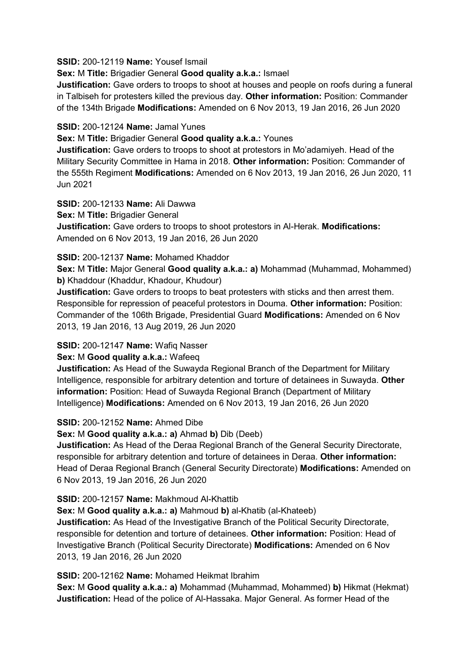**SSID:** 200-12119 **Name:** Yousef Ismail

**Sex:** M **Title:** Brigadier General **Good quality a.k.a.:** Ismael

**Justification:** Gave orders to troops to shoot at houses and people on roofs during a funeral in Talbiseh for protesters killed the previous day. **Other information:** Position: Commander of the 134th Brigade **Modifications:** Amended on 6 Nov 2013, 19 Jan 2016, 26 Jun 2020

### **SSID:** 200-12124 **Name:** Jamal Yunes

**Sex:** M **Title:** Brigadier General **Good quality a.k.a.:** Younes

**Justification:** Gave orders to troops to shoot at protestors in Mo'adamiyeh. Head of the Military Security Committee in Hama in 2018. **Other information:** Position: Commander of the 555th Regiment **Modifications:** Amended on 6 Nov 2013, 19 Jan 2016, 26 Jun 2020, 11 Jun 2021

**SSID:** 200-12133 **Name:** Ali Dawwa **Sex: M Title: Brigadier General Justification:** Gave orders to troops to shoot protestors in Al-Herak. **Modifications:**  Amended on 6 Nov 2013, 19 Jan 2016, 26 Jun 2020

### **SSID:** 200-12137 **Name:** Mohamed Khaddor

**Sex:** M **Title:** Major General **Good quality a.k.a.: a)** Mohammad (Muhammad, Mohammed) **b)** Khaddour (Khaddur, Khadour, Khudour)

**Justification:** Gave orders to troops to beat protesters with sticks and then arrest them. Responsible for repression of peaceful protestors in Douma. **Other information:** Position: Commander of the 106th Brigade, Presidential Guard **Modifications:** Amended on 6 Nov 2013, 19 Jan 2016, 13 Aug 2019, 26 Jun 2020

## **SSID:** 200-12147 **Name:** Wafiq Nasser

**Sex:** M **Good quality a.k.a.:** Wafeeq

**Justification:** As Head of the Suwayda Regional Branch of the Department for Military Intelligence, responsible for arbitrary detention and torture of detainees in Suwayda. **Other information:** Position: Head of Suwayda Regional Branch (Department of Military Intelligence) **Modifications:** Amended on 6 Nov 2013, 19 Jan 2016, 26 Jun 2020

#### **SSID:** 200-12152 **Name:** Ahmed Dibe

**Sex:** M **Good quality a.k.a.: a)** Ahmad **b)** Dib (Deeb)

**Justification:** As Head of the Deraa Regional Branch of the General Security Directorate, responsible for arbitrary detention and torture of detainees in Deraa. **Other information:** Head of Deraa Regional Branch (General Security Directorate) **Modifications:** Amended on 6 Nov 2013, 19 Jan 2016, 26 Jun 2020

**SSID:** 200-12157 **Name:** Makhmoud Al-Khattib

**Sex:** M **Good quality a.k.a.: a)** Mahmoud **b)** al-Khatib (al-Khateeb)

**Justification:** As Head of the Investigative Branch of the Political Security Directorate, responsible for detention and torture of detainees. **Other information:** Position: Head of Investigative Branch (Political Security Directorate) **Modifications:** Amended on 6 Nov 2013, 19 Jan 2016, 26 Jun 2020

**SSID:** 200-12162 **Name:** Mohamed Heikmat Ibrahim

**Sex:** M **Good quality a.k.a.: a)** Mohammad (Muhammad, Mohammed) **b)** Hikmat (Hekmat) **Justification:** Head of the police of Al-Hassaka. Major General. As former Head of the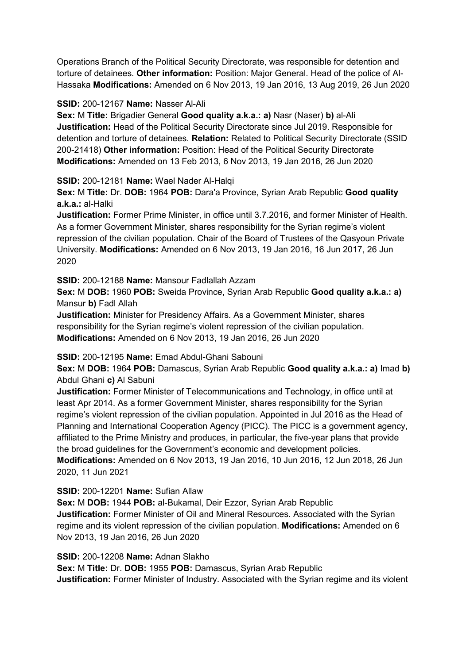Operations Branch of the Political Security Directorate, was responsible for detention and torture of detainees. **Other information:** Position: Major General. Head of the police of Al-Hassaka **Modifications:** Amended on 6 Nov 2013, 19 Jan 2016, 13 Aug 2019, 26 Jun 2020

### **SSID:** 200-12167 **Name:** Nasser Al-Ali

**Sex:** M **Title:** Brigadier General **Good quality a.k.a.: a)** Nasr (Naser) **b)** al-Ali **Justification:** Head of the Political Security Directorate since Jul 2019. Responsible for detention and torture of detainees. **Relation:** Related to Political Security Directorate (SSID 200-21418) **Other information:** Position: Head of the Political Security Directorate **Modifications:** Amended on 13 Feb 2013, 6 Nov 2013, 19 Jan 2016, 26 Jun 2020

**SSID:** 200-12181 **Name:** Wael Nader Al-Halqi

**Sex:** M **Title:** Dr. **DOB:** 1964 **POB:** Dara'a Province, Syrian Arab Republic **Good quality a.k.a.:** al-Halki

**Justification:** Former Prime Minister, in office until 3.7.2016, and former Minister of Health. As a former Government Minister, shares responsibility for the Syrian regime's violent repression of the civilian population. Chair of the Board of Trustees of the Qasyoun Private University. **Modifications:** Amended on 6 Nov 2013, 19 Jan 2016, 16 Jun 2017, 26 Jun 2020

**SSID:** 200-12188 **Name:** Mansour Fadlallah Azzam

**Sex:** M **DOB:** 1960 **POB:** Sweida Province, Syrian Arab Republic **Good quality a.k.a.: a)**  Mansur **b)** Fadl Allah

**Justification:** Minister for Presidency Affairs. As a Government Minister, shares responsibility for the Syrian regime's violent repression of the civilian population. **Modifications:** Amended on 6 Nov 2013, 19 Jan 2016, 26 Jun 2020

**SSID:** 200-12195 **Name:** Emad Abdul-Ghani Sabouni

**Sex:** M **DOB:** 1964 **POB:** Damascus, Syrian Arab Republic **Good quality a.k.a.: a)** Imad **b)**  Abdul Ghani **c)** Al Sabuni

**Justification:** Former Minister of Telecommunications and Technology, in office until at least Apr 2014. As a former Government Minister, shares responsibility for the Syrian regime's violent repression of the civilian population. Appointed in Jul 2016 as the Head of Planning and International Cooperation Agency (PICC). The PICC is a government agency, affiliated to the Prime Ministry and produces, in particular, the five-year plans that provide the broad guidelines for the Government's economic and development policies.

**Modifications:** Amended on 6 Nov 2013, 19 Jan 2016, 10 Jun 2016, 12 Jun 2018, 26 Jun 2020, 11 Jun 2021

**SSID:** 200-12201 **Name:** Sufian Allaw

**Sex:** M **DOB:** 1944 **POB:** al-Bukamal, Deir Ezzor, Syrian Arab Republic **Justification:** Former Minister of Oil and Mineral Resources. Associated with the Syrian regime and its violent repression of the civilian population. **Modifications:** Amended on 6 Nov 2013, 19 Jan 2016, 26 Jun 2020

**SSID:** 200-12208 **Name:** Adnan Slakho

**Sex:** M **Title:** Dr. **DOB:** 1955 **POB:** Damascus, Syrian Arab Republic **Justification:** Former Minister of Industry. Associated with the Syrian regime and its violent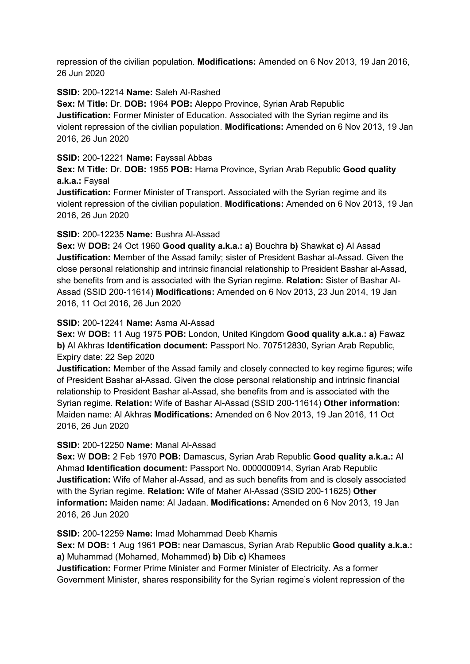repression of the civilian population. **Modifications:** Amended on 6 Nov 2013, 19 Jan 2016, 26 Jun 2020

### **SSID:** 200-12214 **Name:** Saleh Al-Rashed

**Sex:** M **Title:** Dr. **DOB:** 1964 **POB:** Aleppo Province, Syrian Arab Republic **Justification:** Former Minister of Education. Associated with the Syrian regime and its violent repression of the civilian population. **Modifications:** Amended on 6 Nov 2013, 19 Jan 2016, 26 Jun 2020

### **SSID:** 200-12221 **Name:** Fayssal Abbas

**Sex:** M **Title:** Dr. **DOB:** 1955 **POB:** Hama Province, Syrian Arab Republic **Good quality a.k.a.:** Faysal

**Justification:** Former Minister of Transport. Associated with the Syrian regime and its violent repression of the civilian population. **Modifications:** Amended on 6 Nov 2013, 19 Jan 2016, 26 Jun 2020

### **SSID:** 200-12235 **Name:** Bushra Al-Assad

**Sex:** W **DOB:** 24 Oct 1960 **Good quality a.k.a.: a)** Bouchra **b)** Shawkat **c)** Al Assad **Justification:** Member of the Assad family; sister of President Bashar al-Assad. Given the close personal relationship and intrinsic financial relationship to President Bashar al-Assad, she benefits from and is associated with the Syrian regime. **Relation:** Sister of Bashar Al-Assad (SSID 200-11614) **Modifications:** Amended on 6 Nov 2013, 23 Jun 2014, 19 Jan 2016, 11 Oct 2016, 26 Jun 2020

### **SSID:** 200-12241 **Name:** Asma Al-Assad

**Sex:** W **DOB:** 11 Aug 1975 **POB:** London, United Kingdom **Good quality a.k.a.: a)** Fawaz **b)** Al Akhras **Identification document:** Passport No. 707512830, Syrian Arab Republic, Expiry date: 22 Sep 2020

**Justification:** Member of the Assad family and closely connected to key regime figures; wife of President Bashar al-Assad. Given the close personal relationship and intrinsic financial relationship to President Bashar al-Assad, she benefits from and is associated with the Syrian regime. **Relation:** Wife of Bashar Al-Assad (SSID 200-11614) **Other information:** Maiden name: Al Akhras **Modifications:** Amended on 6 Nov 2013, 19 Jan 2016, 11 Oct 2016, 26 Jun 2020

## **SSID:** 200-12250 **Name:** Manal Al-Assad

**Sex:** W **DOB:** 2 Feb 1970 **POB:** Damascus, Syrian Arab Republic **Good quality a.k.a.:** Al Ahmad **Identification document:** Passport No. 0000000914, Syrian Arab Republic **Justification:** Wife of Maher al-Assad, and as such benefits from and is closely associated with the Syrian regime. **Relation:** Wife of Maher Al-Assad (SSID 200-11625) **Other information:** Maiden name: Al Jadaan. **Modifications:** Amended on 6 Nov 2013, 19 Jan 2016, 26 Jun 2020

**SSID:** 200-12259 **Name:** Imad Mohammad Deeb Khamis

**Sex:** M **DOB:** 1 Aug 1961 **POB:** near Damascus, Syrian Arab Republic **Good quality a.k.a.: a)** Muhammad (Mohamed, Mohammed) **b)** Dib **c)** Khamees

**Justification:** Former Prime Minister and Former Minister of Electricity. As a former Government Minister, shares responsibility for the Syrian regime's violent repression of the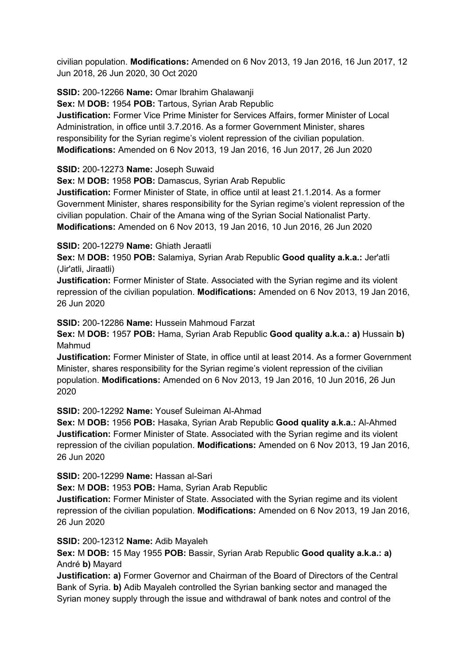civilian population. **Modifications:** Amended on 6 Nov 2013, 19 Jan 2016, 16 Jun 2017, 12 Jun 2018, 26 Jun 2020, 30 Oct 2020

**SSID:** 200-12266 **Name:** Omar Ibrahim Ghalawanji

**Sex:** M **DOB:** 1954 **POB:** Tartous, Syrian Arab Republic

**Justification:** Former Vice Prime Minister for Services Affairs, former Minister of Local Administration, in office until 3.7.2016. As a former Government Minister, shares responsibility for the Syrian regime's violent repression of the civilian population. **Modifications:** Amended on 6 Nov 2013, 19 Jan 2016, 16 Jun 2017, 26 Jun 2020

**SSID:** 200-12273 **Name:** Joseph Suwaid

**Sex:** M **DOB:** 1958 **POB:** Damascus, Syrian Arab Republic

**Justification:** Former Minister of State, in office until at least 21.1.2014. As a former Government Minister, shares responsibility for the Syrian regime's violent repression of the civilian population. Chair of the Amana wing of the Syrian Social Nationalist Party. **Modifications:** Amended on 6 Nov 2013, 19 Jan 2016, 10 Jun 2016, 26 Jun 2020

## **SSID:** 200-12279 **Name:** Ghiath Jeraatli

**Sex:** M **DOB:** 1950 **POB:** Salamiya, Syrian Arab Republic **Good quality a.k.a.:** Jer'atli (Jir'atli, Jiraatli)

**Justification:** Former Minister of State. Associated with the Syrian regime and its violent repression of the civilian population. **Modifications:** Amended on 6 Nov 2013, 19 Jan 2016, 26 Jun 2020

**SSID:** 200-12286 **Name:** Hussein Mahmoud Farzat

**Sex:** M **DOB:** 1957 **POB:** Hama, Syrian Arab Republic **Good quality a.k.a.: a)** Hussain **b)**  Mahmud

**Justification:** Former Minister of State, in office until at least 2014. As a former Government Minister, shares responsibility for the Syrian regime's violent repression of the civilian population. **Modifications:** Amended on 6 Nov 2013, 19 Jan 2016, 10 Jun 2016, 26 Jun 2020

**SSID:** 200-12292 **Name:** Yousef Suleiman Al-Ahmad

**Sex:** M **DOB:** 1956 **POB:** Hasaka, Syrian Arab Republic **Good quality a.k.a.:** Al-Ahmed **Justification:** Former Minister of State. Associated with the Syrian regime and its violent repression of the civilian population. **Modifications:** Amended on 6 Nov 2013, 19 Jan 2016, 26 Jun 2020

**SSID:** 200-12299 **Name:** Hassan al-Sari

**Sex:** M **DOB:** 1953 **POB:** Hama, Syrian Arab Republic

**Justification:** Former Minister of State. Associated with the Syrian regime and its violent repression of the civilian population. **Modifications:** Amended on 6 Nov 2013, 19 Jan 2016, 26 Jun 2020

**SSID:** 200-12312 **Name:** Adib Mayaleh

**Sex:** M **DOB:** 15 May 1955 **POB:** Bassir, Syrian Arab Republic **Good quality a.k.a.: a)**  André **b)** Mayard

**Justification: a)** Former Governor and Chairman of the Board of Directors of the Central Bank of Syria. **b)** Adib Mayaleh controlled the Syrian banking sector and managed the Syrian money supply through the issue and withdrawal of bank notes and control of the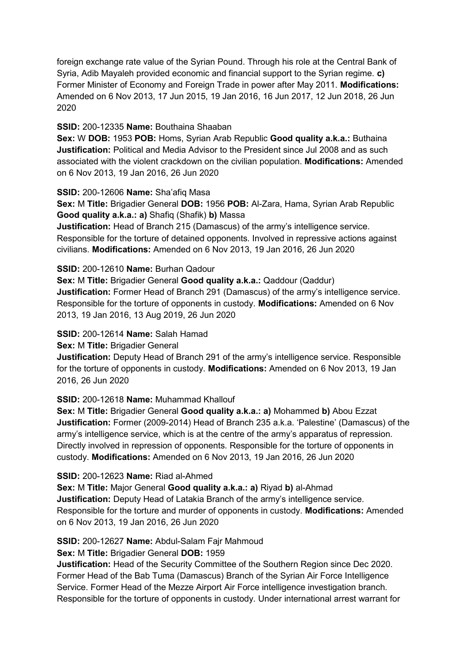foreign exchange rate value of the Syrian Pound. Through his role at the Central Bank of Syria, Adib Mayaleh provided economic and financial support to the Syrian regime. **c)**  Former Minister of Economy and Foreign Trade in power after May 2011. **Modifications:**  Amended on 6 Nov 2013, 17 Jun 2015, 19 Jan 2016, 16 Jun 2017, 12 Jun 2018, 26 Jun 2020

### **SSID:** 200-12335 **Name:** Bouthaina Shaaban

**Sex:** W **DOB:** 1953 **POB:** Homs, Syrian Arab Republic **Good quality a.k.a.:** Buthaina **Justification:** Political and Media Advisor to the President since Jul 2008 and as such associated with the violent crackdown on the civilian population. **Modifications:** Amended on 6 Nov 2013, 19 Jan 2016, 26 Jun 2020

### **SSID:** 200-12606 **Name:** Sha'afiq Masa

**Sex:** M **Title:** Brigadier General **DOB:** 1956 **POB:** Al-Zara, Hama, Syrian Arab Republic **Good quality a.k.a.: a)** Shafiq (Shafik) **b)** Massa

**Justification:** Head of Branch 215 (Damascus) of the army's intelligence service. Responsible for the torture of detained opponents. Involved in repressive actions against civilians. **Modifications:** Amended on 6 Nov 2013, 19 Jan 2016, 26 Jun 2020

### **SSID:** 200-12610 **Name:** Burhan Qadour

**Sex:** M **Title:** Brigadier General **Good quality a.k.a.:** Qaddour (Qaddur) **Justification:** Former Head of Branch 291 (Damascus) of the army's intelligence service. Responsible for the torture of opponents in custody. **Modifications:** Amended on 6 Nov 2013, 19 Jan 2016, 13 Aug 2019, 26 Jun 2020

## **SSID:** 200-12614 **Name:** Salah Hamad

#### **Sex:** M **Title:** Brigadier General

**Justification:** Deputy Head of Branch 291 of the army's intelligence service. Responsible for the torture of opponents in custody. **Modifications:** Amended on 6 Nov 2013, 19 Jan 2016, 26 Jun 2020

## **SSID:** 200-12618 **Name:** Muhammad Khallouf

**Sex:** M **Title:** Brigadier General **Good quality a.k.a.: a)** Mohammed **b)** Abou Ezzat **Justification:** Former (2009-2014) Head of Branch 235 a.k.a. 'Palestine' (Damascus) of the army's intelligence service, which is at the centre of the army's apparatus of repression. Directly involved in repression of opponents. Responsible for the torture of opponents in custody. **Modifications:** Amended on 6 Nov 2013, 19 Jan 2016, 26 Jun 2020

#### **SSID:** 200-12623 **Name:** Riad al-Ahmed

**Sex:** M **Title:** Major General **Good quality a.k.a.: a)** Riyad **b)** al-Ahmad **Justification:** Deputy Head of Latakia Branch of the army's intelligence service. Responsible for the torture and murder of opponents in custody. **Modifications:** Amended on 6 Nov 2013, 19 Jan 2016, 26 Jun 2020

## **SSID:** 200-12627 **Name:** Abdul-Salam Fajr Mahmoud

## **Sex:** M **Title:** Brigadier General **DOB:** 1959

**Justification:** Head of the Security Committee of the Southern Region since Dec 2020. Former Head of the Bab Tuma (Damascus) Branch of the Syrian Air Force Intelligence Service. Former Head of the Mezze Airport Air Force intelligence investigation branch. Responsible for the torture of opponents in custody. Under international arrest warrant for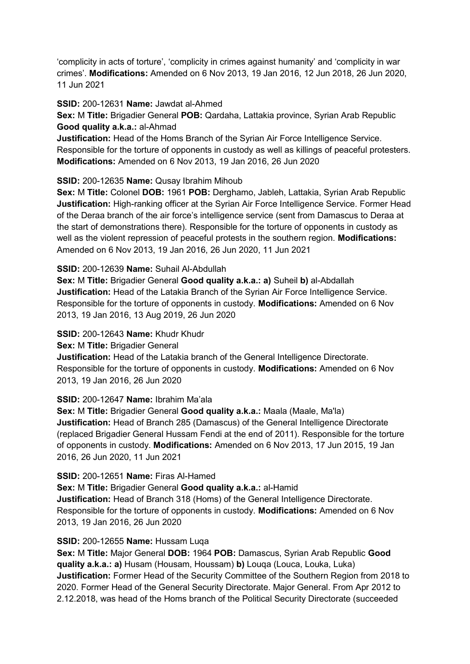'complicity in acts of torture', 'complicity in crimes against humanity' and 'complicity in war crimes'. **Modifications:** Amended on 6 Nov 2013, 19 Jan 2016, 12 Jun 2018, 26 Jun 2020, 11 Jun 2021

**SSID:** 200-12631 **Name:** Jawdat al-Ahmed

**Sex:** M **Title:** Brigadier General **POB:** Qardaha, Lattakia province, Syrian Arab Republic **Good quality a.k.a.:** al-Ahmad

**Justification:** Head of the Homs Branch of the Syrian Air Force Intelligence Service. Responsible for the torture of opponents in custody as well as killings of peaceful protesters. **Modifications:** Amended on 6 Nov 2013, 19 Jan 2016, 26 Jun 2020

### **SSID:** 200-12635 **Name:** Qusay Ibrahim Mihoub

**Sex:** M **Title:** Colonel **DOB:** 1961 **POB:** Derghamo, Jableh, Lattakia, Syrian Arab Republic **Justification:** High-ranking officer at the Syrian Air Force Intelligence Service. Former Head of the Deraa branch of the air force's intelligence service (sent from Damascus to Deraa at the start of demonstrations there). Responsible for the torture of opponents in custody as well as the violent repression of peaceful protests in the southern region. **Modifications:**  Amended on 6 Nov 2013, 19 Jan 2016, 26 Jun 2020, 11 Jun 2021

#### **SSID:** 200-12639 **Name:** Suhail Al-Abdullah

**Sex:** M **Title:** Brigadier General **Good quality a.k.a.: a)** Suheil **b)** al-Abdallah **Justification:** Head of the Latakia Branch of the Syrian Air Force Intelligence Service. Responsible for the torture of opponents in custody. **Modifications:** Amended on 6 Nov 2013, 19 Jan 2016, 13 Aug 2019, 26 Jun 2020

### **SSID:** 200-12643 **Name:** Khudr Khudr

**Sex:** M **Title:** Brigadier General

**Justification:** Head of the Latakia branch of the General Intelligence Directorate. Responsible for the torture of opponents in custody. **Modifications:** Amended on 6 Nov 2013, 19 Jan 2016, 26 Jun 2020

#### **SSID:** 200-12647 **Name:** Ibrahim Ma'ala

**Sex:** M **Title:** Brigadier General **Good quality a.k.a.:** Maala (Maale, Ma'la) **Justification:** Head of Branch 285 (Damascus) of the General Intelligence Directorate (replaced Brigadier General Hussam Fendi at the end of 2011). Responsible for the torture of opponents in custody. **Modifications:** Amended on 6 Nov 2013, 17 Jun 2015, 19 Jan 2016, 26 Jun 2020, 11 Jun 2021

#### **SSID:** 200-12651 **Name:** Firas Al-Hamed

**Sex:** M **Title:** Brigadier General **Good quality a.k.a.:** al-Hamid **Justification:** Head of Branch 318 (Homs) of the General Intelligence Directorate. Responsible for the torture of opponents in custody. **Modifications:** Amended on 6 Nov 2013, 19 Jan 2016, 26 Jun 2020

## **SSID:** 200-12655 **Name:** Hussam Luqa

**Sex:** M **Title:** Major General **DOB:** 1964 **POB:** Damascus, Syrian Arab Republic **Good quality a.k.a.: a)** Husam (Housam, Houssam) **b)** Louqa (Louca, Louka, Luka) **Justification:** Former Head of the Security Committee of the Southern Region from 2018 to 2020. Former Head of the General Security Directorate. Major General. From Apr 2012 to 2.12.2018, was head of the Homs branch of the Political Security Directorate (succeeded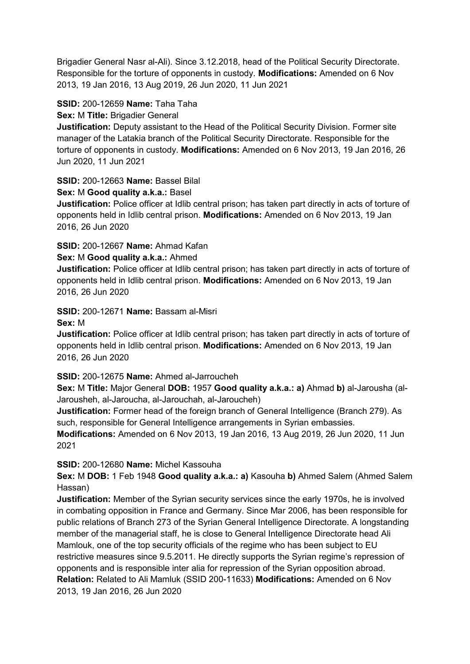Brigadier General Nasr al-Ali). Since 3.12.2018, head of the Political Security Directorate. Responsible for the torture of opponents in custody. **Modifications:** Amended on 6 Nov 2013, 19 Jan 2016, 13 Aug 2019, 26 Jun 2020, 11 Jun 2021

### **SSID:** 200-12659 **Name:** Taha Taha

### **Sex:** M **Title:** Brigadier General

**Justification:** Deputy assistant to the Head of the Political Security Division. Former site manager of the Latakia branch of the Political Security Directorate. Responsible for the torture of opponents in custody. **Modifications:** Amended on 6 Nov 2013, 19 Jan 2016, 26 Jun 2020, 11 Jun 2021

## **SSID:** 200-12663 **Name:** Bassel Bilal

### **Sex:** M **Good quality a.k.a.:** Basel

**Justification:** Police officer at Idlib central prison; has taken part directly in acts of torture of opponents held in Idlib central prison. **Modifications:** Amended on 6 Nov 2013, 19 Jan 2016, 26 Jun 2020

### **SSID:** 200-12667 **Name:** Ahmad Kafan

#### **Sex:** M **Good quality a.k.a.:** Ahmed

**Justification:** Police officer at Idlib central prison; has taken part directly in acts of torture of opponents held in Idlib central prison. **Modifications:** Amended on 6 Nov 2013, 19 Jan 2016, 26 Jun 2020

## **SSID:** 200-12671 **Name:** Bassam al-Misri

#### **Sex:** M

**Justification:** Police officer at Idlib central prison; has taken part directly in acts of torture of opponents held in Idlib central prison. **Modifications:** Amended on 6 Nov 2013, 19 Jan 2016, 26 Jun 2020

## **SSID:** 200-12675 **Name:** Ahmed al-Jarroucheh

**Sex:** M **Title:** Major General **DOB:** 1957 **Good quality a.k.a.: a)** Ahmad **b)** al-Jarousha (al-Jarousheh, al-Jaroucha, al-Jarouchah, al-Jaroucheh)

**Justification:** Former head of the foreign branch of General Intelligence (Branch 279). As such, responsible for General Intelligence arrangements in Syrian embassies.

**Modifications:** Amended on 6 Nov 2013, 19 Jan 2016, 13 Aug 2019, 26 Jun 2020, 11 Jun 2021

#### **SSID:** 200-12680 **Name:** Michel Kassouha

**Sex:** M **DOB:** 1 Feb 1948 **Good quality a.k.a.: a)** Kasouha **b)** Ahmed Salem (Ahmed Salem Hassan)

**Justification:** Member of the Syrian security services since the early 1970s, he is involved in combating opposition in France and Germany. Since Mar 2006, has been responsible for public relations of Branch 273 of the Syrian General Intelligence Directorate. A longstanding member of the managerial staff, he is close to General Intelligence Directorate head Ali Mamlouk, one of the top security officials of the regime who has been subject to EU restrictive measures since 9.5.2011. He directly supports the Syrian regime's repression of opponents and is responsible inter alia for repression of the Syrian opposition abroad. **Relation:** Related to Ali Mamluk (SSID 200-11633) **Modifications:** Amended on 6 Nov 2013, 19 Jan 2016, 26 Jun 2020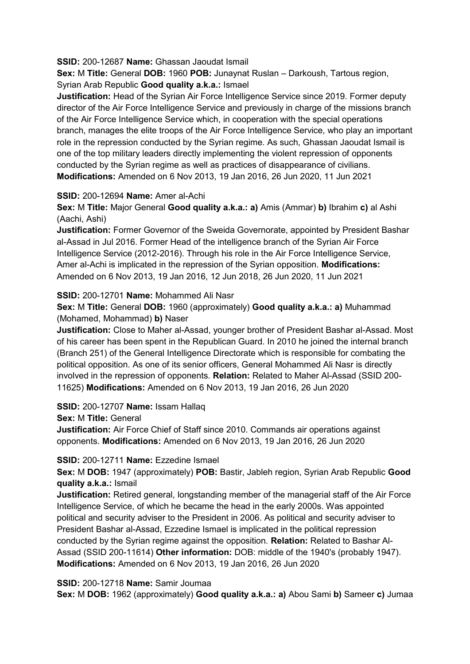### **SSID:** 200-12687 **Name:** Ghassan Jaoudat Ismail

**Sex:** M **Title:** General **DOB:** 1960 **POB:** Junaynat Ruslan – Darkoush, Tartous region, Syrian Arab Republic **Good quality a.k.a.:** Ismael

**Justification:** Head of the Syrian Air Force Intelligence Service since 2019. Former deputy director of the Air Force Intelligence Service and previously in charge of the missions branch of the Air Force Intelligence Service which, in cooperation with the special operations branch, manages the elite troops of the Air Force Intelligence Service, who play an important role in the repression conducted by the Syrian regime. As such, Ghassan Jaoudat Ismail is one of the top military leaders directly implementing the violent repression of opponents conducted by the Syrian regime as well as practices of disappearance of civilians. **Modifications:** Amended on 6 Nov 2013, 19 Jan 2016, 26 Jun 2020, 11 Jun 2021

### **SSID:** 200-12694 **Name:** Amer al-Achi

**Sex:** M **Title:** Major General **Good quality a.k.a.: a)** Amis (Ammar) **b)** Ibrahim **c)** al Ashi (Aachi, Ashi)

**Justification:** Former Governor of the Sweida Governorate, appointed by President Bashar al-Assad in Jul 2016. Former Head of the intelligence branch of the Syrian Air Force Intelligence Service (2012-2016). Through his role in the Air Force Intelligence Service, Amer al-Achi is implicated in the repression of the Syrian opposition. **Modifications:**  Amended on 6 Nov 2013, 19 Jan 2016, 12 Jun 2018, 26 Jun 2020, 11 Jun 2021

**SSID:** 200-12701 **Name:** Mohammed Ali Nasr

**Sex:** M **Title:** General **DOB:** 1960 (approximately) **Good quality a.k.a.: a)** Muhammad (Mohamed, Mohammad) **b)** Naser

**Justification:** Close to Maher al-Assad, younger brother of President Bashar al-Assad. Most of his career has been spent in the Republican Guard. In 2010 he joined the internal branch (Branch 251) of the General Intelligence Directorate which is responsible for combating the political opposition. As one of its senior officers, General Mohammed Ali Nasr is directly involved in the repression of opponents. **Relation:** Related to Maher Al-Assad (SSID 200- 11625) **Modifications:** Amended on 6 Nov 2013, 19 Jan 2016, 26 Jun 2020

**SSID:** 200-12707 **Name:** Issam Hallaq

**Sex:** M **Title:** General

**Justification:** Air Force Chief of Staff since 2010. Commands air operations against opponents. **Modifications:** Amended on 6 Nov 2013, 19 Jan 2016, 26 Jun 2020

## **SSID:** 200-12711 **Name:** Ezzedine Ismael

**Sex:** M **DOB:** 1947 (approximately) **POB:** Bastir, Jableh region, Syrian Arab Republic **Good quality a.k.a.:** Ismail

**Justification:** Retired general, longstanding member of the managerial staff of the Air Force Intelligence Service, of which he became the head in the early 2000s. Was appointed political and security adviser to the President in 2006. As political and security adviser to President Bashar al-Assad, Ezzedine Ismael is implicated in the political repression conducted by the Syrian regime against the opposition. **Relation:** Related to Bashar Al-Assad (SSID 200-11614) **Other information:** DOB: middle of the 1940's (probably 1947). **Modifications:** Amended on 6 Nov 2013, 19 Jan 2016, 26 Jun 2020

**SSID:** 200-12718 **Name:** Samir Joumaa

**Sex:** M **DOB:** 1962 (approximately) **Good quality a.k.a.: a)** Abou Sami **b)** Sameer **c)** Jumaa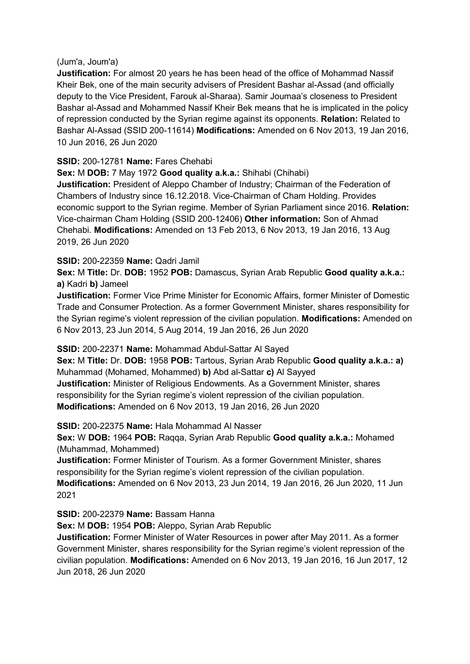#### (Jum'a, Joum'a)

**Justification:** For almost 20 years he has been head of the office of Mohammad Nassif Kheir Bek, one of the main security advisers of President Bashar al-Assad (and officially deputy to the Vice President, Farouk al-Sharaa). Samir Joumaa's closeness to President Bashar al-Assad and Mohammed Nassif Kheir Bek means that he is implicated in the policy of repression conducted by the Syrian regime against its opponents. **Relation:** Related to Bashar Al-Assad (SSID 200-11614) **Modifications:** Amended on 6 Nov 2013, 19 Jan 2016, 10 Jun 2016, 26 Jun 2020

# **SSID:** 200-12781 **Name:** Fares Chehabi

**Sex:** M **DOB:** 7 May 1972 **Good quality a.k.a.:** Shihabi (Chihabi) **Justification:** President of Aleppo Chamber of Industry; Chairman of the Federation of Chambers of Industry since 16.12.2018. Vice-Chairman of Cham Holding. Provides economic support to the Syrian regime. Member of Syrian Parliament since 2016. **Relation:** Vice-chairman Cham Holding (SSID 200-12406) **Other information:** Son of Ahmad Chehabi. **Modifications:** Amended on 13 Feb 2013, 6 Nov 2013, 19 Jan 2016, 13 Aug 2019, 26 Jun 2020

## **SSID:** 200-22359 **Name:** Qadri Jamil

**Sex:** M **Title:** Dr. **DOB:** 1952 **POB:** Damascus, Syrian Arab Republic **Good quality a.k.a.: a)** Kadri **b)** Jameel

**Justification:** Former Vice Prime Minister for Economic Affairs, former Minister of Domestic Trade and Consumer Protection. As a former Government Minister, shares responsibility for the Syrian regime's violent repression of the civilian population. **Modifications:** Amended on 6 Nov 2013, 23 Jun 2014, 5 Aug 2014, 19 Jan 2016, 26 Jun 2020

## **SSID:** 200-22371 **Name:** Mohammad Abdul-Sattar Al Sayed

**Sex:** M **Title:** Dr. **DOB:** 1958 **POB:** Tartous, Syrian Arab Republic **Good quality a.k.a.: a)**  Muhammad (Mohamed, Mohammed) **b)** Abd al-Sattar **c)** Al Sayyed **Justification:** Minister of Religious Endowments. As a Government Minister, shares responsibility for the Syrian regime's violent repression of the civilian population. **Modifications:** Amended on 6 Nov 2013, 19 Jan 2016, 26 Jun 2020

**SSID:** 200-22375 **Name:** Hala Mohammad Al Nasser

**Sex:** W **DOB:** 1964 **POB:** Raqqa, Syrian Arab Republic **Good quality a.k.a.:** Mohamed (Muhammad, Mohammed)

**Justification:** Former Minister of Tourism. As a former Government Minister, shares responsibility for the Syrian regime's violent repression of the civilian population. **Modifications:** Amended on 6 Nov 2013, 23 Jun 2014, 19 Jan 2016, 26 Jun 2020, 11 Jun 2021

**SSID:** 200-22379 **Name:** Bassam Hanna

**Sex:** M **DOB:** 1954 **POB:** Aleppo, Syrian Arab Republic

**Justification:** Former Minister of Water Resources in power after May 2011. As a former Government Minister, shares responsibility for the Syrian regime's violent repression of the civilian population. **Modifications:** Amended on 6 Nov 2013, 19 Jan 2016, 16 Jun 2017, 12 Jun 2018, 26 Jun 2020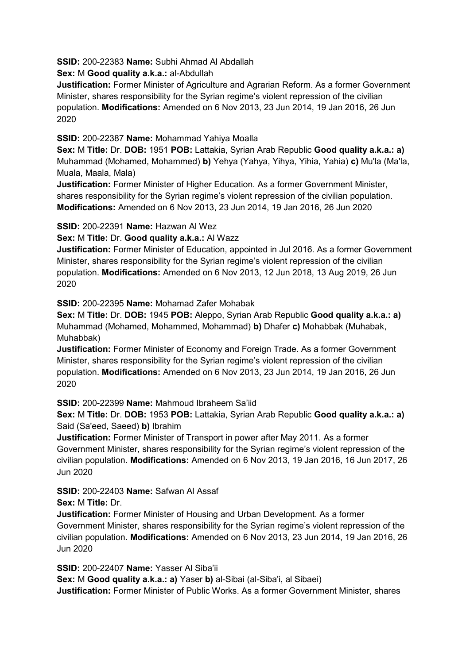**SSID:** 200-22383 **Name:** Subhi Ahmad Al Abdallah

**Sex:** M **Good quality a.k.a.:** al-Abdullah

**Justification:** Former Minister of Agriculture and Agrarian Reform. As a former Government Minister, shares responsibility for the Syrian regime's violent repression of the civilian population. **Modifications:** Amended on 6 Nov 2013, 23 Jun 2014, 19 Jan 2016, 26 Jun 2020

**SSID:** 200-22387 **Name:** Mohammad Yahiya Moalla

**Sex:** M **Title:** Dr. **DOB:** 1951 **POB:** Lattakia, Syrian Arab Republic **Good quality a.k.a.: a)**  Muhammad (Mohamed, Mohammed) **b)** Yehya (Yahya, Yihya, Yihia, Yahia) **c)** Mu'la (Ma'la, Muala, Maala, Mala)

**Justification:** Former Minister of Higher Education. As a former Government Minister, shares responsibility for the Syrian regime's violent repression of the civilian population. **Modifications:** Amended on 6 Nov 2013, 23 Jun 2014, 19 Jan 2016, 26 Jun 2020

# **SSID:** 200-22391 **Name:** Hazwan Al Wez

**Sex:** M **Title:** Dr. **Good quality a.k.a.:** Al Wazz

**Justification:** Former Minister of Education, appointed in Jul 2016. As a former Government Minister, shares responsibility for the Syrian regime's violent repression of the civilian population. **Modifications:** Amended on 6 Nov 2013, 12 Jun 2018, 13 Aug 2019, 26 Jun 2020

**SSID:** 200-22395 **Name:** Mohamad Zafer Mohabak

**Sex:** M **Title:** Dr. **DOB:** 1945 **POB:** Aleppo, Syrian Arab Republic **Good quality a.k.a.: a)**  Muhammad (Mohamed, Mohammed, Mohammad) **b)** Dhafer **c)** Mohabbak (Muhabak, Muhabbak)

**Justification:** Former Minister of Economy and Foreign Trade. As a former Government Minister, shares responsibility for the Syrian regime's violent repression of the civilian population. **Modifications:** Amended on 6 Nov 2013, 23 Jun 2014, 19 Jan 2016, 26 Jun 2020

**SSID:** 200-22399 **Name:** Mahmoud Ibraheem Sa'iid

**Sex:** M **Title:** Dr. **DOB:** 1953 **POB:** Lattakia, Syrian Arab Republic **Good quality a.k.a.: a)**  Said (Sa'eed, Saeed) **b)** Ibrahim

**Justification:** Former Minister of Transport in power after May 2011. As a former Government Minister, shares responsibility for the Syrian regime's violent repression of the civilian population. **Modifications:** Amended on 6 Nov 2013, 19 Jan 2016, 16 Jun 2017, 26 Jun 2020

**SSID:** 200-22403 **Name:** Safwan Al Assaf

**Sex:** M **Title:** Dr.

**Justification:** Former Minister of Housing and Urban Development. As a former Government Minister, shares responsibility for the Syrian regime's violent repression of the civilian population. **Modifications:** Amended on 6 Nov 2013, 23 Jun 2014, 19 Jan 2016, 26 Jun 2020

**SSID:** 200-22407 **Name:** Yasser Al Siba'ii

**Sex:** M **Good quality a.k.a.: a)** Yaser **b)** al-Sibai (al-Siba'i, al Sibaei)

**Justification:** Former Minister of Public Works. As a former Government Minister, shares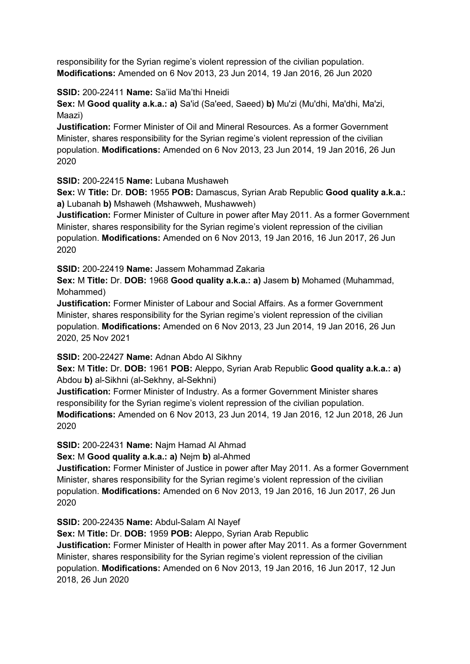responsibility for the Syrian regime's violent repression of the civilian population. **Modifications:** Amended on 6 Nov 2013, 23 Jun 2014, 19 Jan 2016, 26 Jun 2020

**SSID:** 200-22411 **Name:** Sa'iid Ma'thi Hneidi

**Sex:** M **Good quality a.k.a.: a)** Sa'id (Sa'eed, Saeed) **b)** Mu'zi (Mu'dhi, Ma'dhi, Ma'zi, Maazi)

**Justification:** Former Minister of Oil and Mineral Resources. As a former Government Minister, shares responsibility for the Syrian regime's violent repression of the civilian population. **Modifications:** Amended on 6 Nov 2013, 23 Jun 2014, 19 Jan 2016, 26 Jun 2020

**SSID:** 200-22415 **Name:** Lubana Mushaweh

**Sex:** W **Title:** Dr. **DOB:** 1955 **POB:** Damascus, Syrian Arab Republic **Good quality a.k.a.: a)** Lubanah **b)** Mshaweh (Mshawweh, Mushawweh)

**Justification:** Former Minister of Culture in power after May 2011. As a former Government Minister, shares responsibility for the Syrian regime's violent repression of the civilian population. **Modifications:** Amended on 6 Nov 2013, 19 Jan 2016, 16 Jun 2017, 26 Jun 2020

**SSID:** 200-22419 **Name:** Jassem Mohammad Zakaria

**Sex:** M **Title:** Dr. **DOB:** 1968 **Good quality a.k.a.: a)** Jasem **b)** Mohamed (Muhammad, Mohammed)

**Justification:** Former Minister of Labour and Social Affairs. As a former Government Minister, shares responsibility for the Syrian regime's violent repression of the civilian population. **Modifications:** Amended on 6 Nov 2013, 23 Jun 2014, 19 Jan 2016, 26 Jun 2020, 25 Nov 2021

**SSID:** 200-22427 **Name:** Adnan Abdo Al Sikhny

**Sex:** M **Title:** Dr. **DOB:** 1961 **POB:** Aleppo, Syrian Arab Republic **Good quality a.k.a.: a)**  Abdou **b)** al-Sikhni (al-Sekhny, al-Sekhni)

**Justification:** Former Minister of Industry. As a former Government Minister shares responsibility for the Syrian regime's violent repression of the civilian population. **Modifications:** Amended on 6 Nov 2013, 23 Jun 2014, 19 Jan 2016, 12 Jun 2018, 26 Jun 2020

**SSID:** 200-22431 **Name:** Najm Hamad Al Ahmad

**Sex:** M **Good quality a.k.a.: a)** Nejm **b)** al-Ahmed

**Justification:** Former Minister of Justice in power after May 2011. As a former Government Minister, shares responsibility for the Syrian regime's violent repression of the civilian population. **Modifications:** Amended on 6 Nov 2013, 19 Jan 2016, 16 Jun 2017, 26 Jun 2020

**SSID:** 200-22435 **Name:** Abdul-Salam Al Nayef

**Sex:** M **Title:** Dr. **DOB:** 1959 **POB:** Aleppo, Syrian Arab Republic

**Justification:** Former Minister of Health in power after May 2011. As a former Government Minister, shares responsibility for the Syrian regime's violent repression of the civilian population. **Modifications:** Amended on 6 Nov 2013, 19 Jan 2016, 16 Jun 2017, 12 Jun 2018, 26 Jun 2020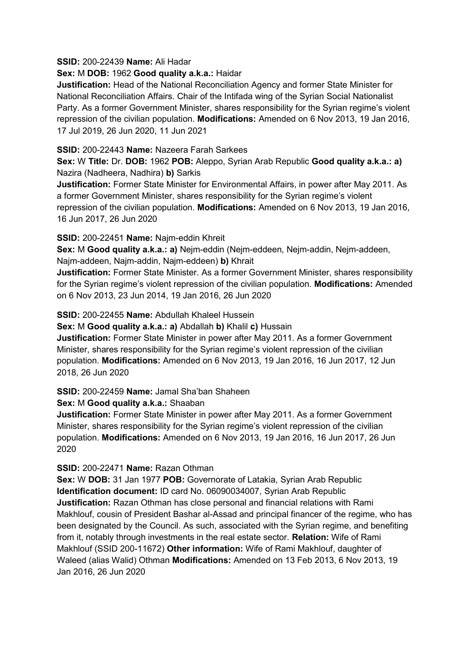#### **SSID:** 200-22439 **Name:** Ali Hadar

#### **Sex:** M **DOB:** 1962 **Good quality a.k.a.:** Haidar

**Justification:** Head of the National Reconciliation Agency and former State Minister for National Reconciliation Affairs. Chair of the Intifada wing of the Syrian Social Nationalist Party. As a former Government Minister, shares responsibility for the Syrian regime's violent repression of the civilian population. **Modifications:** Amended on 6 Nov 2013, 19 Jan 2016, 17 Jul 2019, 26 Jun 2020, 11 Jun 2021

### **SSID:** 200-22443 **Name:** Nazeera Farah Sarkees

**Sex:** W **Title:** Dr. **DOB:** 1962 **POB:** Aleppo, Syrian Arab Republic **Good quality a.k.a.: a)**  Nazira (Nadheera, Nadhira) **b)** Sarkis

**Justification:** Former State Minister for Environmental Affairs, in power after May 2011. As a former Government Minister, shares responsibility for the Syrian regime's violent repression of the civilian population. **Modifications:** Amended on 6 Nov 2013, 19 Jan 2016, 16 Jun 2017, 26 Jun 2020

### **SSID:** 200-22451 **Name:** Najm-eddin Khreit

**Sex:** M **Good quality a.k.a.: a)** Nejm-eddin (Nejm-eddeen, Nejm-addin, Nejm-addeen, Najm-addeen, Najm-addin, Najm-eddeen) **b)** Khrait

**Justification:** Former State Minister. As a former Government Minister, shares responsibility for the Syrian regime's violent repression of the civilian population. **Modifications:** Amended on 6 Nov 2013, 23 Jun 2014, 19 Jan 2016, 26 Jun 2020

**SSID:** 200-22455 **Name:** Abdullah Khaleel Hussein

**Sex:** M **Good quality a.k.a.: a)** Abdallah **b)** Khalil **c)** Hussain

**Justification:** Former State Minister in power after May 2011. As a former Government Minister, shares responsibility for the Syrian regime's violent repression of the civilian population. **Modifications:** Amended on 6 Nov 2013, 19 Jan 2016, 16 Jun 2017, 12 Jun 2018, 26 Jun 2020

**SSID:** 200-22459 **Name:** Jamal Sha'ban Shaheen

## **Sex:** M **Good quality a.k.a.:** Shaaban

**Justification:** Former State Minister in power after May 2011. As a former Government Minister, shares responsibility for the Syrian regime's violent repression of the civilian population. **Modifications:** Amended on 6 Nov 2013, 19 Jan 2016, 16 Jun 2017, 26 Jun 2020

**SSID:** 200-22471 **Name:** Razan Othman

**Sex:** W **DOB:** 31 Jan 1977 **POB:** Governorate of Latakia, Syrian Arab Republic **Identification document:** ID card No. 06090034007, Syrian Arab Republic **Justification:** Razan Othman has close personal and financial relations with Rami Makhlouf, cousin of President Bashar al-Assad and principal financer of the regime, who has been designated by the Council. As such, associated with the Syrian regime, and benefiting from it, notably through investments in the real estate sector. **Relation:** Wife of Rami Makhlouf (SSID 200-11672) **Other information:** Wife of Rami Makhlouf, daughter of Waleed (alias Walid) Othman **Modifications:** Amended on 13 Feb 2013, 6 Nov 2013, 19 Jan 2016, 26 Jun 2020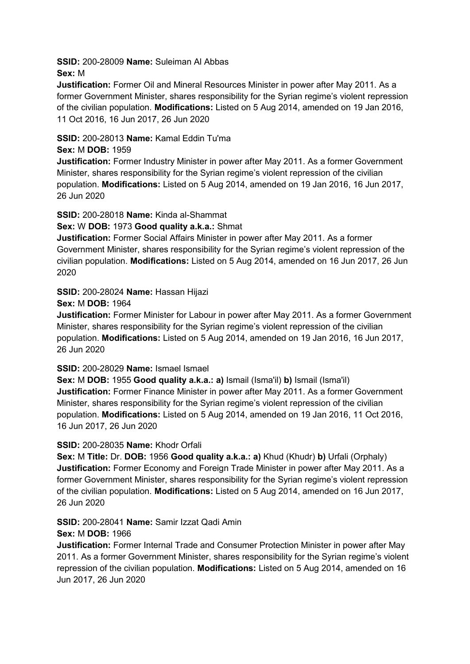**SSID:** 200-28009 **Name:** Suleiman Al Abbas **Sex:** M

**Justification:** Former Oil and Mineral Resources Minister in power after May 2011. As a former Government Minister, shares responsibility for the Syrian regime's violent repression of the civilian population. **Modifications:** Listed on 5 Aug 2014, amended on 19 Jan 2016, 11 Oct 2016, 16 Jun 2017, 26 Jun 2020

## **SSID:** 200-28013 **Name:** Kamal Eddin Tu'ma

## **Sex:** M **DOB:** 1959

**Justification:** Former Industry Minister in power after May 2011. As a former Government Minister, shares responsibility for the Syrian regime's violent repression of the civilian population. **Modifications:** Listed on 5 Aug 2014, amended on 19 Jan 2016, 16 Jun 2017, 26 Jun 2020

**SSID:** 200-28018 **Name:** Kinda al-Shammat

### **Sex:** W **DOB:** 1973 **Good quality a.k.a.:** Shmat

**Justification:** Former Social Affairs Minister in power after May 2011. As a former Government Minister, shares responsibility for the Syrian regime's violent repression of the civilian population. **Modifications:** Listed on 5 Aug 2014, amended on 16 Jun 2017, 26 Jun 2020

## **SSID:** 200-28024 **Name:** Hassan Hijazi

#### **Sex:** M **DOB:** 1964

**Justification:** Former Minister for Labour in power after May 2011. As a former Government Minister, shares responsibility for the Syrian regime's violent repression of the civilian population. **Modifications:** Listed on 5 Aug 2014, amended on 19 Jan 2016, 16 Jun 2017, 26 Jun 2020

#### **SSID:** 200-28029 **Name:** Ismael Ismael

**Sex:** M **DOB:** 1955 **Good quality a.k.a.: a)** Ismail (Isma'il) **b)** Ismail (Isma'il) **Justification:** Former Finance Minister in power after May 2011. As a former Government Minister, shares responsibility for the Syrian regime's violent repression of the civilian population. **Modifications:** Listed on 5 Aug 2014, amended on 19 Jan 2016, 11 Oct 2016, 16 Jun 2017, 26 Jun 2020

## **SSID:** 200-28035 **Name:** Khodr Orfali

**Sex:** M **Title:** Dr. **DOB:** 1956 **Good quality a.k.a.: a)** Khud (Khudr) **b)** Urfali (Orphaly) **Justification:** Former Economy and Foreign Trade Minister in power after May 2011. As a former Government Minister, shares responsibility for the Syrian regime's violent repression of the civilian population. **Modifications:** Listed on 5 Aug 2014, amended on 16 Jun 2017, 26 Jun 2020

## **SSID:** 200-28041 **Name:** Samir Izzat Qadi Amin

#### **Sex:** M **DOB:** 1966

**Justification:** Former Internal Trade and Consumer Protection Minister in power after May 2011. As a former Government Minister, shares responsibility for the Syrian regime's violent repression of the civilian population. **Modifications:** Listed on 5 Aug 2014, amended on 16 Jun 2017, 26 Jun 2020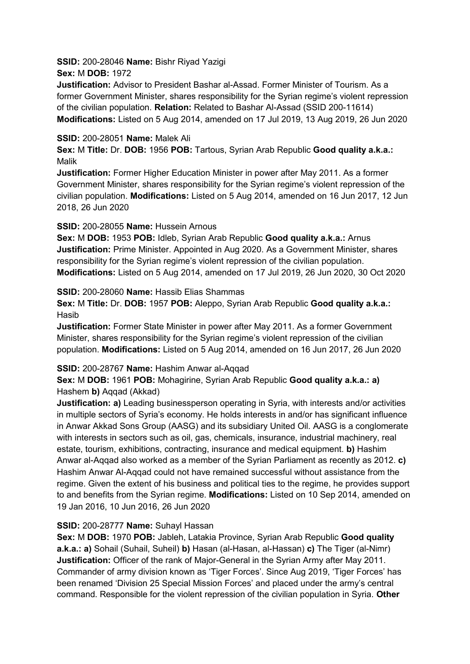**SSID:** 200-28046 **Name:** Bishr Riyad Yazigi **Sex:** M **DOB:** 1972

**Justification:** Advisor to President Bashar al-Assad. Former Minister of Tourism. As a former Government Minister, shares responsibility for the Syrian regime's violent repression of the civilian population. **Relation:** Related to Bashar Al-Assad (SSID 200-11614) **Modifications:** Listed on 5 Aug 2014, amended on 17 Jul 2019, 13 Aug 2019, 26 Jun 2020

### **SSID:** 200-28051 **Name:** Malek Ali

**Sex:** M **Title:** Dr. **DOB:** 1956 **POB:** Tartous, Syrian Arab Republic **Good quality a.k.a.:**  Malik

**Justification:** Former Higher Education Minister in power after May 2011. As a former Government Minister, shares responsibility for the Syrian regime's violent repression of the civilian population. **Modifications:** Listed on 5 Aug 2014, amended on 16 Jun 2017, 12 Jun 2018, 26 Jun 2020

### **SSID:** 200-28055 **Name:** Hussein Arnous

**Sex:** M **DOB:** 1953 **POB:** Idleb, Syrian Arab Republic **Good quality a.k.a.:** Arnus **Justification:** Prime Minister. Appointed in Aug 2020. As a Government Minister, shares responsibility for the Syrian regime's violent repression of the civilian population. **Modifications:** Listed on 5 Aug 2014, amended on 17 Jul 2019, 26 Jun 2020, 30 Oct 2020

**SSID:** 200-28060 **Name:** Hassib Elias Shammas

**Sex:** M **Title:** Dr. **DOB:** 1957 **POB:** Aleppo, Syrian Arab Republic **Good quality a.k.a.:**  Hasib

**Justification:** Former State Minister in power after May 2011. As a former Government Minister, shares responsibility for the Syrian regime's violent repression of the civilian population. **Modifications:** Listed on 5 Aug 2014, amended on 16 Jun 2017, 26 Jun 2020

#### **SSID:** 200-28767 **Name:** Hashim Anwar al-Aqqad

**Sex:** M **DOB:** 1961 **POB:** Mohagirine, Syrian Arab Republic **Good quality a.k.a.: a)**  Hashem **b)** Aqqad (Akkad)

**Justification: a)** Leading businessperson operating in Syria, with interests and/or activities in multiple sectors of Syria's economy. He holds interests in and/or has significant influence in Anwar Akkad Sons Group (AASG) and its subsidiary United Oil. AASG is a conglomerate with interests in sectors such as oil, gas, chemicals, insurance, industrial machinery, real estate, tourism, exhibitions, contracting, insurance and medical equipment. **b)** Hashim Anwar al-Aqqad also worked as a member of the Syrian Parliament as recently as 2012. **c)**  Hashim Anwar Al-Aqqad could not have remained successful without assistance from the regime. Given the extent of his business and political ties to the regime, he provides support to and benefits from the Syrian regime. **Modifications:** Listed on 10 Sep 2014, amended on 19 Jan 2016, 10 Jun 2016, 26 Jun 2020

## **SSID:** 200-28777 **Name:** Suhayl Hassan

**Sex:** M **DOB:** 1970 **POB:** Jableh, Latakia Province, Syrian Arab Republic **Good quality a.k.a.: a)** Sohail (Suhail, Suheil) **b)** Hasan (al-Hasan, al-Hassan) **c)** The Tiger (al-Nimr) **Justification:** Officer of the rank of Major-General in the Syrian Army after May 2011. Commander of army division known as 'Tiger Forces'. Since Aug 2019, 'Tiger Forces' has been renamed 'Division 25 Special Mission Forces' and placed under the army's central command. Responsible for the violent repression of the civilian population in Syria. **Other**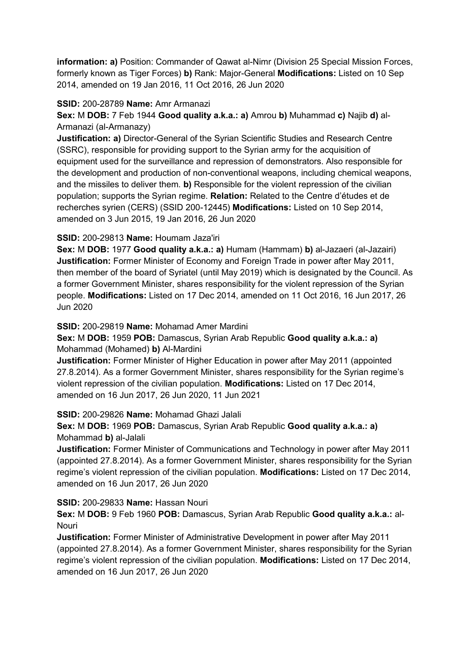**information: a)** Position: Commander of Qawat al-Nimr (Division 25 Special Mission Forces, formerly known as Tiger Forces) **b)** Rank: Major-General **Modifications:** Listed on 10 Sep 2014, amended on 19 Jan 2016, 11 Oct 2016, 26 Jun 2020

### **SSID:** 200-28789 **Name:** Amr Armanazi

**Sex:** M **DOB:** 7 Feb 1944 **Good quality a.k.a.: a)** Amrou **b)** Muhammad **c)** Najib **d)** al-Armanazi (al-Armanazy)

**Justification: a)** Director-General of the Syrian Scientific Studies and Research Centre (SSRC), responsible for providing support to the Syrian army for the acquisition of equipment used for the surveillance and repression of demonstrators. Also responsible for the development and production of non-conventional weapons, including chemical weapons, and the missiles to deliver them. **b)** Responsible for the violent repression of the civilian population; supports the Syrian regime. **Relation:** Related to the Centre d'études et de recherches syrien (CERS) (SSID 200-12445) **Modifications:** Listed on 10 Sep 2014, amended on 3 Jun 2015, 19 Jan 2016, 26 Jun 2020

### **SSID:** 200-29813 **Name:** Houmam Jaza'iri

**Sex:** M **DOB:** 1977 **Good quality a.k.a.: a)** Humam (Hammam) **b)** al-Jazaeri (al-Jazairi) **Justification:** Former Minister of Economy and Foreign Trade in power after May 2011, then member of the board of Syriatel (until May 2019) which is designated by the Council. As a former Government Minister, shares responsibility for the violent repression of the Syrian people. **Modifications:** Listed on 17 Dec 2014, amended on 11 Oct 2016, 16 Jun 2017, 26 Jun 2020

**SSID:** 200-29819 **Name:** Mohamad Amer Mardini

## **Sex:** M **DOB:** 1959 **POB:** Damascus, Syrian Arab Republic **Good quality a.k.a.: a)**  Mohammad (Mohamed) **b)** Al-Mardini

**Justification:** Former Minister of Higher Education in power after May 2011 (appointed 27.8.2014). As a former Government Minister, shares responsibility for the Syrian regime's violent repression of the civilian population. **Modifications:** Listed on 17 Dec 2014, amended on 16 Jun 2017, 26 Jun 2020, 11 Jun 2021

## **SSID:** 200-29826 **Name:** Mohamad Ghazi Jalali

**Sex:** M **DOB:** 1969 **POB:** Damascus, Syrian Arab Republic **Good quality a.k.a.: a)**  Mohammad **b)** al-Jalali

**Justification:** Former Minister of Communications and Technology in power after May 2011 (appointed 27.8.2014). As a former Government Minister, shares responsibility for the Syrian regime's violent repression of the civilian population. **Modifications:** Listed on 17 Dec 2014, amended on 16 Jun 2017, 26 Jun 2020

## **SSID:** 200-29833 **Name:** Hassan Nouri

**Sex:** M **DOB:** 9 Feb 1960 **POB:** Damascus, Syrian Arab Republic **Good quality a.k.a.:** al-**Nouri** 

**Justification:** Former Minister of Administrative Development in power after May 2011 (appointed 27.8.2014). As a former Government Minister, shares responsibility for the Syrian regime's violent repression of the civilian population. **Modifications:** Listed on 17 Dec 2014, amended on 16 Jun 2017, 26 Jun 2020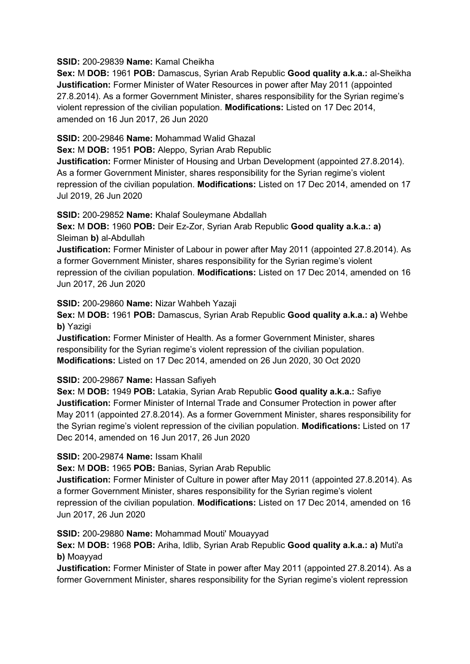**SSID:** 200-29839 **Name:** Kamal Cheikha

**Sex:** M **DOB:** 1961 **POB:** Damascus, Syrian Arab Republic **Good quality a.k.a.:** al-Sheikha **Justification:** Former Minister of Water Resources in power after May 2011 (appointed 27.8.2014). As a former Government Minister, shares responsibility for the Syrian regime's violent repression of the civilian population. **Modifications:** Listed on 17 Dec 2014, amended on 16 Jun 2017, 26 Jun 2020

**SSID:** 200-29846 **Name:** Mohammad Walid Ghazal

**Sex:** M **DOB:** 1951 **POB:** Aleppo, Syrian Arab Republic

**Justification:** Former Minister of Housing and Urban Development (appointed 27.8.2014). As a former Government Minister, shares responsibility for the Syrian regime's violent repression of the civilian population. **Modifications:** Listed on 17 Dec 2014, amended on 17 Jul 2019, 26 Jun 2020

**SSID:** 200-29852 **Name:** Khalaf Souleymane Abdallah

**Sex:** M **DOB:** 1960 **POB:** Deir Ez-Zor, Syrian Arab Republic **Good quality a.k.a.: a)**  Sleiman **b)** al-Abdullah

**Justification:** Former Minister of Labour in power after May 2011 (appointed 27.8.2014). As a former Government Minister, shares responsibility for the Syrian regime's violent repression of the civilian population. **Modifications:** Listed on 17 Dec 2014, amended on 16 Jun 2017, 26 Jun 2020

**SSID:** 200-29860 **Name:** Nizar Wahbeh Yazaji

**Sex:** M **DOB:** 1961 **POB:** Damascus, Syrian Arab Republic **Good quality a.k.a.: a)** Wehbe **b)** Yazigi

**Justification:** Former Minister of Health. As a former Government Minister, shares responsibility for the Syrian regime's violent repression of the civilian population. **Modifications:** Listed on 17 Dec 2014, amended on 26 Jun 2020, 30 Oct 2020

## **SSID:** 200-29867 **Name:** Hassan Safiyeh

**Sex:** M **DOB:** 1949 **POB:** Latakia, Syrian Arab Republic **Good quality a.k.a.:** Safiye **Justification:** Former Minister of Internal Trade and Consumer Protection in power after May 2011 (appointed 27.8.2014). As a former Government Minister, shares responsibility for the Syrian regime's violent repression of the civilian population. **Modifications:** Listed on 17 Dec 2014, amended on 16 Jun 2017, 26 Jun 2020

## **SSID:** 200-29874 **Name:** Issam Khalil

**Sex:** M **DOB:** 1965 **POB:** Banias, Syrian Arab Republic

**Justification:** Former Minister of Culture in power after May 2011 (appointed 27.8.2014). As a former Government Minister, shares responsibility for the Syrian regime's violent repression of the civilian population. **Modifications:** Listed on 17 Dec 2014, amended on 16 Jun 2017, 26 Jun 2020

**SSID:** 200-29880 **Name:** Mohammad Mouti' Mouayyad

**Sex:** M **DOB:** 1968 **POB:** Ariha, Idlib, Syrian Arab Republic **Good quality a.k.a.: a)** Muti'a **b)** Moayyad

**Justification:** Former Minister of State in power after May 2011 (appointed 27.8.2014). As a former Government Minister, shares responsibility for the Syrian regime's violent repression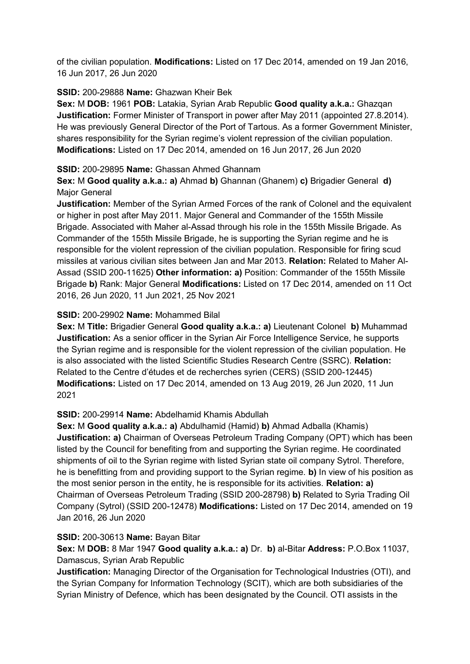of the civilian population. **Modifications:** Listed on 17 Dec 2014, amended on 19 Jan 2016, 16 Jun 2017, 26 Jun 2020

## **SSID:** 200-29888 **Name:** Ghazwan Kheir Bek

**Sex:** M **DOB:** 1961 **POB:** Latakia, Syrian Arab Republic **Good quality a.k.a.:** Ghazqan **Justification:** Former Minister of Transport in power after May 2011 (appointed 27.8.2014). He was previously General Director of the Port of Tartous. As a former Government Minister, shares responsibility for the Syrian regime's violent repression of the civilian population. **Modifications:** Listed on 17 Dec 2014, amended on 16 Jun 2017, 26 Jun 2020

## **SSID:** 200-29895 **Name:** Ghassan Ahmed Ghannam

**Sex:** M **Good quality a.k.a.: a)** Ahmad **b)** Ghannan (Ghanem) **c)** Brigadier General **d)**  Major General

**Justification:** Member of the Syrian Armed Forces of the rank of Colonel and the equivalent or higher in post after May 2011. Major General and Commander of the 155th Missile Brigade. Associated with Maher al-Assad through his role in the 155th Missile Brigade. As Commander of the 155th Missile Brigade, he is supporting the Syrian regime and he is responsible for the violent repression of the civilian population. Responsible for firing scud missiles at various civilian sites between Jan and Mar 2013. **Relation:** Related to Maher Al-Assad (SSID 200-11625) **Other information: a)** Position: Commander of the 155th Missile Brigade **b)** Rank: Major General **Modifications:** Listed on 17 Dec 2014, amended on 11 Oct 2016, 26 Jun 2020, 11 Jun 2021, 25 Nov 2021

### **SSID:** 200-29902 **Name:** Mohammed Bilal

**Sex:** M **Title:** Brigadier General **Good quality a.k.a.: a)** Lieutenant Colonel **b)** Muhammad **Justification:** As a senior officer in the Syrian Air Force Intelligence Service, he supports the Syrian regime and is responsible for the violent repression of the civilian population. He is also associated with the listed Scientific Studies Research Centre (SSRC). **Relation:** Related to the Centre d'études et de recherches syrien (CERS) (SSID 200-12445) **Modifications:** Listed on 17 Dec 2014, amended on 13 Aug 2019, 26 Jun 2020, 11 Jun 2021

## **SSID:** 200-29914 **Name:** Abdelhamid Khamis Abdullah

**Sex:** M **Good quality a.k.a.: a)** Abdulhamid (Hamid) **b)** Ahmad Adballa (Khamis) **Justification: a)** Chairman of Overseas Petroleum Trading Company (OPT) which has been listed by the Council for benefiting from and supporting the Syrian regime. He coordinated shipments of oil to the Syrian regime with listed Syrian state oil company Sytrol. Therefore, he is benefitting from and providing support to the Syrian regime. **b)** In view of his position as the most senior person in the entity, he is responsible for its activities. **Relation: a)**  Chairman of Overseas Petroleum Trading (SSID 200-28798) **b)** Related to Syria Trading Oil Company (Sytrol) (SSID 200-12478) **Modifications:** Listed on 17 Dec 2014, amended on 19 Jan 2016, 26 Jun 2020

#### **SSID:** 200-30613 **Name:** Bayan Bitar

**Sex:** M **DOB:** 8 Mar 1947 **Good quality a.k.a.: a)** Dr. **b)** al-Bitar **Address:** P.O.Box 11037, Damascus, Syrian Arab Republic

**Justification:** Managing Director of the Organisation for Technological Industries (OTI), and the Syrian Company for Information Technology (SCIT), which are both subsidiaries of the Syrian Ministry of Defence, which has been designated by the Council. OTI assists in the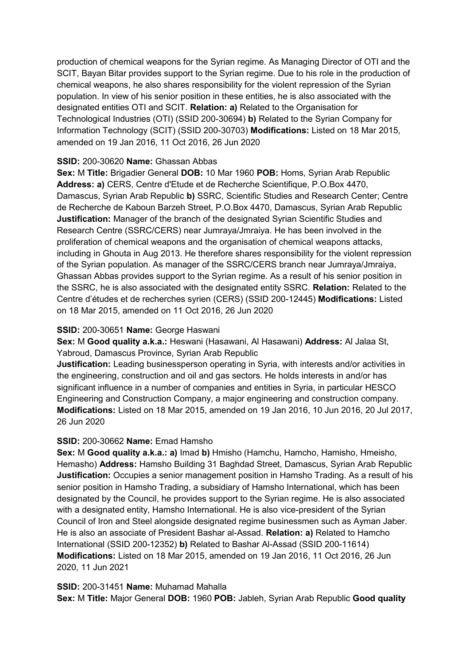production of chemical weapons for the Syrian regime. As Managing Director of OTI and the SCIT, Bayan Bitar provides support to the Syrian regime. Due to his role in the production of chemical weapons, he also shares responsibility for the violent repression of the Syrian population. In view of his senior position in these entities, he is also associated with the designated entities OTI and SCIT. **Relation: a)** Related to the Organisation for Technological Industries (OTI) (SSID 200-30694) **b)** Related to the Syrian Company for Information Technology (SCIT) (SSID 200-30703) **Modifications:** Listed on 18 Mar 2015, amended on 19 Jan 2016, 11 Oct 2016, 26 Jun 2020

### **SSID:** 200-30620 **Name:** Ghassan Abbas

**Sex:** M **Title:** Brigadier General **DOB:** 10 Mar 1960 **POB:** Homs, Syrian Arab Republic **Address: a)** CERS, Centre d'Etude et de Recherche Scientifique, P.O.Box 4470, Damascus, Syrian Arab Republic **b)** SSRC, Scientific Studies and Research Center; Centre de Recherche de Kaboun Barzeh Street, P.O.Box 4470, Damascus, Syrian Arab Republic **Justification:** Manager of the branch of the designated Syrian Scientific Studies and Research Centre (SSRC/CERS) near Jumraya/Jmraiya. He has been involved in the proliferation of chemical weapons and the organisation of chemical weapons attacks, including in Ghouta in Aug 2013. He therefore shares responsibility for the violent repression of the Syrian population. As manager of the SSRC/CERS branch near Jumraya/Jmraiya, Ghassan Abbas provides support to the Syrian regime. As a result of his senior position in the SSRC, he is also associated with the designated entity SSRC. **Relation:** Related to the Centre d'études et de recherches syrien (CERS) (SSID 200-12445) **Modifications:** Listed on 18 Mar 2015, amended on 11 Oct 2016, 26 Jun 2020

#### **SSID:** 200-30651 **Name:** George Haswani

**Sex:** M **Good quality a.k.a.:** Heswani (Hasawani, Al Hasawani) **Address:** Al Jalaa St, Yabroud, Damascus Province, Syrian Arab Republic

**Justification:** Leading businessperson operating in Syria, with interests and/or activities in the engineering, construction and oil and gas sectors. He holds interests in and/or has significant influence in a number of companies and entities in Syria, in particular HESCO Engineering and Construction Company, a major engineering and construction company. **Modifications:** Listed on 18 Mar 2015, amended on 19 Jan 2016, 10 Jun 2016, 20 Jul 2017, 26 Jun 2020

#### **SSID:** 200-30662 **Name:** Emad Hamsho

**Sex:** M **Good quality a.k.a.: a)** Imad **b)** Hmisho (Hamchu, Hamcho, Hamisho, Hmeisho, Hemasho) **Address:** Hamsho Building 31 Baghdad Street, Damascus, Syrian Arab Republic **Justification:** Occupies a senior management position in Hamsho Trading. As a result of his senior position in Hamsho Trading, a subsidiary of Hamsho International, which has been designated by the Council, he provides support to the Syrian regime. He is also associated with a designated entity, Hamsho International. He is also vice-president of the Syrian Council of Iron and Steel alongside designated regime businessmen such as Ayman Jaber. He is also an associate of President Bashar al-Assad. **Relation: a)** Related to Hamcho International (SSID 200-12352) **b)** Related to Bashar Al-Assad (SSID 200-11614) **Modifications:** Listed on 18 Mar 2015, amended on 19 Jan 2016, 11 Oct 2016, 26 Jun 2020, 11 Jun 2021

#### **SSID:** 200-31451 **Name:** Muhamad Mahalla

**Sex:** M **Title:** Major General **DOB:** 1960 **POB:** Jableh, Syrian Arab Republic **Good quality**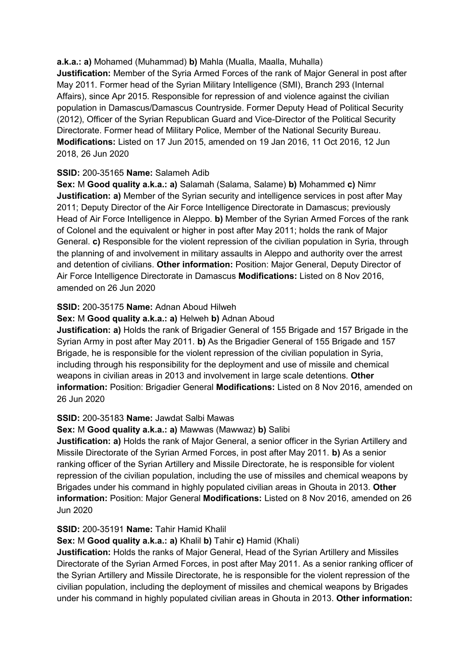**a.k.a.: a)** Mohamed (Muhammad) **b)** Mahla (Mualla, Maalla, Muhalla) **Justification:** Member of the Syria Armed Forces of the rank of Major General in post after May 2011. Former head of the Syrian Military Intelligence (SMI), Branch 293 (Internal Affairs), since Apr 2015. Responsible for repression of and violence against the civilian population in Damascus/Damascus Countryside. Former Deputy Head of Political Security (2012), Officer of the Syrian Republican Guard and Vice-Director of the Political Security Directorate. Former head of Military Police, Member of the National Security Bureau. **Modifications:** Listed on 17 Jun 2015, amended on 19 Jan 2016, 11 Oct 2016, 12 Jun 2018, 26 Jun 2020

### **SSID:** 200-35165 **Name:** Salameh Adib

**Sex:** M **Good quality a.k.a.: a)** Salamah (Salama, Salame) **b)** Mohammed **c)** Nimr **Justification: a)** Member of the Syrian security and intelligence services in post after May 2011; Deputy Director of the Air Force Intelligence Directorate in Damascus; previously Head of Air Force Intelligence in Aleppo. **b)** Member of the Syrian Armed Forces of the rank of Colonel and the equivalent or higher in post after May 2011; holds the rank of Major General. **c)** Responsible for the violent repression of the civilian population in Syria, through the planning of and involvement in military assaults in Aleppo and authority over the arrest and detention of civilians. **Other information:** Position: Major General, Deputy Director of Air Force Intelligence Directorate in Damascus **Modifications:** Listed on 8 Nov 2016, amended on 26 Jun 2020

## **SSID:** 200-35175 **Name:** Adnan Aboud Hilweh

#### **Sex:** M **Good quality a.k.a.: a)** Helweh **b)** Adnan Aboud

**Justification: a)** Holds the rank of Brigadier General of 155 Brigade and 157 Brigade in the Syrian Army in post after May 2011. **b)** As the Brigadier General of 155 Brigade and 157 Brigade, he is responsible for the violent repression of the civilian population in Syria, including through his responsibility for the deployment and use of missile and chemical weapons in civilian areas in 2013 and involvement in large scale detentions. **Other information:** Position: Brigadier General **Modifications:** Listed on 8 Nov 2016, amended on 26 Jun 2020

#### **SSID:** 200-35183 **Name:** Jawdat Salbi Mawas

#### **Sex:** M **Good quality a.k.a.: a)** Mawwas (Mawwaz) **b)** Salibi

**Justification: a)** Holds the rank of Major General, a senior officer in the Syrian Artillery and Missile Directorate of the Syrian Armed Forces, in post after May 2011. **b)** As a senior ranking officer of the Syrian Artillery and Missile Directorate, he is responsible for violent repression of the civilian population, including the use of missiles and chemical weapons by Brigades under his command in highly populated civilian areas in Ghouta in 2013. **Other information:** Position: Major General **Modifications:** Listed on 8 Nov 2016, amended on 26 Jun 2020

#### **SSID:** 200-35191 **Name:** Tahir Hamid Khalil

## **Sex:** M **Good quality a.k.a.: a)** Khalil **b)** Tahir **c)** Hamid (Khali)

**Justification:** Holds the ranks of Major General, Head of the Syrian Artillery and Missiles Directorate of the Syrian Armed Forces, in post after May 2011. As a senior ranking officer of the Syrian Artillery and Missile Directorate, he is responsible for the violent repression of the civilian population, including the deployment of missiles and chemical weapons by Brigades under his command in highly populated civilian areas in Ghouta in 2013. **Other information:**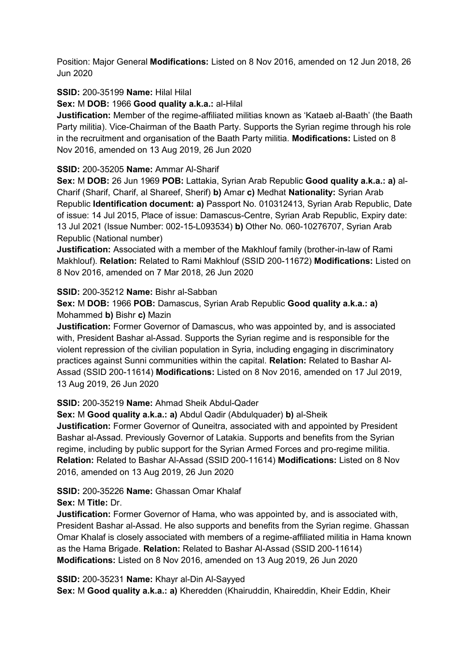Position: Major General **Modifications:** Listed on 8 Nov 2016, amended on 12 Jun 2018, 26 Jun 2020

### **SSID:** 200-35199 **Name:** Hilal Hilal

**Sex:** M **DOB:** 1966 **Good quality a.k.a.:** al-Hilal

**Justification:** Member of the regime-affiliated militias known as 'Kataeb al-Baath' (the Baath Party militia). Vice-Chairman of the Baath Party. Supports the Syrian regime through his role in the recruitment and organisation of the Baath Party militia. **Modifications:** Listed on 8 Nov 2016, amended on 13 Aug 2019, 26 Jun 2020

### **SSID:** 200-35205 **Name:** Ammar Al-Sharif

**Sex:** M **DOB:** 26 Jun 1969 **POB:** Lattakia, Syrian Arab Republic **Good quality a.k.a.: a)** al-Charif (Sharif, Charif, al Shareef, Sherif) **b)** Amar **c)** Medhat **Nationality:** Syrian Arab Republic **Identification document: a)** Passport No. 010312413, Syrian Arab Republic, Date of issue: 14 Jul 2015, Place of issue: Damascus-Centre, Syrian Arab Republic, Expiry date: 13 Jul 2021 (Issue Number: 002-15-L093534) **b)** Other No. 060-10276707, Syrian Arab Republic (National number)

**Justification:** Associated with a member of the Makhlouf family (brother-in-law of Rami Makhlouf). **Relation:** Related to Rami Makhlouf (SSID 200-11672) **Modifications:** Listed on 8 Nov 2016, amended on 7 Mar 2018, 26 Jun 2020

### **SSID:** 200-35212 **Name:** Bishr al-Sabban

**Sex:** M **DOB:** 1966 **POB:** Damascus, Syrian Arab Republic **Good quality a.k.a.: a)**  Mohammed **b)** Bishr **c)** Mazin

**Justification:** Former Governor of Damascus, who was appointed by, and is associated with, President Bashar al-Assad. Supports the Syrian regime and is responsible for the violent repression of the civilian population in Syria, including engaging in discriminatory practices against Sunni communities within the capital. **Relation:** Related to Bashar Al-Assad (SSID 200-11614) **Modifications:** Listed on 8 Nov 2016, amended on 17 Jul 2019, 13 Aug 2019, 26 Jun 2020

## **SSID:** 200-35219 **Name:** Ahmad Sheik Abdul-Qader

**Sex:** M **Good quality a.k.a.: a)** Abdul Qadir (Abdulquader) **b)** al-Sheik

**Justification:** Former Governor of Quneitra, associated with and appointed by President Bashar al-Assad. Previously Governor of Latakia. Supports and benefits from the Syrian regime, including by public support for the Syrian Armed Forces and pro-regime militia. **Relation:** Related to Bashar Al-Assad (SSID 200-11614) **Modifications:** Listed on 8 Nov 2016, amended on 13 Aug 2019, 26 Jun 2020

# **SSID:** 200-35226 **Name:** Ghassan Omar Khalaf

## **Sex:** M **Title:** Dr.

**Justification:** Former Governor of Hama, who was appointed by, and is associated with, President Bashar al-Assad. He also supports and benefits from the Syrian regime. Ghassan Omar Khalaf is closely associated with members of a regime-affiliated militia in Hama known as the Hama Brigade. **Relation:** Related to Bashar Al-Assad (SSID 200-11614) **Modifications:** Listed on 8 Nov 2016, amended on 13 Aug 2019, 26 Jun 2020

#### **SSID:** 200-35231 **Name:** Khayr al-Din Al-Sayyed

**Sex:** M **Good quality a.k.a.: a)** Kheredden (Khairuddin, Khaireddin, Kheir Eddin, Kheir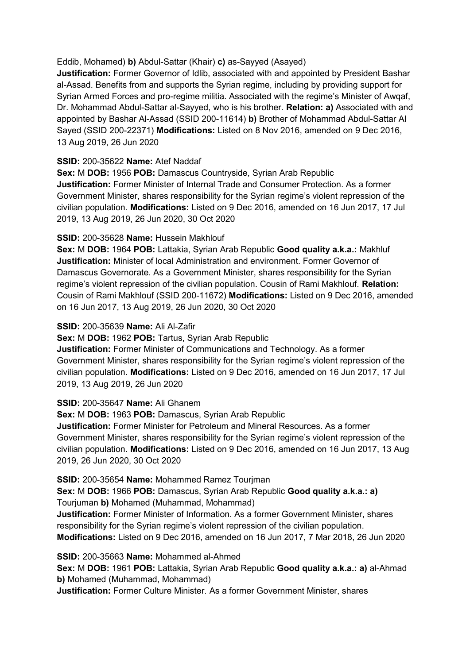### Eddib, Mohamed) **b)** Abdul-Sattar (Khair) **c)** as-Sayyed (Asayed)

**Justification:** Former Governor of Idlib, associated with and appointed by President Bashar al-Assad. Benefits from and supports the Syrian regime, including by providing support for Syrian Armed Forces and pro-regime militia. Associated with the regime's Minister of Awqaf, Dr. Mohammad Abdul-Sattar al-Sayyed, who is his brother. **Relation: a)** Associated with and appointed by Bashar Al-Assad (SSID 200-11614) **b)** Brother of Mohammad Abdul-Sattar Al Sayed (SSID 200-22371) **Modifications:** Listed on 8 Nov 2016, amended on 9 Dec 2016, 13 Aug 2019, 26 Jun 2020

## **SSID:** 200-35622 **Name:** Atef Naddaf

**Sex:** M **DOB:** 1956 **POB:** Damascus Countryside, Syrian Arab Republic **Justification:** Former Minister of Internal Trade and Consumer Protection. As a former Government Minister, shares responsibility for the Syrian regime's violent repression of the civilian population. **Modifications:** Listed on 9 Dec 2016, amended on 16 Jun 2017, 17 Jul 2019, 13 Aug 2019, 26 Jun 2020, 30 Oct 2020

### **SSID:** 200-35628 **Name:** Hussein Makhlouf

**Sex:** M **DOB:** 1964 **POB:** Lattakia, Syrian Arab Republic **Good quality a.k.a.:** Makhluf **Justification:** Minister of local Administration and environment. Former Governor of Damascus Governorate. As a Government Minister, shares responsibility for the Syrian regime's violent repression of the civilian population. Cousin of Rami Makhlouf. **Relation:** Cousin of Rami Makhlouf (SSID 200-11672) **Modifications:** Listed on 9 Dec 2016, amended on 16 Jun 2017, 13 Aug 2019, 26 Jun 2020, 30 Oct 2020

### **SSID:** 200-35639 **Name:** Ali Al-Zafir

**Sex:** M **DOB:** 1962 **POB:** Tartus, Syrian Arab Republic

**Justification:** Former Minister of Communications and Technology. As a former Government Minister, shares responsibility for the Syrian regime's violent repression of the civilian population. **Modifications:** Listed on 9 Dec 2016, amended on 16 Jun 2017, 17 Jul 2019, 13 Aug 2019, 26 Jun 2020

## **SSID:** 200-35647 **Name:** Ali Ghanem

**Sex:** M **DOB:** 1963 **POB:** Damascus, Syrian Arab Republic

**Justification:** Former Minister for Petroleum and Mineral Resources. As a former Government Minister, shares responsibility for the Syrian regime's violent repression of the civilian population. **Modifications:** Listed on 9 Dec 2016, amended on 16 Jun 2017, 13 Aug 2019, 26 Jun 2020, 30 Oct 2020

**SSID:** 200-35654 **Name:** Mohammed Ramez Tourjman

**Sex:** M **DOB:** 1966 **POB:** Damascus, Syrian Arab Republic **Good quality a.k.a.: a)**  Tourjuman **b)** Mohamed (Muhammad, Mohammad)

**Justification:** Former Minister of Information. As a former Government Minister, shares responsibility for the Syrian regime's violent repression of the civilian population. **Modifications:** Listed on 9 Dec 2016, amended on 16 Jun 2017, 7 Mar 2018, 26 Jun 2020

**SSID:** 200-35663 **Name:** Mohammed al-Ahmed

**Sex:** M **DOB:** 1961 **POB:** Lattakia, Syrian Arab Republic **Good quality a.k.a.: a)** al-Ahmad **b)** Mohamed (Muhammad, Mohammad)

**Justification:** Former Culture Minister. As a former Government Minister, shares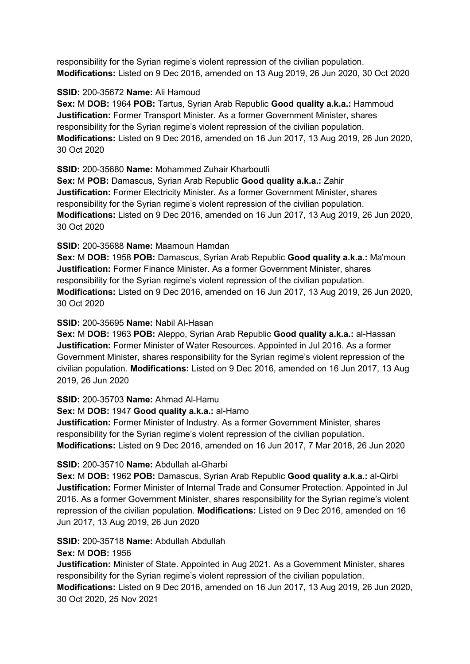responsibility for the Syrian regime's violent repression of the civilian population. **Modifications:** Listed on 9 Dec 2016, amended on 13 Aug 2019, 26 Jun 2020, 30 Oct 2020

### **SSID:** 200-35672 **Name:** Ali Hamoud

**Sex:** M **DOB:** 1964 **POB:** Tartus, Syrian Arab Republic **Good quality a.k.a.:** Hammoud **Justification:** Former Transport Minister. As a former Government Minister, shares responsibility for the Syrian regime's violent repression of the civilian population. **Modifications:** Listed on 9 Dec 2016, amended on 16 Jun 2017, 13 Aug 2019, 26 Jun 2020, 30 Oct 2020

**SSID:** 200-35680 **Name:** Mohammed Zuhair Kharboutli

**Sex:** M **POB:** Damascus, Syrian Arab Republic **Good quality a.k.a.:** Zahir **Justification:** Former Electricity Minister. As a former Government Minister, shares responsibility for the Syrian regime's violent repression of the civilian population. **Modifications:** Listed on 9 Dec 2016, amended on 16 Jun 2017, 13 Aug 2019, 26 Jun 2020, 30 Oct 2020

**SSID:** 200-35688 **Name:** Maamoun Hamdan

**Sex:** M **DOB:** 1958 **POB:** Damascus, Syrian Arab Republic **Good quality a.k.a.:** Ma'moun **Justification:** Former Finance Minister. As a former Government Minister, shares responsibility for the Syrian regime's violent repression of the civilian population. **Modifications:** Listed on 9 Dec 2016, amended on 16 Jun 2017, 13 Aug 2019, 26 Jun 2020, 30 Oct 2020

## **SSID:** 200-35695 **Name:** Nabil Al-Hasan

**Sex:** M **DOB:** 1963 **POB:** Aleppo, Syrian Arab Republic **Good quality a.k.a.:** al-Hassan **Justification:** Former Minister of Water Resources. Appointed in Jul 2016. As a former Government Minister, shares responsibility for the Syrian regime's violent repression of the civilian population. **Modifications:** Listed on 9 Dec 2016, amended on 16 Jun 2017, 13 Aug 2019, 26 Jun 2020

#### **SSID:** 200-35703 **Name:** Ahmad Al-Hamu

### **Sex:** M **DOB:** 1947 **Good quality a.k.a.:** al-Hamo

**Justification:** Former Minister of Industry. As a former Government Minister, shares responsibility for the Syrian regime's violent repression of the civilian population. **Modifications:** Listed on 9 Dec 2016, amended on 16 Jun 2017, 7 Mar 2018, 26 Jun 2020

## **SSID:** 200-35710 **Name:** Abdullah al-Gharbi

**Sex:** M **DOB:** 1962 **POB:** Damascus, Syrian Arab Republic **Good quality a.k.a.:** al-Qirbi **Justification:** Former Minister of Internal Trade and Consumer Protection. Appointed in Jul 2016. As a former Government Minister, shares responsibility for the Syrian regime's violent repression of the civilian population. **Modifications:** Listed on 9 Dec 2016, amended on 16 Jun 2017, 13 Aug 2019, 26 Jun 2020

## **SSID:** 200-35718 **Name:** Abdullah Abdullah

### **Sex:** M **DOB:** 1956

**Justification:** Minister of State. Appointed in Aug 2021. As a Government Minister, shares responsibility for the Syrian regime's violent repression of the civilian population. **Modifications:** Listed on 9 Dec 2016, amended on 16 Jun 2017, 13 Aug 2019, 26 Jun 2020, 30 Oct 2020, 25 Nov 2021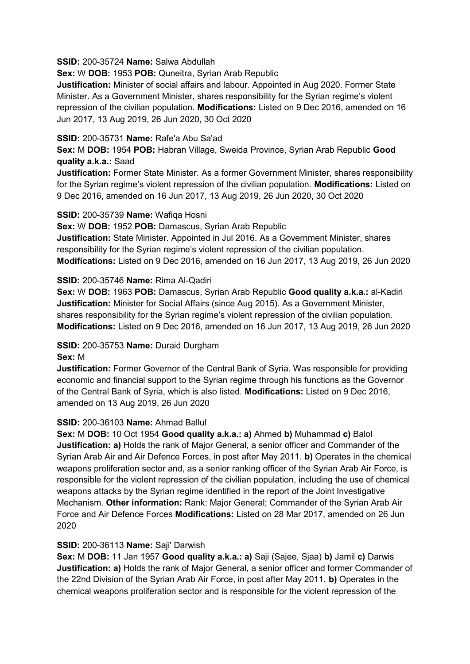#### **SSID:** 200-35724 **Name:** Salwa Abdullah

**Sex:** W **DOB:** 1953 **POB:** Quneitra, Syrian Arab Republic

**Justification:** Minister of social affairs and labour. Appointed in Aug 2020. Former State Minister. As a Government Minister, shares responsibility for the Syrian regime's violent repression of the civilian population. **Modifications:** Listed on 9 Dec 2016, amended on 16 Jun 2017, 13 Aug 2019, 26 Jun 2020, 30 Oct 2020

### **SSID:** 200-35731 **Name:** Rafe'a Abu Sa'ad

**Sex:** M **DOB:** 1954 **POB:** Habran Village, Sweida Province, Syrian Arab Republic **Good quality a.k.a.:** Saad

**Justification:** Former State Minister. As a former Government Minister, shares responsibility for the Syrian regime's violent repression of the civilian population. **Modifications:** Listed on 9 Dec 2016, amended on 16 Jun 2017, 13 Aug 2019, 26 Jun 2020, 30 Oct 2020

#### **SSID:** 200-35739 **Name:** Wafiqa Hosni

**Sex:** W **DOB:** 1952 **POB:** Damascus, Syrian Arab Republic

**Justification:** State Minister. Appointed in Jul 2016. As a Government Minister, shares responsibility for the Syrian regime's violent repression of the civilian population. **Modifications:** Listed on 9 Dec 2016, amended on 16 Jun 2017, 13 Aug 2019, 26 Jun 2020

### **SSID:** 200-35746 **Name:** Rima Al-Qadiri

**Sex:** W **DOB:** 1963 **POB:** Damascus, Syrian Arab Republic **Good quality a.k.a.:** al-Kadiri **Justification:** Minister for Social Affairs (since Aug 2015). As a Government Minister, shares responsibility for the Syrian regime's violent repression of the civilian population. **Modifications:** Listed on 9 Dec 2016, amended on 16 Jun 2017, 13 Aug 2019, 26 Jun 2020

## **SSID:** 200-35753 **Name:** Duraid Durgham

#### **Sex:** M

**Justification:** Former Governor of the Central Bank of Syria. Was responsible for providing economic and financial support to the Syrian regime through his functions as the Governor of the Central Bank of Syria, which is also listed. **Modifications:** Listed on 9 Dec 2016, amended on 13 Aug 2019, 26 Jun 2020

## **SSID:** 200-36103 **Name:** Ahmad Ballul

**Sex:** M **DOB:** 10 Oct 1954 **Good quality a.k.a.: a)** Ahmed **b)** Muhammad **c)** Balol **Justification: a)** Holds the rank of Major General, a senior officer and Commander of the Syrian Arab Air and Air Defence Forces, in post after May 2011. **b)** Operates in the chemical weapons proliferation sector and, as a senior ranking officer of the Syrian Arab Air Force, is responsible for the violent repression of the civilian population, including the use of chemical weapons attacks by the Syrian regime identified in the report of the Joint Investigative Mechanism. **Other information:** Rank: Major General; Commander of the Syrian Arab Air Force and Air Defence Forces **Modifications:** Listed on 28 Mar 2017, amended on 26 Jun 2020

## **SSID:** 200-36113 **Name:** Saji' Darwish

**Sex:** M **DOB:** 11 Jan 1957 **Good quality a.k.a.: a)** Saji (Sajee, Sjaa) **b)** Jamil **c)** Darwis **Justification: a)** Holds the rank of Major General, a senior officer and former Commander of the 22nd Division of the Syrian Arab Air Force, in post after May 2011. **b)** Operates in the chemical weapons proliferation sector and is responsible for the violent repression of the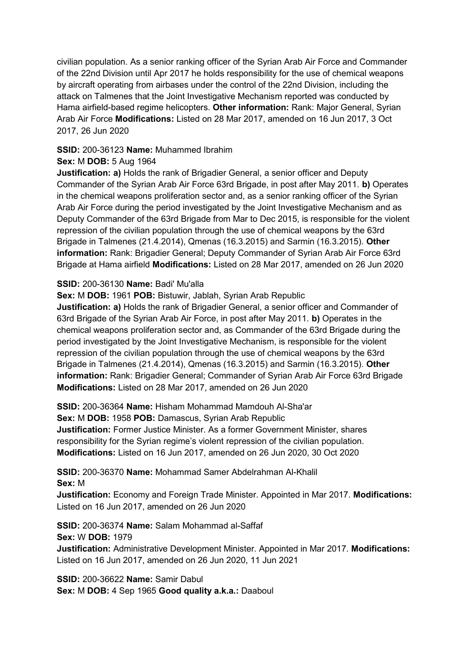civilian population. As a senior ranking officer of the Syrian Arab Air Force and Commander of the 22nd Division until Apr 2017 he holds responsibility for the use of chemical weapons by aircraft operating from airbases under the control of the 22nd Division, including the attack on Talmenes that the Joint Investigative Mechanism reported was conducted by Hama airfield-based regime helicopters. **Other information:** Rank: Major General, Syrian Arab Air Force **Modifications:** Listed on 28 Mar 2017, amended on 16 Jun 2017, 3 Oct 2017, 26 Jun 2020

### **SSID:** 200-36123 **Name:** Muhammed Ibrahim

### **Sex:** M **DOB:** 5 Aug 1964

**Justification: a)** Holds the rank of Brigadier General, a senior officer and Deputy Commander of the Syrian Arab Air Force 63rd Brigade, in post after May 2011. **b)** Operates in the chemical weapons proliferation sector and, as a senior ranking officer of the Syrian Arab Air Force during the period investigated by the Joint Investigative Mechanism and as Deputy Commander of the 63rd Brigade from Mar to Dec 2015, is responsible for the violent repression of the civilian population through the use of chemical weapons by the 63rd Brigade in Talmenes (21.4.2014), Qmenas (16.3.2015) and Sarmin (16.3.2015). **Other information:** Rank: Brigadier General; Deputy Commander of Syrian Arab Air Force 63rd Brigade at Hama airfield **Modifications:** Listed on 28 Mar 2017, amended on 26 Jun 2020

### **SSID:** 200-36130 **Name:** Badi' Mu'alla

**Sex:** M **DOB:** 1961 **POB:** Bistuwir, Jablah, Syrian Arab Republic

**Justification: a)** Holds the rank of Brigadier General, a senior officer and Commander of 63rd Brigade of the Syrian Arab Air Force, in post after May 2011. **b)** Operates in the chemical weapons proliferation sector and, as Commander of the 63rd Brigade during the period investigated by the Joint Investigative Mechanism, is responsible for the violent repression of the civilian population through the use of chemical weapons by the 63rd Brigade in Talmenes (21.4.2014), Qmenas (16.3.2015) and Sarmin (16.3.2015). **Other information:** Rank: Brigadier General; Commander of Syrian Arab Air Force 63rd Brigade **Modifications:** Listed on 28 Mar 2017, amended on 26 Jun 2020

**SSID:** 200-36364 **Name:** Hisham Mohammad Mamdouh Al-Sha'ar

**Sex:** M **DOB:** 1958 **POB:** Damascus, Syrian Arab Republic

**Justification:** Former Justice Minister. As a former Government Minister, shares responsibility for the Syrian regime's violent repression of the civilian population. **Modifications:** Listed on 16 Jun 2017, amended on 26 Jun 2020, 30 Oct 2020

**SSID:** 200-36370 **Name:** Mohammad Samer Abdelrahman Al-Khalil **Sex:** M

**Justification:** Economy and Foreign Trade Minister. Appointed in Mar 2017. **Modifications:**  Listed on 16 Jun 2017, amended on 26 Jun 2020

**SSID:** 200-36374 **Name:** Salam Mohammad al-Saffaf **Sex:** W **DOB:** 1979 **Justification:** Administrative Development Minister. Appointed in Mar 2017. **Modifications:**  Listed on 16 Jun 2017, amended on 26 Jun 2020, 11 Jun 2021

**SSID:** 200-36622 **Name:** Samir Dabul **Sex:** M **DOB:** 4 Sep 1965 **Good quality a.k.a.:** Daaboul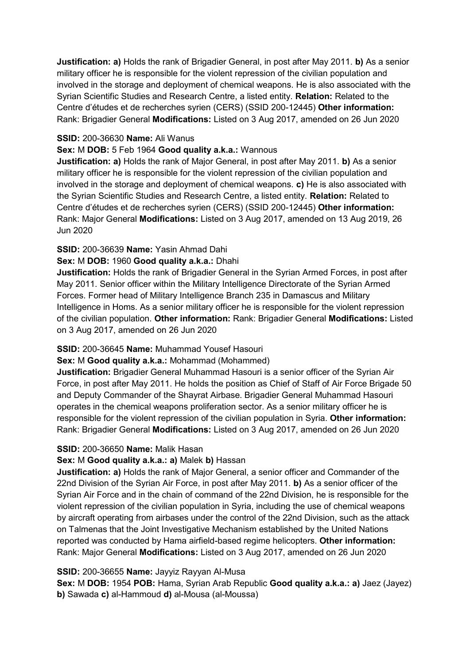**Justification: a)** Holds the rank of Brigadier General, in post after May 2011. **b)** As a senior military officer he is responsible for the violent repression of the civilian population and involved in the storage and deployment of chemical weapons. He is also associated with the Syrian Scientific Studies and Research Centre, a listed entity. **Relation:** Related to the Centre d'études et de recherches syrien (CERS) (SSID 200-12445) **Other information:** Rank: Brigadier General **Modifications:** Listed on 3 Aug 2017, amended on 26 Jun 2020

### **SSID:** 200-36630 **Name:** Ali Wanus

### **Sex:** M **DOB:** 5 Feb 1964 **Good quality a.k.a.:** Wannous

**Justification: a)** Holds the rank of Major General, in post after May 2011. **b)** As a senior military officer he is responsible for the violent repression of the civilian population and involved in the storage and deployment of chemical weapons. **c)** He is also associated with the Syrian Scientific Studies and Research Centre, a listed entity. **Relation:** Related to Centre d'études et de recherches syrien (CERS) (SSID 200-12445) **Other information:** Rank: Major General **Modifications:** Listed on 3 Aug 2017, amended on 13 Aug 2019, 26 Jun 2020

## **SSID:** 200-36639 **Name:** Yasin Ahmad Dahi

### **Sex:** M **DOB:** 1960 **Good quality a.k.a.:** Dhahi

**Justification:** Holds the rank of Brigadier General in the Syrian Armed Forces, in post after May 2011. Senior officer within the Military Intelligence Directorate of the Syrian Armed Forces. Former head of Military Intelligence Branch 235 in Damascus and Military Intelligence in Homs. As a senior military officer he is responsible for the violent repression of the civilian population. **Other information:** Rank: Brigadier General **Modifications:** Listed on 3 Aug 2017, amended on 26 Jun 2020

## **SSID:** 200-36645 **Name:** Muhammad Yousef Hasouri

#### **Sex:** M **Good quality a.k.a.:** Mohammad (Mohammed)

**Justification:** Brigadier General Muhammad Hasouri is a senior officer of the Syrian Air Force, in post after May 2011. He holds the position as Chief of Staff of Air Force Brigade 50 and Deputy Commander of the Shayrat Airbase. Brigadier General Muhammad Hasouri operates in the chemical weapons proliferation sector. As a senior military officer he is responsible for the violent repression of the civilian population in Syria. **Other information:** Rank: Brigadier General **Modifications:** Listed on 3 Aug 2017, amended on 26 Jun 2020

#### **SSID:** 200-36650 **Name:** Malik Hasan

#### **Sex:** M **Good quality a.k.a.: a)** Malek **b)** Hassan

**Justification: a)** Holds the rank of Major General, a senior officer and Commander of the 22nd Division of the Syrian Air Force, in post after May 2011. **b)** As a senior officer of the Syrian Air Force and in the chain of command of the 22nd Division, he is responsible for the violent repression of the civilian population in Syria, including the use of chemical weapons by aircraft operating from airbases under the control of the 22nd Division, such as the attack on Talmenas that the Joint Investigative Mechanism established by the United Nations reported was conducted by Hama airfield-based regime helicopters. **Other information:** Rank: Major General **Modifications:** Listed on 3 Aug 2017, amended on 26 Jun 2020

## **SSID:** 200-36655 **Name:** Jayyiz Rayyan Al-Musa

**Sex:** M **DOB:** 1954 **POB:** Hama, Syrian Arab Republic **Good quality a.k.a.: a)** Jaez (Jayez) **b)** Sawada **c)** al-Hammoud **d)** al-Mousa (al-Moussa)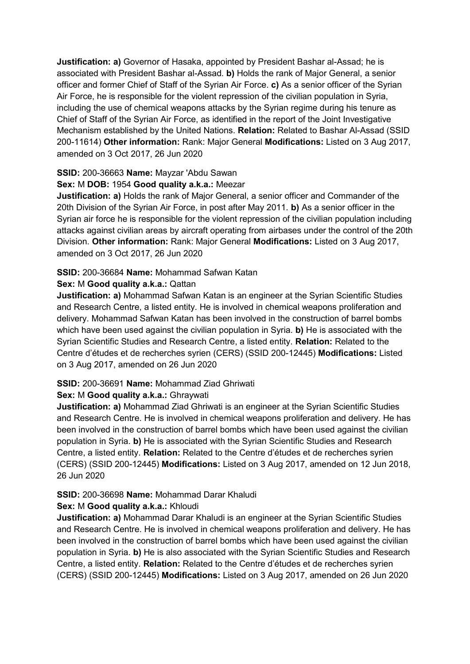**Justification: a)** Governor of Hasaka, appointed by President Bashar al-Assad; he is associated with President Bashar al-Assad. **b)** Holds the rank of Major General, a senior officer and former Chief of Staff of the Syrian Air Force. **c)** As a senior officer of the Syrian Air Force, he is responsible for the violent repression of the civilian population in Syria, including the use of chemical weapons attacks by the Syrian regime during his tenure as Chief of Staff of the Syrian Air Force, as identified in the report of the Joint Investigative Mechanism established by the United Nations. **Relation:** Related to Bashar Al-Assad (SSID 200-11614) **Other information:** Rank: Major General **Modifications:** Listed on 3 Aug 2017, amended on 3 Oct 2017, 26 Jun 2020

#### **SSID:** 200-36663 **Name:** Mayzar 'Abdu Sawan

### **Sex:** M **DOB:** 1954 **Good quality a.k.a.:** Meezar

**Justification: a)** Holds the rank of Major General, a senior officer and Commander of the 20th Division of the Syrian Air Force, in post after May 2011. **b)** As a senior officer in the Syrian air force he is responsible for the violent repression of the civilian population including attacks against civilian areas by aircraft operating from airbases under the control of the 20th Division. **Other information:** Rank: Major General **Modifications:** Listed on 3 Aug 2017, amended on 3 Oct 2017, 26 Jun 2020

### **SSID:** 200-36684 **Name:** Mohammad Safwan Katan

#### **Sex:** M **Good quality a.k.a.:** Qattan

**Justification: a)** Mohammad Safwan Katan is an engineer at the Syrian Scientific Studies and Research Centre, a listed entity. He is involved in chemical weapons proliferation and delivery. Mohammad Safwan Katan has been involved in the construction of barrel bombs which have been used against the civilian population in Syria. **b)** He is associated with the Syrian Scientific Studies and Research Centre, a listed entity. **Relation:** Related to the Centre d'études et de recherches syrien (CERS) (SSID 200-12445) **Modifications:** Listed on 3 Aug 2017, amended on 26 Jun 2020

#### **SSID:** 200-36691 **Name:** Mohammad Ziad Ghriwati

#### **Sex:** M **Good quality a.k.a.:** Ghraywati

**Justification: a)** Mohammad Ziad Ghriwati is an engineer at the Syrian Scientific Studies and Research Centre. He is involved in chemical weapons proliferation and delivery. He has been involved in the construction of barrel bombs which have been used against the civilian population in Syria. **b)** He is associated with the Syrian Scientific Studies and Research Centre, a listed entity. **Relation:** Related to the Centre d'études et de recherches syrien (CERS) (SSID 200-12445) **Modifications:** Listed on 3 Aug 2017, amended on 12 Jun 2018, 26 Jun 2020

## **SSID:** 200-36698 **Name:** Mohammad Darar Khaludi

## **Sex:** M **Good quality a.k.a.:** Khloudi

**Justification: a)** Mohammad Darar Khaludi is an engineer at the Syrian Scientific Studies and Research Centre. He is involved in chemical weapons proliferation and delivery. He has been involved in the construction of barrel bombs which have been used against the civilian population in Syria. **b)** He is also associated with the Syrian Scientific Studies and Research Centre, a listed entity. **Relation:** Related to the Centre d'études et de recherches syrien (CERS) (SSID 200-12445) **Modifications:** Listed on 3 Aug 2017, amended on 26 Jun 2020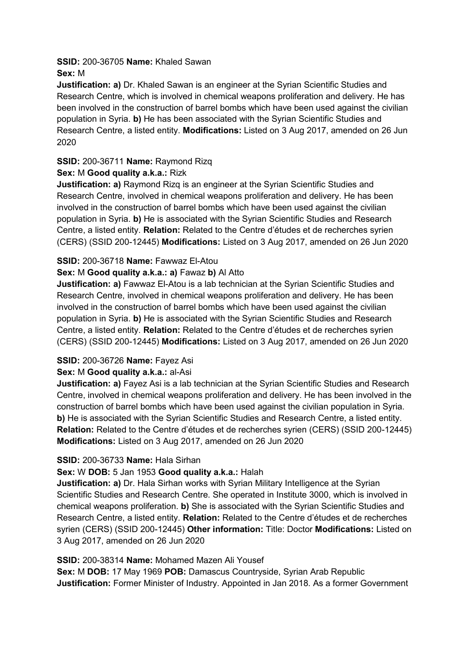#### **SSID:** 200-36705 **Name:** Khaled Sawan **Sex:** M

**Justification: a)** Dr. Khaled Sawan is an engineer at the Syrian Scientific Studies and Research Centre, which is involved in chemical weapons proliferation and delivery. He has been involved in the construction of barrel bombs which have been used against the civilian population in Syria. **b)** He has been associated with the Syrian Scientific Studies and Research Centre, a listed entity. **Modifications:** Listed on 3 Aug 2017, amended on 26 Jun 2020

# **SSID:** 200-36711 **Name:** Raymond Rizq

# **Sex:** M **Good quality a.k.a.:** Rizk

**Justification: a)** Raymond Rizq is an engineer at the Syrian Scientific Studies and Research Centre, involved in chemical weapons proliferation and delivery. He has been involved in the construction of barrel bombs which have been used against the civilian population in Syria. **b)** He is associated with the Syrian Scientific Studies and Research Centre, a listed entity. **Relation:** Related to the Centre d'études et de recherches syrien (CERS) (SSID 200-12445) **Modifications:** Listed on 3 Aug 2017, amended on 26 Jun 2020

# **SSID:** 200-36718 **Name:** Fawwaz El-Atou

# **Sex:** M **Good quality a.k.a.: a)** Fawaz **b)** Al Atto

**Justification: a)** Fawwaz El-Atou is a lab technician at the Syrian Scientific Studies and Research Centre, involved in chemical weapons proliferation and delivery. He has been involved in the construction of barrel bombs which have been used against the civilian population in Syria. **b)** He is associated with the Syrian Scientific Studies and Research Centre, a listed entity. **Relation:** Related to the Centre d'études et de recherches syrien (CERS) (SSID 200-12445) **Modifications:** Listed on 3 Aug 2017, amended on 26 Jun 2020

# **SSID:** 200-36726 **Name:** Fayez Asi

## **Sex:** M **Good quality a.k.a.:** al-Asi

**Justification: a)** Fayez Asi is a lab technician at the Syrian Scientific Studies and Research Centre, involved in chemical weapons proliferation and delivery. He has been involved in the construction of barrel bombs which have been used against the civilian population in Syria. **b)** He is associated with the Syrian Scientific Studies and Research Centre, a listed entity. **Relation:** Related to the Centre d'études et de recherches syrien (CERS) (SSID 200-12445) **Modifications:** Listed on 3 Aug 2017, amended on 26 Jun 2020

## **SSID:** 200-36733 **Name:** Hala Sirhan

# **Sex:** W **DOB:** 5 Jan 1953 **Good quality a.k.a.:** Halah

**Justification: a)** Dr. Hala Sirhan works with Syrian Military Intelligence at the Syrian Scientific Studies and Research Centre. She operated in Institute 3000, which is involved in chemical weapons proliferation. **b)** She is associated with the Syrian Scientific Studies and Research Centre, a listed entity. **Relation:** Related to the Centre d'études et de recherches syrien (CERS) (SSID 200-12445) **Other information:** Title: Doctor **Modifications:** Listed on 3 Aug 2017, amended on 26 Jun 2020

## **SSID:** 200-38314 **Name:** Mohamed Mazen Ali Yousef

**Sex:** M **DOB:** 17 May 1969 **POB:** Damascus Countryside, Syrian Arab Republic **Justification:** Former Minister of Industry. Appointed in Jan 2018. As a former Government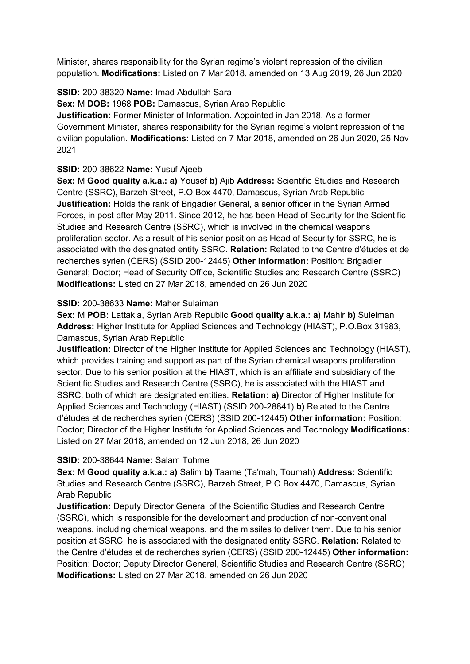Minister, shares responsibility for the Syrian regime's violent repression of the civilian population. **Modifications:** Listed on 7 Mar 2018, amended on 13 Aug 2019, 26 Jun 2020

## **SSID:** 200-38320 **Name:** Imad Abdullah Sara

**Sex:** M **DOB:** 1968 **POB:** Damascus, Syrian Arab Republic

**Justification:** Former Minister of Information. Appointed in Jan 2018. As a former Government Minister, shares responsibility for the Syrian regime's violent repression of the civilian population. **Modifications:** Listed on 7 Mar 2018, amended on 26 Jun 2020, 25 Nov 2021

### **SSID:** 200-38622 **Name:** Yusuf Ajeeb

**Sex:** M **Good quality a.k.a.: a)** Yousef **b)** Ajib **Address:** Scientific Studies and Research Centre (SSRC), Barzeh Street, P.O.Box 4470, Damascus, Syrian Arab Republic **Justification:** Holds the rank of Brigadier General, a senior officer in the Syrian Armed Forces, in post after May 2011. Since 2012, he has been Head of Security for the Scientific Studies and Research Centre (SSRC), which is involved in the chemical weapons proliferation sector. As a result of his senior position as Head of Security for SSRC, he is associated with the designated entity SSRC. **Relation:** Related to the Centre d'études et de recherches syrien (CERS) (SSID 200-12445) **Other information:** Position: Brigadier General; Doctor; Head of Security Office, Scientific Studies and Research Centre (SSRC) **Modifications:** Listed on 27 Mar 2018, amended on 26 Jun 2020

#### **SSID:** 200-38633 **Name:** Maher Sulaiman

**Sex:** M **POB:** Lattakia, Syrian Arab Republic **Good quality a.k.a.: a)** Mahir **b)** Suleiman **Address:** Higher Institute for Applied Sciences and Technology (HIAST), P.O.Box 31983, Damascus, Syrian Arab Republic

**Justification:** Director of the Higher Institute for Applied Sciences and Technology (HIAST), which provides training and support as part of the Syrian chemical weapons proliferation sector. Due to his senior position at the HIAST, which is an affiliate and subsidiary of the Scientific Studies and Research Centre (SSRC), he is associated with the HIAST and SSRC, both of which are designated entities. **Relation: a)** Director of Higher Institute for Applied Sciences and Technology (HIAST) (SSID 200-28841) **b)** Related to the Centre d'études et de recherches syrien (CERS) (SSID 200-12445) **Other information:** Position: Doctor; Director of the Higher Institute for Applied Sciences and Technology **Modifications:**  Listed on 27 Mar 2018, amended on 12 Jun 2018, 26 Jun 2020

## **SSID:** 200-38644 **Name:** Salam Tohme

**Sex:** M **Good quality a.k.a.: a)** Salim **b)** Taame (Ta'mah, Toumah) **Address:** Scientific Studies and Research Centre (SSRC), Barzeh Street, P.O.Box 4470, Damascus, Syrian Arab Republic

**Justification:** Deputy Director General of the Scientific Studies and Research Centre (SSRC), which is responsible for the development and production of non-conventional weapons, including chemical weapons, and the missiles to deliver them. Due to his senior position at SSRC, he is associated with the designated entity SSRC. **Relation:** Related to the Centre d'études et de recherches syrien (CERS) (SSID 200-12445) **Other information:** Position: Doctor; Deputy Director General, Scientific Studies and Research Centre (SSRC) **Modifications:** Listed on 27 Mar 2018, amended on 26 Jun 2020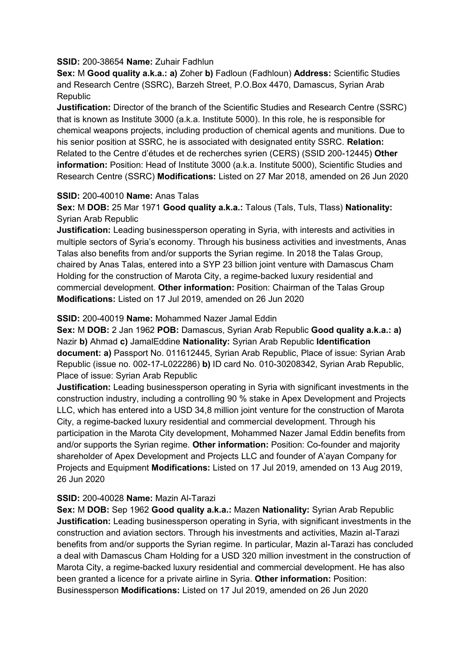#### **SSID:** 200-38654 **Name:** Zuhair Fadhlun

**Sex:** M **Good quality a.k.a.: a)** Zoher **b)** Fadloun (Fadhloun) **Address:** Scientific Studies and Research Centre (SSRC), Barzeh Street, P.O.Box 4470, Damascus, Syrian Arab **Republic** 

**Justification:** Director of the branch of the Scientific Studies and Research Centre (SSRC) that is known as Institute 3000 (a.k.a. Institute 5000). In this role, he is responsible for chemical weapons projects, including production of chemical agents and munitions. Due to his senior position at SSRC, he is associated with designated entity SSRC. **Relation:** Related to the Centre d'études et de recherches syrien (CERS) (SSID 200-12445) **Other information:** Position: Head of Institute 3000 (a.k.a. Institute 5000), Scientific Studies and Research Centre (SSRC) **Modifications:** Listed on 27 Mar 2018, amended on 26 Jun 2020

#### **SSID:** 200-40010 **Name:** Anas Talas

**Sex:** M **DOB:** 25 Mar 1971 **Good quality a.k.a.:** Talous (Tals, Tuls, Tlass) **Nationality:** Syrian Arab Republic

**Justification:** Leading businessperson operating in Syria, with interests and activities in multiple sectors of Syria's economy. Through his business activities and investments, Anas Talas also benefits from and/or supports the Syrian regime. In 2018 the Talas Group, chaired by Anas Talas, entered into a SYP 23 billion joint venture with Damascus Cham Holding for the construction of Marota City, a regime-backed luxury residential and commercial development. **Other information:** Position: Chairman of the Talas Group **Modifications:** Listed on 17 Jul 2019, amended on 26 Jun 2020

#### **SSID:** 200-40019 **Name:** Mohammed Nazer Jamal Eddin

**Sex:** M **DOB:** 2 Jan 1962 **POB:** Damascus, Syrian Arab Republic **Good quality a.k.a.: a)**  Nazir **b)** Ahmad **c)** JamalEddine **Nationality:** Syrian Arab Republic **Identification document: a)** Passport No. 011612445, Syrian Arab Republic, Place of issue: Syrian Arab Republic (issue no. 002-17-L022286) **b)** ID card No. 010-30208342, Syrian Arab Republic, Place of issue: Syrian Arab Republic

**Justification:** Leading businessperson operating in Syria with significant investments in the construction industry, including a controlling 90 % stake in Apex Development and Projects LLC, which has entered into a USD 34,8 million joint venture for the construction of Marota City, a regime-backed luxury residential and commercial development. Through his participation in the Marota City development, Mohammed Nazer Jamal Eddin benefits from and/or supports the Syrian regime. **Other information:** Position: Co-founder and majority shareholder of Apex Development and Projects LLC and founder of A'ayan Company for Projects and Equipment **Modifications:** Listed on 17 Jul 2019, amended on 13 Aug 2019, 26 Jun 2020

#### **SSID:** 200-40028 **Name:** Mazin Al-Tarazi

**Sex:** M **DOB:** Sep 1962 **Good quality a.k.a.:** Mazen **Nationality:** Syrian Arab Republic **Justification:** Leading businessperson operating in Syria, with significant investments in the construction and aviation sectors. Through his investments and activities, Mazin al-Tarazi benefits from and/or supports the Syrian regime. In particular, Mazin al-Tarazi has concluded a deal with Damascus Cham Holding for a USD 320 million investment in the construction of Marota City, a regime-backed luxury residential and commercial development. He has also been granted a licence for a private airline in Syria. **Other information:** Position: Businessperson **Modifications:** Listed on 17 Jul 2019, amended on 26 Jun 2020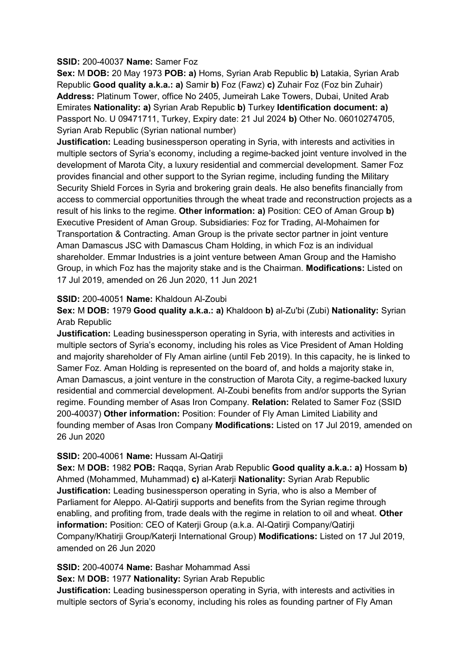#### **SSID:** 200-40037 **Name:** Samer Foz

**Sex:** M **DOB:** 20 May 1973 **POB: a)** Homs, Syrian Arab Republic **b)** Latakia, Syrian Arab Republic **Good quality a.k.a.: a)** Samir **b)** Foz (Fawz) **c)** Zuhair Foz (Foz bin Zuhair) **Address:** Platinum Tower, office No 2405, Jumeirah Lake Towers, Dubai, United Arab Emirates **Nationality: a)** Syrian Arab Republic **b)** Turkey **Identification document: a)**  Passport No. U 09471711, Turkey, Expiry date: 21 Jul 2024 **b)** Other No. 06010274705, Syrian Arab Republic (Syrian national number)

**Justification:** Leading businessperson operating in Syria, with interests and activities in multiple sectors of Syria's economy, including a regime-backed joint venture involved in the development of Marota City, a luxury residential and commercial development. Samer Foz provides financial and other support to the Syrian regime, including funding the Military Security Shield Forces in Syria and brokering grain deals. He also benefits financially from access to commercial opportunities through the wheat trade and reconstruction projects as a result of his links to the regime. **Other information: a)** Position: CEO of Aman Group **b)**  Executive President of Aman Group. Subsidiaries: Foz for Trading, Al-Mohaimen for Transportation & Contracting. Aman Group is the private sector partner in joint venture Aman Damascus JSC with Damascus Cham Holding, in which Foz is an individual shareholder. Emmar Industries is a joint venture between Aman Group and the Hamisho Group, in which Foz has the majority stake and is the Chairman. **Modifications:** Listed on 17 Jul 2019, amended on 26 Jun 2020, 11 Jun 2021

#### **SSID:** 200-40051 **Name:** Khaldoun Al-Zoubi

**Sex:** M **DOB:** 1979 **Good quality a.k.a.: a)** Khaldoon **b)** al-Zu'bi (Zubi) **Nationality:** Syrian Arab Republic

**Justification:** Leading businessperson operating in Syria, with interests and activities in multiple sectors of Syria's economy, including his roles as Vice President of Aman Holding and majority shareholder of Fly Aman airline (until Feb 2019). In this capacity, he is linked to Samer Foz. Aman Holding is represented on the board of, and holds a majority stake in, Aman Damascus, a joint venture in the construction of Marota City, a regime-backed luxury residential and commercial development. Al-Zoubi benefits from and/or supports the Syrian regime. Founding member of Asas Iron Company. **Relation:** Related to Samer Foz (SSID 200-40037) **Other information:** Position: Founder of Fly Aman Limited Liability and founding member of Asas Iron Company **Modifications:** Listed on 17 Jul 2019, amended on 26 Jun 2020

#### **SSID:** 200-40061 **Name:** Hussam Al-Qatirji

**Sex:** M **DOB:** 1982 **POB:** Raqqa, Syrian Arab Republic **Good quality a.k.a.: a)** Hossam **b)**  Ahmed (Mohammed, Muhammad) **c)** al-Katerji **Nationality:** Syrian Arab Republic **Justification:** Leading businessperson operating in Syria, who is also a Member of Parliament for Aleppo. Al-Qatirji supports and benefits from the Syrian regime through enabling, and profiting from, trade deals with the regime in relation to oil and wheat. **Other information:** Position: CEO of Katerji Group (a.k.a. Al-Qatirji Company/Qatirji Company/Khatirji Group/Katerji International Group) **Modifications:** Listed on 17 Jul 2019, amended on 26 Jun 2020

**SSID:** 200-40074 **Name:** Bashar Mohammad Assi

**Sex:** M **DOB:** 1977 **Nationality:** Syrian Arab Republic

**Justification:** Leading businessperson operating in Syria, with interests and activities in multiple sectors of Syria's economy, including his roles as founding partner of Fly Aman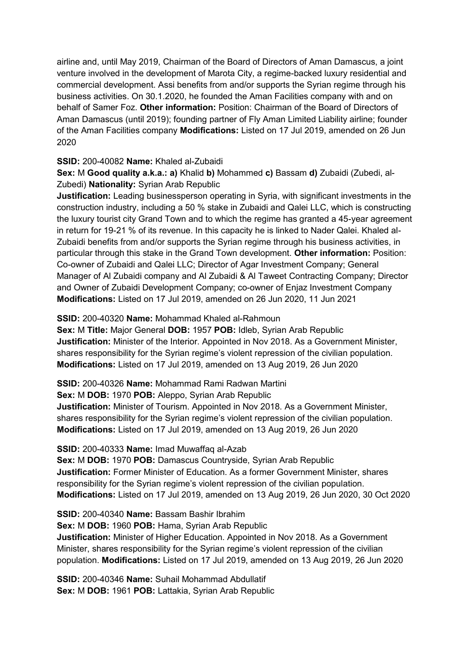airline and, until May 2019, Chairman of the Board of Directors of Aman Damascus, a joint venture involved in the development of Marota City, a regime-backed luxury residential and commercial development. Assi benefits from and/or supports the Syrian regime through his business activities. On 30.1.2020, he founded the Aman Facilities company with and on behalf of Samer Foz. **Other information:** Position: Chairman of the Board of Directors of Aman Damascus (until 2019); founding partner of Fly Aman Limited Liability airline; founder of the Aman Facilities company **Modifications:** Listed on 17 Jul 2019, amended on 26 Jun 2020

## **SSID:** 200-40082 **Name:** Khaled al-Zubaidi

**Sex:** M **Good quality a.k.a.: a)** Khalid **b)** Mohammed **c)** Bassam **d)** Zubaidi (Zubedi, al-Zubedi) **Nationality:** Syrian Arab Republic

**Justification:** Leading businessperson operating in Syria, with significant investments in the construction industry, including a 50 % stake in Zubaidi and Qalei LLC, which is constructing the luxury tourist city Grand Town and to which the regime has granted a 45-year agreement in return for 19-21 % of its revenue. In this capacity he is linked to Nader Qalei. Khaled al-Zubaidi benefits from and/or supports the Syrian regime through his business activities, in particular through this stake in the Grand Town development. **Other information:** Position: Co-owner of Zubaidi and Qalei LLC; Director of Agar Investment Company; General Manager of Al Zubaidi company and Al Zubaidi & Al Taweet Contracting Company; Director and Owner of Zubaidi Development Company; co-owner of Enjaz Investment Company **Modifications:** Listed on 17 Jul 2019, amended on 26 Jun 2020, 11 Jun 2021

### **SSID:** 200-40320 **Name:** Mohammad Khaled al-Rahmoun

**Sex:** M **Title:** Major General **DOB:** 1957 **POB:** Idleb, Syrian Arab Republic **Justification:** Minister of the Interior. Appointed in Nov 2018. As a Government Minister, shares responsibility for the Syrian regime's violent repression of the civilian population. **Modifications:** Listed on 17 Jul 2019, amended on 13 Aug 2019, 26 Jun 2020

**SSID:** 200-40326 **Name:** Mohammad Rami Radwan Martini

**Sex:** M **DOB:** 1970 **POB:** Aleppo, Syrian Arab Republic

**Justification:** Minister of Tourism. Appointed in Nov 2018. As a Government Minister, shares responsibility for the Syrian regime's violent repression of the civilian population. **Modifications:** Listed on 17 Jul 2019, amended on 13 Aug 2019, 26 Jun 2020

#### **SSID:** 200-40333 **Name:** Imad Muwaffaq al-Azab

**Sex:** M **DOB:** 1970 **POB:** Damascus Countryside, Syrian Arab Republic **Justification:** Former Minister of Education. As a former Government Minister, shares responsibility for the Syrian regime's violent repression of the civilian population. **Modifications:** Listed on 17 Jul 2019, amended on 13 Aug 2019, 26 Jun 2020, 30 Oct 2020

**SSID:** 200-40340 **Name:** Bassam Bashir Ibrahim

**Sex:** M **DOB:** 1960 **POB:** Hama, Syrian Arab Republic

**Justification:** Minister of Higher Education. Appointed in Nov 2018. As a Government Minister, shares responsibility for the Syrian regime's violent repression of the civilian population. **Modifications:** Listed on 17 Jul 2019, amended on 13 Aug 2019, 26 Jun 2020

**SSID:** 200-40346 **Name:** Suhail Mohammad Abdullatif **Sex:** M **DOB:** 1961 **POB:** Lattakia, Syrian Arab Republic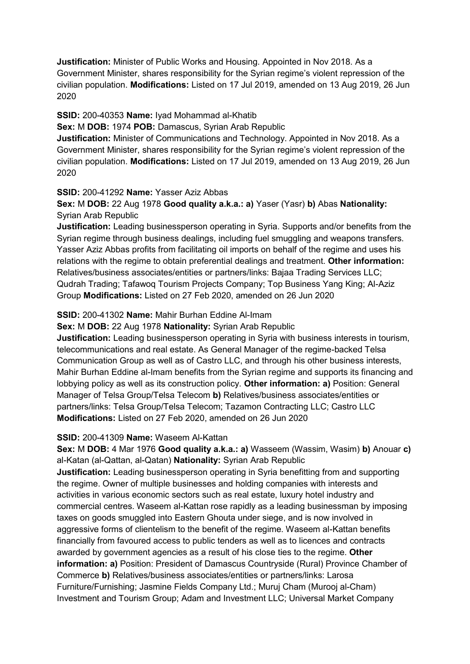**Justification:** Minister of Public Works and Housing. Appointed in Nov 2018. As a Government Minister, shares responsibility for the Syrian regime's violent repression of the civilian population. **Modifications:** Listed on 17 Jul 2019, amended on 13 Aug 2019, 26 Jun 2020

#### **SSID:** 200-40353 **Name:** Iyad Mohammad al-Khatib

**Sex:** M **DOB:** 1974 **POB:** Damascus, Syrian Arab Republic

**Justification:** Minister of Communications and Technology. Appointed in Nov 2018. As a Government Minister, shares responsibility for the Syrian regime's violent repression of the civilian population. **Modifications:** Listed on 17 Jul 2019, amended on 13 Aug 2019, 26 Jun 2020

#### **SSID:** 200-41292 **Name:** Yasser Aziz Abbas

**Sex:** M **DOB:** 22 Aug 1978 **Good quality a.k.a.: a)** Yaser (Yasr) **b)** Abas **Nationality:** Syrian Arab Republic

**Justification:** Leading businessperson operating in Syria. Supports and/or benefits from the Syrian regime through business dealings, including fuel smuggling and weapons transfers. Yasser Aziz Abbas profits from facilitating oil imports on behalf of the regime and uses his relations with the regime to obtain preferential dealings and treatment. **Other information:** Relatives/business associates/entities or partners/links: Bajaa Trading Services LLC; Qudrah Trading; Tafawoq Tourism Projects Company; Top Business Yang King; Al-Aziz Group **Modifications:** Listed on 27 Feb 2020, amended on 26 Jun 2020

### **SSID:** 200-41302 **Name:** Mahir Burhan Eddine Al-Imam

**Sex:** M **DOB:** 22 Aug 1978 **Nationality:** Syrian Arab Republic

**Justification:** Leading businessperson operating in Syria with business interests in tourism, telecommunications and real estate. As General Manager of the regime-backed Telsa Communication Group as well as of Castro LLC, and through his other business interests, Mahir Burhan Eddine al-Imam benefits from the Syrian regime and supports its financing and lobbying policy as well as its construction policy. **Other information: a)** Position: General Manager of Telsa Group/Telsa Telecom **b)** Relatives/business associates/entities or partners/links: Telsa Group/Telsa Telecom; Tazamon Contracting LLC; Castro LLC **Modifications:** Listed on 27 Feb 2020, amended on 26 Jun 2020

#### **SSID:** 200-41309 **Name:** Waseem Al-Kattan

**Sex:** M **DOB:** 4 Mar 1976 **Good quality a.k.a.: a)** Wasseem (Wassim, Wasim) **b)** Anouar **c)**  al-Katan (al-Qattan, al-Qatan) **Nationality:** Syrian Arab Republic **Justification:** Leading businessperson operating in Syria benefitting from and supporting the regime. Owner of multiple businesses and holding companies with interests and activities in various economic sectors such as real estate, luxury hotel industry and commercial centres. Waseem al-Kattan rose rapidly as a leading businessman by imposing taxes on goods smuggled into Eastern Ghouta under siege, and is now involved in aggressive forms of clientelism to the benefit of the regime. Waseem al-Kattan benefits financially from favoured access to public tenders as well as to licences and contracts awarded by government agencies as a result of his close ties to the regime. **Other information: a)** Position: President of Damascus Countryside (Rural) Province Chamber of Commerce **b)** Relatives/business associates/entities or partners/links: Larosa Furniture/Furnishing; Jasmine Fields Company Ltd.; Muruj Cham (Murooj al-Cham) Investment and Tourism Group; Adam and Investment LLC; Universal Market Company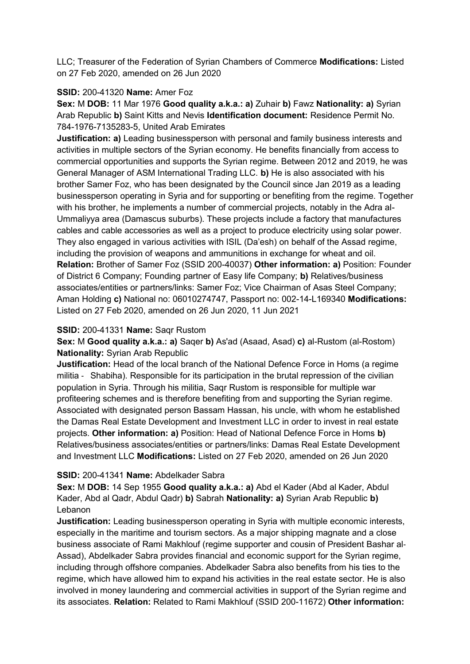LLC; Treasurer of the Federation of Syrian Chambers of Commerce **Modifications:** Listed on 27 Feb 2020, amended on 26 Jun 2020

### **SSID:** 200-41320 **Name:** Amer Foz

**Sex:** M **DOB:** 11 Mar 1976 **Good quality a.k.a.: a)** Zuhair **b)** Fawz **Nationality: a)** Syrian Arab Republic **b)** Saint Kitts and Nevis **Identification document:** Residence Permit No. 784-1976-7135283-5, United Arab Emirates

**Justification: a)** Leading businessperson with personal and family business interests and activities in multiple sectors of the Syrian economy. He benefits financially from access to commercial opportunities and supports the Syrian regime. Between 2012 and 2019, he was General Manager of ASM International Trading LLC. **b)** He is also associated with his brother Samer Foz, who has been designated by the Council since Jan 2019 as a leading businessperson operating in Syria and for supporting or benefiting from the regime. Together with his brother, he implements a number of commercial projects, notably in the Adra al-Ummaliyya area (Damascus suburbs). These projects include a factory that manufactures cables and cable accessories as well as a project to produce electricity using solar power. They also engaged in various activities with ISIL (Da'esh) on behalf of the Assad regime, including the provision of weapons and ammunitions in exchange for wheat and oil. **Relation:** Brother of Samer Foz (SSID 200-40037) **Other information: a)** Position: Founder of District 6 Company; Founding partner of Easy life Company; **b)** Relatives/business associates/entities or partners/links: Samer Foz; Vice Chairman of Asas Steel Company; Aman Holding **c)** National no: 06010274747, Passport no: 002-14-L169340 **Modifications:**  Listed on 27 Feb 2020, amended on 26 Jun 2020, 11 Jun 2021

### **SSID:** 200-41331 **Name:** Saqr Rustom

**Sex:** M **Good quality a.k.a.: a)** Saqer **b)** As'ad (Asaad, Asad) **c)** al-Rustom (al-Rostom) **Nationality:** Syrian Arab Republic

**Justification:** Head of the local branch of the National Defence Force in Homs (a regime militia ‐ Shabiha). Responsible for its participation in the brutal repression of the civilian population in Syria. Through his militia, Saqr Rustom is responsible for multiple war profiteering schemes and is therefore benefiting from and supporting the Syrian regime. Associated with designated person Bassam Hassan, his uncle, with whom he established the Damas Real Estate Development and Investment LLC in order to invest in real estate projects. **Other information: a)** Position: Head of National Defence Force in Homs **b)**  Relatives/business associates/entities or partners/links: Damas Real Estate Development and Investment LLC **Modifications:** Listed on 27 Feb 2020, amended on 26 Jun 2020

#### **SSID:** 200-41341 **Name:** Abdelkader Sabra

**Sex:** M **DOB:** 14 Sep 1955 **Good quality a.k.a.: a)** Abd el Kader (Abd al Kader, Abdul Kader, Abd al Qadr, Abdul Qadr) **b)** Sabrah **Nationality: a)** Syrian Arab Republic **b)**  Lebanon

**Justification:** Leading businessperson operating in Syria with multiple economic interests, especially in the maritime and tourism sectors. As a major shipping magnate and a close business associate of Rami Makhlouf (regime supporter and cousin of President Bashar al‐ Assad), Abdelkader Sabra provides financial and economic support for the Syrian regime, including through offshore companies. Abdelkader Sabra also benefits from his ties to the regime, which have allowed him to expand his activities in the real estate sector. He is also involved in money laundering and commercial activities in support of the Syrian regime and its associates. **Relation:** Related to Rami Makhlouf (SSID 200-11672) **Other information:**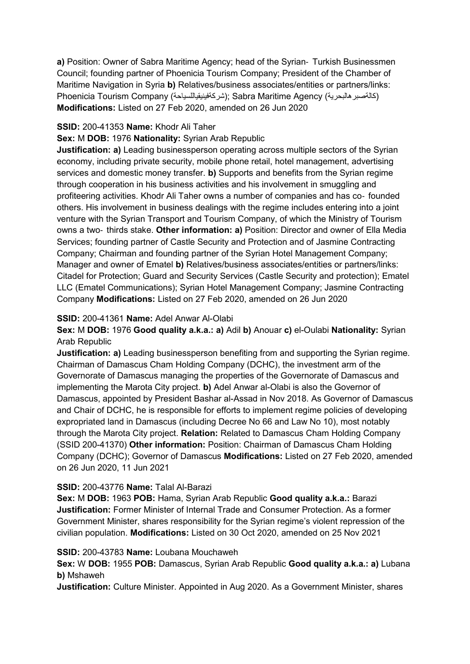**a)** Position: Owner of Sabra Maritime Agency; head of the Syrian‐ Turkish Businessmen Council; founding partner of Phoenicia Tourism Company; President of the Chamber of Maritime Navigation in Syria **b)** Relatives/business associates/entities or partners/links: Phoenicia Tourism Company (شركةفينيقياللسياحة ;(Sabra Maritime Agency (كالةصبرهالبحرية ( **Modifications:** Listed on 27 Feb 2020, amended on 26 Jun 2020

### **SSID:** 200-41353 **Name:** Khodr Ali Taher

### **Sex:** M **DOB:** 1976 **Nationality:** Syrian Arab Republic

**Justification: a)** Leading businessperson operating across multiple sectors of the Syrian economy, including private security, mobile phone retail, hotel management, advertising services and domestic money transfer. **b)** Supports and benefits from the Syrian regime through cooperation in his business activities and his involvement in smuggling and profiteering activities. Khodr Ali Taher owns a number of companies and has co‐ founded others. His involvement in business dealings with the regime includes entering into a joint venture with the Syrian Transport and Tourism Company, of which the Ministry of Tourism owns a two‐ thirds stake. **Other information: a)** Position: Director and owner of Ella Media Services; founding partner of Castle Security and Protection and of Jasmine Contracting Company; Chairman and founding partner of the Syrian Hotel Management Company; Manager and owner of Ematel **b)** Relatives/business associates/entities or partners/links: Citadel for Protection; Guard and Security Services (Castle Security and protection); Ematel LLC (Ematel Communications); Syrian Hotel Management Company; Jasmine Contracting Company **Modifications:** Listed on 27 Feb 2020, amended on 26 Jun 2020

### **SSID:** 200-41361 **Name:** Adel Anwar Al-Olabi

**Sex:** M **DOB:** 1976 **Good quality a.k.a.: a)** Adil **b)** Anouar **c)** el-Oulabi **Nationality:** Syrian Arab Republic

**Justification: a)** Leading businessperson benefiting from and supporting the Syrian regime. Chairman of Damascus Cham Holding Company (DCHC), the investment arm of the Governorate of Damascus managing the properties of the Governorate of Damascus and implementing the Marota City project. **b)** Adel Anwar al-Olabi is also the Governor of Damascus, appointed by President Bashar al-Assad in Nov 2018. As Governor of Damascus and Chair of DCHC, he is responsible for efforts to implement regime policies of developing expropriated land in Damascus (including Decree No 66 and Law No 10), most notably through the Marota City project. **Relation:** Related to Damascus Cham Holding Company (SSID 200-41370) **Other information:** Position: Chairman of Damascus Cham Holding Company (DCHC); Governor of Damascus **Modifications:** Listed on 27 Feb 2020, amended on 26 Jun 2020, 11 Jun 2021

## **SSID:** 200-43776 **Name:** Talal Al-Barazi

**Sex:** M **DOB:** 1963 **POB:** Hama, Syrian Arab Republic **Good quality a.k.a.:** Barazi **Justification:** Former Minister of Internal Trade and Consumer Protection. As a former Government Minister, shares responsibility for the Syrian regime's violent repression of the civilian population. **Modifications:** Listed on 30 Oct 2020, amended on 25 Nov 2021

#### **SSID:** 200-43783 **Name:** Loubana Mouchaweh

**Sex:** W **DOB:** 1955 **POB:** Damascus, Syrian Arab Republic **Good quality a.k.a.: a)** Lubana **b)** Mshaweh

**Justification:** Culture Minister. Appointed in Aug 2020. As a Government Minister, shares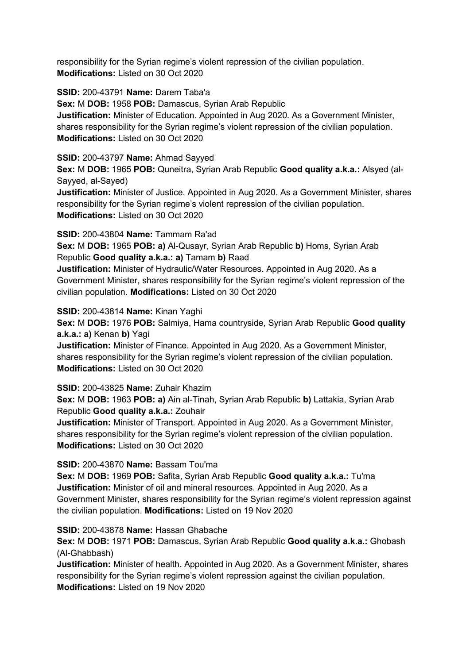responsibility for the Syrian regime's violent repression of the civilian population. **Modifications:** Listed on 30 Oct 2020

**SSID:** 200-43791 **Name:** Darem Taba'a

**Sex:** M **DOB:** 1958 **POB:** Damascus, Syrian Arab Republic **Justification:** Minister of Education. Appointed in Aug 2020. As a Government Minister, shares responsibility for the Syrian regime's violent repression of the civilian population. **Modifications:** Listed on 30 Oct 2020

## **SSID:** 200-43797 **Name:** Ahmad Sayyed

**Sex:** M **DOB:** 1965 **POB:** Quneitra, Syrian Arab Republic **Good quality a.k.a.:** Alsyed (al-Sayyed, al-Sayed)

**Justification:** Minister of Justice. Appointed in Aug 2020. As a Government Minister, shares responsibility for the Syrian regime's violent repression of the civilian population. **Modifications:** Listed on 30 Oct 2020

### **SSID:** 200-43804 **Name:** Tammam Ra'ad

**Sex:** M **DOB:** 1965 **POB: a)** Al-Qusayr, Syrian Arab Republic **b)** Homs, Syrian Arab Republic **Good quality a.k.a.: a)** Tamam **b)** Raad

**Justification:** Minister of Hydraulic/Water Resources. Appointed in Aug 2020. As a Government Minister, shares responsibility for the Syrian regime's violent repression of the civilian population. **Modifications:** Listed on 30 Oct 2020

### **SSID:** 200-43814 **Name:** Kinan Yaghi

**Sex:** M **DOB:** 1976 **POB:** Salmiya, Hama countryside, Syrian Arab Republic **Good quality a.k.a.: a)** Kenan **b)** Yagi

**Justification:** Minister of Finance. Appointed in Aug 2020. As a Government Minister, shares responsibility for the Syrian regime's violent repression of the civilian population. **Modifications:** Listed on 30 Oct 2020

## **SSID:** 200-43825 **Name:** Zuhair Khazim

**Sex:** M **DOB:** 1963 **POB: a)** Ain al-Tinah, Syrian Arab Republic **b)** Lattakia, Syrian Arab Republic **Good quality a.k.a.:** Zouhair

**Justification:** Minister of Transport. Appointed in Aug 2020. As a Government Minister, shares responsibility for the Syrian regime's violent repression of the civilian population. **Modifications:** Listed on 30 Oct 2020

## **SSID:** 200-43870 **Name:** Bassam Tou'ma

**Sex:** M **DOB:** 1969 **POB:** Safita, Syrian Arab Republic **Good quality a.k.a.:** Tu'ma **Justification:** Minister of oil and mineral resources. Appointed in Aug 2020. As a Government Minister, shares responsibility for the Syrian regime's violent repression against the civilian population. **Modifications:** Listed on 19 Nov 2020

## **SSID:** 200-43878 **Name:** Hassan Ghabache

**Sex:** M **DOB:** 1971 **POB:** Damascus, Syrian Arab Republic **Good quality a.k.a.:** Ghobash (Al-Ghabbash)

**Justification:** Minister of health. Appointed in Aug 2020. As a Government Minister, shares responsibility for the Syrian regime's violent repression against the civilian population. **Modifications:** Listed on 19 Nov 2020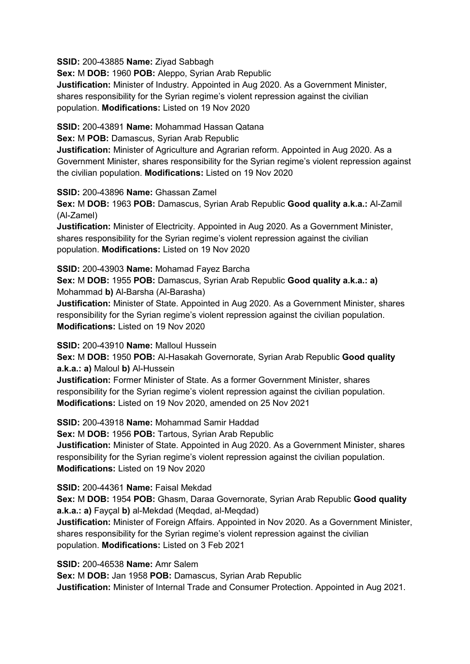**SSID:** 200-43885 **Name:** Ziyad Sabbagh

**Sex:** M **DOB:** 1960 **POB:** Aleppo, Syrian Arab Republic **Justification:** Minister of Industry. Appointed in Aug 2020. As a Government Minister, shares responsibility for the Syrian regime's violent repression against the civilian population. **Modifications:** Listed on 19 Nov 2020

**SSID:** 200-43891 **Name:** Mohammad Hassan Qatana

**Sex:** M **POB:** Damascus, Syrian Arab Republic

**Justification:** Minister of Agriculture and Agrarian reform. Appointed in Aug 2020. As a Government Minister, shares responsibility for the Syrian regime's violent repression against the civilian population. **Modifications:** Listed on 19 Nov 2020

**SSID:** 200-43896 **Name:** Ghassan Zamel

**Sex:** M **DOB:** 1963 **POB:** Damascus, Syrian Arab Republic **Good quality a.k.a.:** Al-Zamil (Al-Zamel)

**Justification:** Minister of Electricity. Appointed in Aug 2020. As a Government Minister, shares responsibility for the Syrian regime's violent repression against the civilian population. **Modifications:** Listed on 19 Nov 2020

**SSID:** 200-43903 **Name:** Mohamad Fayez Barcha

**Sex:** M **DOB:** 1955 **POB:** Damascus, Syrian Arab Republic **Good quality a.k.a.: a)**  Mohammad **b)** Al-Barsha (Al-Barasha)

**Justification:** Minister of State. Appointed in Aug 2020. As a Government Minister, shares responsibility for the Syrian regime's violent repression against the civilian population. **Modifications:** Listed on 19 Nov 2020

**SSID:** 200-43910 **Name:** Malloul Hussein

**Sex:** M **DOB:** 1950 **POB:** Al-Hasakah Governorate, Syrian Arab Republic **Good quality a.k.a.: a)** Maloul **b)** Al-Hussein

**Justification:** Former Minister of State. As a former Government Minister, shares responsibility for the Syrian regime's violent repression against the civilian population. **Modifications:** Listed on 19 Nov 2020, amended on 25 Nov 2021

**SSID:** 200-43918 **Name:** Mohammad Samir Haddad **Sex:** M **DOB:** 1956 **POB:** Tartous, Syrian Arab Republic **Justification:** Minister of State. Appointed in Aug 2020. As a Government Minister, shares responsibility for the Syrian regime's violent repression against the civilian population. **Modifications:** Listed on 19 Nov 2020

**SSID:** 200-44361 **Name:** Faisal Mekdad

**Sex:** M **DOB:** 1954 **POB:** Ghasm, Daraa Governorate, Syrian Arab Republic **Good quality a.k.a.: a)** Fayçal **b)** al-Mekdad (Meqdad, al-Meqdad)

**Justification:** Minister of Foreign Affairs. Appointed in Nov 2020. As a Government Minister, shares responsibility for the Syrian regime's violent repression against the civilian population. **Modifications:** Listed on 3 Feb 2021

**SSID:** 200-46538 **Name:** Amr Salem

**Sex:** M **DOB:** Jan 1958 **POB:** Damascus, Syrian Arab Republic **Justification:** Minister of Internal Trade and Consumer Protection. Appointed in Aug 2021.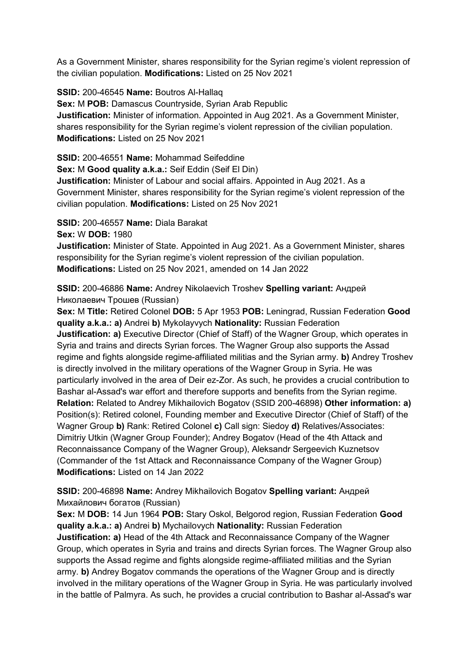As a Government Minister, shares responsibility for the Syrian regime's violent repression of the civilian population. **Modifications:** Listed on 25 Nov 2021

**SSID:** 200-46545 **Name:** Boutros Al-Hallaq

**Sex:** M **POB:** Damascus Countryside, Syrian Arab Republic **Justification:** Minister of information. Appointed in Aug 2021. As a Government Minister, shares responsibility for the Syrian regime's violent repression of the civilian population. **Modifications:** Listed on 25 Nov 2021

**SSID:** 200-46551 **Name:** Mohammad Seifeddine

**Sex:** M **Good quality a.k.a.:** Seif Eddin (Seif El Din)

**Justification:** Minister of Labour and social affairs. Appointed in Aug 2021. As a Government Minister, shares responsibility for the Syrian regime's violent repression of the civilian population. **Modifications:** Listed on 25 Nov 2021

**SSID:** 200-46557 **Name:** Diala Barakat

**Sex:** W **DOB:** 1980

**Justification:** Minister of State. Appointed in Aug 2021. As a Government Minister, shares responsibility for the Syrian regime's violent repression of the civilian population. **Modifications:** Listed on 25 Nov 2021, amended on 14 Jan 2022

**SSID:** 200-46886 **Name:** Andrey Nikolaevich Troshev **Spelling variant:** Андрей Николаевич Трошев (Russian)

**Sex:** M **Title:** Retired Colonel **DOB:** 5 Apr 1953 **POB:** Leningrad, Russian Federation **Good quality a.k.a.: a)** Andrei **b)** Mykolayvych **Nationality:** Russian Federation **Justification: a)** Executive Director (Chief of Staff) of the Wagner Group, which operates in Syria and trains and directs Syrian forces. The Wagner Group also supports the Assad regime and fights alongside regime-affiliated militias and the Syrian army. **b)** Andrey Troshev is directly involved in the military operations of the Wagner Group in Syria. He was particularly involved in the area of Deir ez-Zor. As such, he provides a crucial contribution to Bashar al-Assad's war effort and therefore supports and benefits from the Syrian regime. **Relation:** Related to Andrey Mikhailovich Bogatov (SSID 200-46898) **Other information: a)**  Position(s): Retired colonel, Founding member and Executive Director (Chief of Staff) of the Wagner Group **b)** Rank: Retired Colonel **c)** Call sign: Siedoy **d)** Relatives/Associates: Dimitriy Utkin (Wagner Group Founder); Andrey Bogatov (Head of the 4th Attack and Reconnaissance Company of the Wagner Group), Aleksandr Sergeevich Kuznetsov (Commander of the 1st Attack and Reconnaissance Company of the Wagner Group) **Modifications:** Listed on 14 Jan 2022

**SSID:** 200-46898 **Name:** Andrey Mikhailovich Bogatov **Spelling variant:** Андрей Михайлович богатов (Russian)

**Sex:** M **DOB:** 14 Jun 1964 **POB:** Stary Oskol, Belgorod region, Russian Federation **Good quality a.k.a.: a)** Andrei **b)** Mychailovych **Nationality:** Russian Federation **Justification: a)** Head of the 4th Attack and Reconnaissance Company of the Wagner Group, which operates in Syria and trains and directs Syrian forces. The Wagner Group also supports the Assad regime and fights alongside regime-affiliated militias and the Syrian army. **b)** Andrey Bogatov commands the operations of the Wagner Group and is directly involved in the military operations of the Wagner Group in Syria. He was particularly involved in the battle of Palmyra. As such, he provides a crucial contribution to Bashar al-Assad's war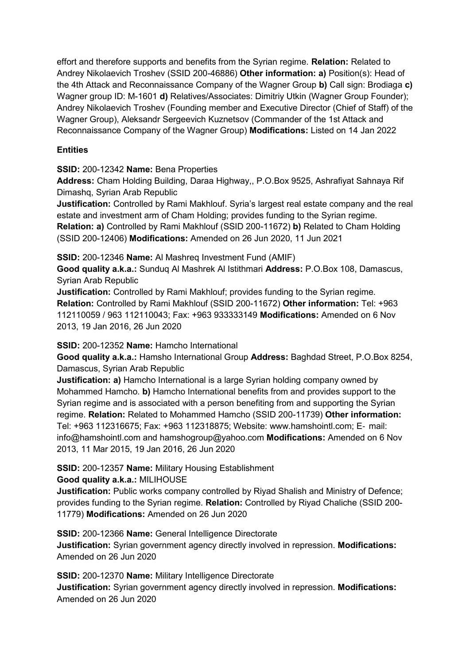effort and therefore supports and benefits from the Syrian regime. **Relation:** Related to Andrey Nikolaevich Troshev (SSID 200-46886) **Other information: a)** Position(s): Head of the 4th Attack and Reconnaissance Company of the Wagner Group **b)** Call sign: Brodiaga **c)**  Wagner group ID: M-1601 **d)** Relatives/Associates: Dimitriy Utkin (Wagner Group Founder); Andrey Nikolaevich Troshev (Founding member and Executive Director (Chief of Staff) of the Wagner Group), Aleksandr Sergeevich Kuznetsov (Commander of the 1st Attack and Reconnaissance Company of the Wagner Group) **Modifications:** Listed on 14 Jan 2022

# **Entities**

**SSID:** 200-12342 **Name:** Bena Properties

**Address:** Cham Holding Building, Daraa Highway,, P.O.Box 9525, Ashrafiyat Sahnaya Rif Dimashq, Syrian Arab Republic

**Justification:** Controlled by Rami Makhlouf. Syria's largest real estate company and the real estate and investment arm of Cham Holding; provides funding to the Syrian regime.

**Relation: a)** Controlled by Rami Makhlouf (SSID 200-11672) **b)** Related to Cham Holding (SSID 200-12406) **Modifications:** Amended on 26 Jun 2020, 11 Jun 2021

**SSID:** 200-12346 **Name:** Al Mashreq Investment Fund (AMIF)

**Good quality a.k.a.:** Sunduq Al Mashrek Al Istithmari **Address:** P.O.Box 108, Damascus, Syrian Arab Republic

**Justification:** Controlled by Rami Makhlouf; provides funding to the Syrian regime. **Relation:** Controlled by Rami Makhlouf (SSID 200-11672) **Other information:** Tel: +963 112110059 / 963 112110043; Fax: +963 933333149 **Modifications:** Amended on 6 Nov 2013, 19 Jan 2016, 26 Jun 2020

**SSID:** 200-12352 **Name:** Hamcho International

**Good quality a.k.a.:** Hamsho International Group **Address:** Baghdad Street, P.O.Box 8254, Damascus, Syrian Arab Republic

**Justification: a)** Hamcho International is a large Syrian holding company owned by Mohammed Hamcho. **b)** Hamcho International benefits from and provides support to the Syrian regime and is associated with a person benefiting from and supporting the Syrian regime. **Relation:** Related to Mohammed Hamcho (SSID 200-11739) **Other information:** Tel: +963 112316675; Fax: +963 112318875; Website: www.hamshointl.com; E‐ mail: info@hamshointl.com and hamshogroup@yahoo.com **Modifications:** Amended on 6 Nov 2013, 11 Mar 2015, 19 Jan 2016, 26 Jun 2020

**SSID:** 200-12357 **Name:** Military Housing Establishment

**Good quality a.k.a.:** MILIHOUSE

**Justification:** Public works company controlled by Riyad Shalish and Ministry of Defence; provides funding to the Syrian regime. **Relation:** Controlled by Riyad Chaliche (SSID 200- 11779) **Modifications:** Amended on 26 Jun 2020

**SSID:** 200-12366 **Name:** General Intelligence Directorate **Justification:** Syrian government agency directly involved in repression. **Modifications:**  Amended on 26 Jun 2020

**SSID:** 200-12370 **Name:** Military Intelligence Directorate **Justification:** Syrian government agency directly involved in repression. **Modifications:**  Amended on 26 Jun 2020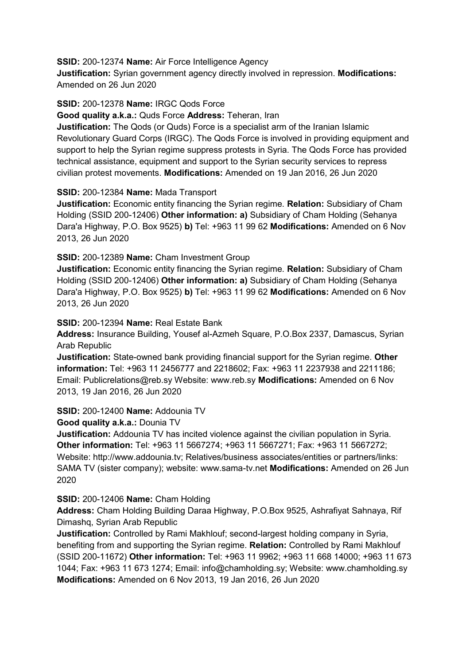**SSID:** 200-12374 **Name:** Air Force Intelligence Agency

**Justification:** Syrian government agency directly involved in repression. **Modifications:**  Amended on 26 Jun 2020

#### **SSID:** 200-12378 **Name:** IRGC Qods Force

**Good quality a.k.a.:** Quds Force **Address:** Teheran, Iran

**Justification:** The Qods (or Quds) Force is a specialist arm of the Iranian Islamic Revolutionary Guard Corps (IRGC). The Qods Force is involved in providing equipment and support to help the Syrian regime suppress protests in Syria. The Qods Force has provided technical assistance, equipment and support to the Syrian security services to repress civilian protest movements. **Modifications:** Amended on 19 Jan 2016, 26 Jun 2020

#### **SSID:** 200-12384 **Name:** Mada Transport

**Justification:** Economic entity financing the Syrian regime. **Relation:** Subsidiary of Cham Holding (SSID 200-12406) **Other information: a)** Subsidiary of Cham Holding (Sehanya Dara'a Highway, P.O. Box 9525) **b)** Tel: +963 11 99 62 **Modifications:** Amended on 6 Nov 2013, 26 Jun 2020

## **SSID:** 200-12389 **Name:** Cham Investment Group

**Justification:** Economic entity financing the Syrian regime. **Relation:** Subsidiary of Cham Holding (SSID 200-12406) **Other information: a)** Subsidiary of Cham Holding (Sehanya Dara'a Highway, P.O. Box 9525) **b)** Tel: +963 11 99 62 **Modifications:** Amended on 6 Nov 2013, 26 Jun 2020

#### **SSID:** 200-12394 **Name:** Real Estate Bank

**Address:** Insurance Building, Yousef al-Azmeh Square, P.O.Box 2337, Damascus, Syrian Arab Republic

**Justification:** State-owned bank providing financial support for the Syrian regime. **Other information:** Tel: +963 11 2456777 and 2218602; Fax: +963 11 2237938 and 2211186; Email: Publicrelations@reb.sy Website: www.reb.sy **Modifications:** Amended on 6 Nov 2013, 19 Jan 2016, 26 Jun 2020

#### **SSID:** 200-12400 **Name:** Addounia TV

**Good quality a.k.a.:** Dounia TV

**Justification:** Addounia TV has incited violence against the civilian population in Syria. **Other information:** Tel: +963 11 5667274; +963 11 5667271; Fax: +963 11 5667272; Website: http://www.addounia.tv; Relatives/business associates/entities or partners/links: SAMA TV (sister company); website: www.sama-tv.net **Modifications:** Amended on 26 Jun 2020

#### **SSID:** 200-12406 **Name:** Cham Holding

**Address:** Cham Holding Building Daraa Highway, P.O.Box 9525, Ashrafiyat Sahnaya, Rif Dimashq, Syrian Arab Republic

**Justification:** Controlled by Rami Makhlouf; second-largest holding company in Syria, benefiting from and supporting the Syrian regime. **Relation:** Controlled by Rami Makhlouf (SSID 200-11672) **Other information:** Tel: +963 11 9962; +963 11 668 14000; +963 11 673 1044; Fax: +963 11 673 1274; Email: info@chamholding.sy; Website: www.chamholding.sy **Modifications:** Amended on 6 Nov 2013, 19 Jan 2016, 26 Jun 2020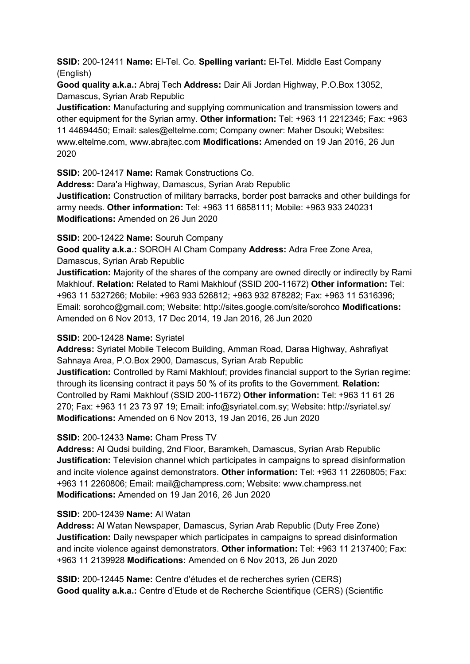**SSID:** 200-12411 **Name:** El-Tel. Co. **Spelling variant:** El-Tel. Middle East Company (English)

**Good quality a.k.a.:** Abraj Tech **Address:** Dair Ali Jordan Highway, P.O.Box 13052, Damascus, Syrian Arab Republic

**Justification:** Manufacturing and supplying communication and transmission towers and other equipment for the Syrian army. **Other information:** Tel: +963 11 2212345; Fax: +963 11 44694450; Email: sales@eltelme.com; Company owner: Maher Dsouki; Websites: www.eltelme.com, www.abrajtec.com **Modifications:** Amended on 19 Jan 2016, 26 Jun 2020

**SSID:** 200-12417 **Name:** Ramak Constructions Co.

**Address:** Dara'a Highway, Damascus, Syrian Arab Republic **Justification:** Construction of military barracks, border post barracks and other buildings for army needs. **Other information:** Tel: +963 11 6858111; Mobile: +963 933 240231

**Modifications:** Amended on 26 Jun 2020

**SSID:** 200-12422 **Name:** Souruh Company

**Good quality a.k.a.:** SOROH Al Cham Company **Address:** Adra Free Zone Area, Damascus, Syrian Arab Republic

**Justification:** Majority of the shares of the company are owned directly or indirectly by Rami Makhlouf. **Relation:** Related to Rami Makhlouf (SSID 200-11672) **Other information:** Tel: +963 11 5327266; Mobile: +963 933 526812; +963 932 878282; Fax: +963 11 5316396; Email: sorohco@gmail.com; Website: http://sites.google.com/site/sorohco **Modifications:**  Amended on 6 Nov 2013, 17 Dec 2014, 19 Jan 2016, 26 Jun 2020

# **SSID:** 200-12428 **Name:** Syriatel

**Address:** Syriatel Mobile Telecom Building, Amman Road, Daraa Highway, Ashrafiyat Sahnaya Area, P.O.Box 2900, Damascus, Syrian Arab Republic **Justification:** Controlled by Rami Makhlouf; provides financial support to the Syrian regime: through its licensing contract it pays 50 % of its profits to the Government. **Relation:** Controlled by Rami Makhlouf (SSID 200-11672) **Other information:** Tel: +963 11 61 26 270; Fax: +963 11 23 73 97 19; Email: info@syriatel.com.sy; Website: http://syriatel.sy/ **Modifications:** Amended on 6 Nov 2013, 19 Jan 2016, 26 Jun 2020

# **SSID:** 200-12433 **Name:** Cham Press TV

**Address:** Al Qudsi building, 2nd Floor, Baramkeh, Damascus, Syrian Arab Republic **Justification:** Television channel which participates in campaigns to spread disinformation and incite violence against demonstrators. **Other information:** Tel: +963 11 2260805; Fax: +963 11 2260806; Email: mail@champress.com; Website: www.champress.net **Modifications:** Amended on 19 Jan 2016, 26 Jun 2020

## **SSID:** 200-12439 **Name:** Al Watan

**Address:** Al Watan Newspaper, Damascus, Syrian Arab Republic (Duty Free Zone) **Justification:** Daily newspaper which participates in campaigns to spread disinformation and incite violence against demonstrators. **Other information:** Tel: +963 11 2137400; Fax: +963 11 2139928 **Modifications:** Amended on 6 Nov 2013, 26 Jun 2020

**SSID:** 200-12445 **Name:** Centre d'études et de recherches syrien (CERS) **Good quality a.k.a.:** Centre d'Etude et de Recherche Scientifique (CERS) (Scientific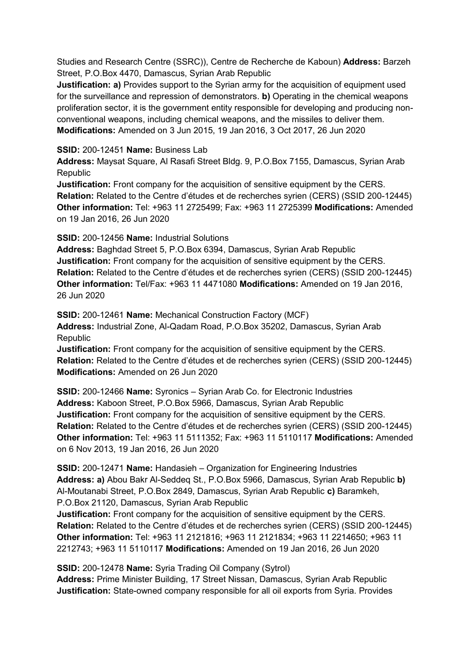Studies and Research Centre (SSRC)), Centre de Recherche de Kaboun) **Address:** Barzeh Street, P.O.Box 4470, Damascus, Syrian Arab Republic

**Justification: a)** Provides support to the Syrian army for the acquisition of equipment used for the surveillance and repression of demonstrators. **b)** Operating in the chemical weapons proliferation sector, it is the government entity responsible for developing and producing nonconventional weapons, including chemical weapons, and the missiles to deliver them. **Modifications:** Amended on 3 Jun 2015, 19 Jan 2016, 3 Oct 2017, 26 Jun 2020

#### **SSID:** 200-12451 **Name:** Business Lab

**Address:** Maysat Square, Al Rasafi Street Bldg. 9, P.O.Box 7155, Damascus, Syrian Arab Republic

**Justification:** Front company for the acquisition of sensitive equipment by the CERS. **Relation:** Related to the Centre d'études et de recherches syrien (CERS) (SSID 200-12445) **Other information:** Tel: +963 11 2725499; Fax: +963 11 2725399 **Modifications:** Amended on 19 Jan 2016, 26 Jun 2020

## **SSID:** 200-12456 **Name:** Industrial Solutions

**Address:** Baghdad Street 5, P.O.Box 6394, Damascus, Syrian Arab Republic **Justification:** Front company for the acquisition of sensitive equipment by the CERS. **Relation:** Related to the Centre d'études et de recherches syrien (CERS) (SSID 200-12445) **Other information:** Tel/Fax: +963 11 4471080 **Modifications:** Amended on 19 Jan 2016, 26 Jun 2020

**SSID:** 200-12461 **Name:** Mechanical Construction Factory (MCF) **Address:** Industrial Zone, Al-Qadam Road, P.O.Box 35202, Damascus, Syrian Arab Republic

**Justification:** Front company for the acquisition of sensitive equipment by the CERS. **Relation:** Related to the Centre d'études et de recherches syrien (CERS) (SSID 200-12445) **Modifications:** Amended on 26 Jun 2020

**SSID:** 200-12466 **Name:** Syronics – Syrian Arab Co. for Electronic Industries **Address:** Kaboon Street, P.O.Box 5966, Damascus, Syrian Arab Republic **Justification:** Front company for the acquisition of sensitive equipment by the CERS. **Relation:** Related to the Centre d'études et de recherches syrien (CERS) (SSID 200-12445) **Other information:** Tel: +963 11 5111352; Fax: +963 11 5110117 **Modifications:** Amended on 6 Nov 2013, 19 Jan 2016, 26 Jun 2020

**SSID:** 200-12471 **Name:** Handasieh – Organization for Engineering Industries **Address: a)** Abou Bakr Al-Seddeq St., P.O.Box 5966, Damascus, Syrian Arab Republic **b)**  Al-Moutanabi Street, P.O.Box 2849, Damascus, Syrian Arab Republic **c)** Baramkeh, P.O.Box 21120, Damascus, Syrian Arab Republic

**Justification:** Front company for the acquisition of sensitive equipment by the CERS. **Relation:** Related to the Centre d'études et de recherches syrien (CERS) (SSID 200-12445) **Other information:** Tel: +963 11 2121816; +963 11 2121834; +963 11 2214650; +963 11 2212743; +963 11 5110117 **Modifications:** Amended on 19 Jan 2016, 26 Jun 2020

**SSID:** 200-12478 **Name:** Syria Trading Oil Company (Sytrol)

**Address:** Prime Minister Building, 17 Street Nissan, Damascus, Syrian Arab Republic **Justification:** State-owned company responsible for all oil exports from Syria. Provides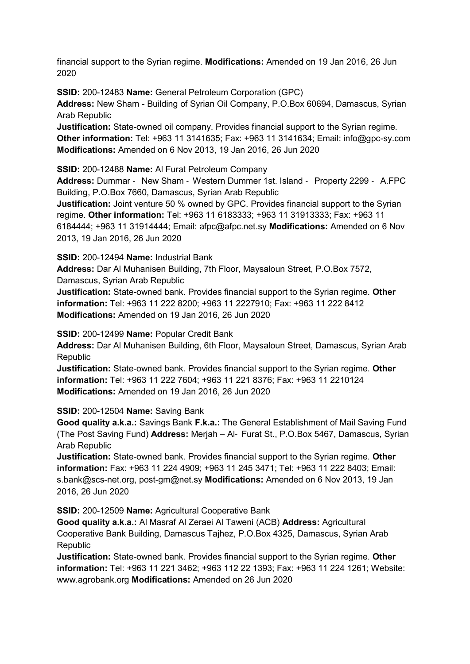financial support to the Syrian regime. **Modifications:** Amended on 19 Jan 2016, 26 Jun 2020

**SSID:** 200-12483 **Name:** General Petroleum Corporation (GPC)

**Address:** New Sham - Building of Syrian Oil Company, P.O.Box 60694, Damascus, Syrian Arab Republic

**Justification:** State-owned oil company. Provides financial support to the Syrian regime. **Other information:** Tel: +963 11 3141635; Fax: +963 11 3141634; Email: info@gpc-sy.com **Modifications:** Amended on 6 Nov 2013, 19 Jan 2016, 26 Jun 2020

**SSID:** 200-12488 **Name:** Al Furat Petroleum Company

**Address:** Dummar ‐ New Sham ‐ Western Dummer 1st. Island ‐ Property 2299 ‐ A.FPC Building, P.O.Box 7660, Damascus, Syrian Arab Republic

**Justification:** Joint venture 50 % owned by GPC. Provides financial support to the Syrian regime. **Other information:** Tel: +963 11 6183333; +963 11 31913333; Fax: +963 11 6184444; +963 11 31914444; Email: afpc@afpc.net.sy **Modifications:** Amended on 6 Nov 2013, 19 Jan 2016, 26 Jun 2020

**SSID:** 200-12494 **Name:** Industrial Bank

**Address:** Dar Al Muhanisen Building, 7th Floor, Maysaloun Street, P.O.Box 7572,

Damascus, Syrian Arab Republic

**Justification:** State-owned bank. Provides financial support to the Syrian regime. **Other information:** Tel: +963 11 222 8200; +963 11 2227910; Fax: +963 11 222 8412 **Modifications:** Amended on 19 Jan 2016, 26 Jun 2020

**SSID:** 200-12499 **Name:** Popular Credit Bank

**Address:** Dar Al Muhanisen Building, 6th Floor, Maysaloun Street, Damascus, Syrian Arab Republic

**Justification:** State-owned bank. Provides financial support to the Syrian regime. **Other information:** Tel: +963 11 222 7604; +963 11 221 8376; Fax: +963 11 2210124 **Modifications:** Amended on 19 Jan 2016, 26 Jun 2020

**SSID:** 200-12504 **Name:** Saving Bank

**Good quality a.k.a.:** Savings Bank **F.k.a.:** The General Establishment of Mail Saving Fund (The Post Saving Fund) **Address:** Merjah – Al‐ Furat St., P.O.Box 5467, Damascus, Syrian Arab Republic

**Justification:** State-owned bank. Provides financial support to the Syrian regime. **Other information:** Fax: +963 11 224 4909; +963 11 245 3471; Tel: +963 11 222 8403; Email: s.bank@scs-net.org, post-gm@net.sy **Modifications:** Amended on 6 Nov 2013, 19 Jan 2016, 26 Jun 2020

**SSID:** 200-12509 **Name:** Agricultural Cooperative Bank

**Good quality a.k.a.:** Al Masraf Al Zeraei Al Taweni (ACB) **Address:** Agricultural Cooperative Bank Building, Damascus Tajhez, P.O.Box 4325, Damascus, Syrian Arab Republic

**Justification:** State-owned bank. Provides financial support to the Syrian regime. **Other information:** Tel: +963 11 221 3462; +963 112 22 1393; Fax: +963 11 224 1261; Website: www.agrobank.org **Modifications:** Amended on 26 Jun 2020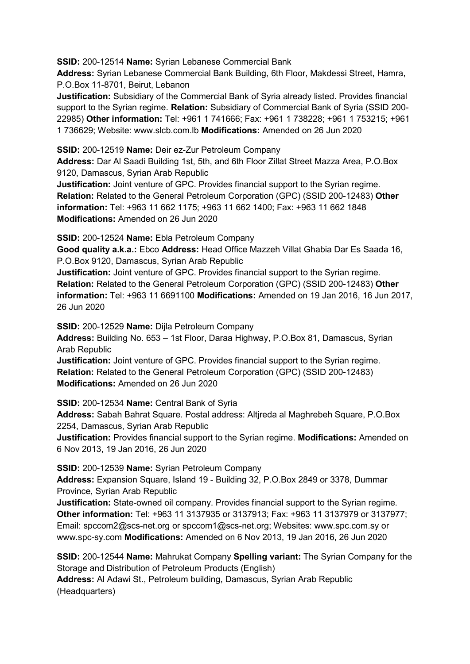**SSID:** 200-12514 **Name:** Syrian Lebanese Commercial Bank

**Address:** Syrian Lebanese Commercial Bank Building, 6th Floor, Makdessi Street, Hamra, P.O.Box 11-8701, Beirut, Lebanon

**Justification:** Subsidiary of the Commercial Bank of Syria already listed. Provides financial support to the Syrian regime. **Relation:** Subsidiary of Commercial Bank of Syria (SSID 200- 22985) **Other information:** Tel: +961 1 741666; Fax: +961 1 738228; +961 1 753215; +961 1 736629; Website: www.slcb.com.lb **Modifications:** Amended on 26 Jun 2020

**SSID:** 200-12519 **Name:** Deir ez-Zur Petroleum Company

**Address:** Dar Al Saadi Building 1st, 5th, and 6th Floor Zillat Street Mazza Area, P.O.Box 9120, Damascus, Syrian Arab Republic

**Justification:** Joint venture of GPC. Provides financial support to the Syrian regime. **Relation:** Related to the General Petroleum Corporation (GPC) (SSID 200-12483) **Other information:** Tel: +963 11 662 1175; +963 11 662 1400; Fax: +963 11 662 1848 **Modifications:** Amended on 26 Jun 2020

**SSID:** 200-12524 **Name:** Ebla Petroleum Company

**Good quality a.k.a.:** Ebco **Address:** Head Office Mazzeh Villat Ghabia Dar Es Saada 16, P.O.Box 9120, Damascus, Syrian Arab Republic

**Justification:** Joint venture of GPC. Provides financial support to the Syrian regime. **Relation:** Related to the General Petroleum Corporation (GPC) (SSID 200-12483) **Other information:** Tel: +963 11 6691100 **Modifications:** Amended on 19 Jan 2016, 16 Jun 2017, 26 Jun 2020

**SSID:** 200-12529 **Name:** Dijla Petroleum Company

**Address:** Building No. 653 – 1st Floor, Daraa Highway, P.O.Box 81, Damascus, Syrian Arab Republic

**Justification:** Joint venture of GPC. Provides financial support to the Syrian regime. **Relation:** Related to the General Petroleum Corporation (GPC) (SSID 200-12483) **Modifications:** Amended on 26 Jun 2020

**SSID:** 200-12534 **Name:** Central Bank of Syria

**Address:** Sabah Bahrat Square. Postal address: Altjreda al Maghrebeh Square, P.O.Box 2254, Damascus, Syrian Arab Republic

**Justification:** Provides financial support to the Syrian regime. **Modifications:** Amended on 6 Nov 2013, 19 Jan 2016, 26 Jun 2020

**SSID:** 200-12539 **Name:** Syrian Petroleum Company

**Address:** Expansion Square, Island 19 - Building 32, P.O.Box 2849 or 3378, Dummar Province, Syrian Arab Republic

**Justification:** State-owned oil company. Provides financial support to the Syrian regime. **Other information:** Tel: +963 11 3137935 or 3137913; Fax: +963 11 3137979 or 3137977; Email: spccom2@scs-net.org or spccom1@scs-net.org; Websites: www.spc.com.sy or www.spc-sy.com **Modifications:** Amended on 6 Nov 2013, 19 Jan 2016, 26 Jun 2020

**SSID:** 200-12544 **Name:** Mahrukat Company **Spelling variant:** The Syrian Company for the Storage and Distribution of Petroleum Products (English) **Address:** Al Adawi St., Petroleum building, Damascus, Syrian Arab Republic

(Headquarters)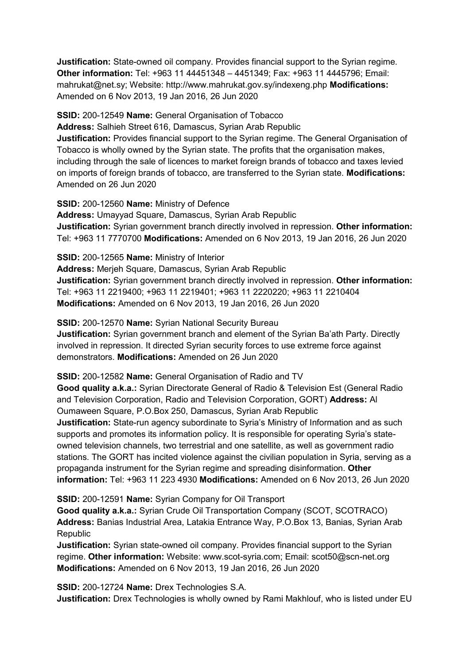**Justification:** State-owned oil company. Provides financial support to the Syrian regime. **Other information:** Tel: +963 11 44451348 – 4451349; Fax: +963 11 4445796; Email: mahrukat@net.sy; Website: http://www.mahrukat.gov.sy/indexeng.php **Modifications:**  Amended on 6 Nov 2013, 19 Jan 2016, 26 Jun 2020

**SSID:** 200-12549 **Name:** General Organisation of Tobacco

**Address:** Salhieh Street 616, Damascus, Syrian Arab Republic

**Justification:** Provides financial support to the Syrian regime. The General Organisation of Tobacco is wholly owned by the Syrian state. The profits that the organisation makes, including through the sale of licences to market foreign brands of tobacco and taxes levied on imports of foreign brands of tobacco, are transferred to the Syrian state. **Modifications:**  Amended on 26 Jun 2020

**SSID:** 200-12560 **Name:** Ministry of Defence **Address:** Umayyad Square, Damascus, Syrian Arab Republic **Justification:** Syrian government branch directly involved in repression. **Other information:** Tel: +963 11 7770700 **Modifications:** Amended on 6 Nov 2013, 19 Jan 2016, 26 Jun 2020

**SSID:** 200-12565 **Name:** Ministry of Interior

**Address:** Merjeh Square, Damascus, Syrian Arab Republic **Justification:** Syrian government branch directly involved in repression. **Other information:** Tel: +963 11 2219400; +963 11 2219401; +963 11 2220220; +963 11 2210404 **Modifications:** Amended on 6 Nov 2013, 19 Jan 2016, 26 Jun 2020

**SSID:** 200-12570 **Name:** Syrian National Security Bureau **Justification:** Syrian government branch and element of the Syrian Ba'ath Party. Directly involved in repression. It directed Syrian security forces to use extreme force against demonstrators. **Modifications:** Amended on 26 Jun 2020

**SSID:** 200-12582 **Name:** General Organisation of Radio and TV

**Good quality a.k.a.:** Syrian Directorate General of Radio & Television Est (General Radio and Television Corporation, Radio and Television Corporation, GORT) **Address:** Al Oumaween Square, P.O.Box 250, Damascus, Syrian Arab Republic

**Justification:** State-run agency subordinate to Syria's Ministry of Information and as such supports and promotes its information policy. It is responsible for operating Syria's stateowned television channels, two terrestrial and one satellite, as well as government radio stations. The GORT has incited violence against the civilian population in Syria, serving as a propaganda instrument for the Syrian regime and spreading disinformation. **Other information:** Tel: +963 11 223 4930 **Modifications:** Amended on 6 Nov 2013, 26 Jun 2020

**SSID:** 200-12591 **Name:** Syrian Company for Oil Transport

**Good quality a.k.a.:** Syrian Crude Oil Transportation Company (SCOT, SCOTRACO) **Address:** Banias Industrial Area, Latakia Entrance Way, P.O.Box 13, Banias, Syrian Arab Republic

**Justification:** Syrian state-owned oil company. Provides financial support to the Syrian regime. **Other information:** Website: www.scot-syria.com; Email: scot50@scn-net.org **Modifications:** Amended on 6 Nov 2013, 19 Jan 2016, 26 Jun 2020

**SSID:** 200-12724 **Name:** Drex Technologies S.A.

**Justification:** Drex Technologies is wholly owned by Rami Makhlouf, who is listed under EU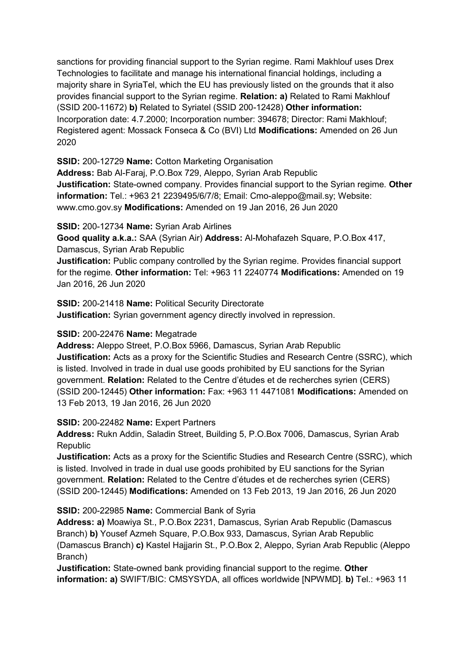sanctions for providing financial support to the Syrian regime. Rami Makhlouf uses Drex Technologies to facilitate and manage his international financial holdings, including a majority share in SyriaTel, which the EU has previously listed on the grounds that it also provides financial support to the Syrian regime. **Relation: a)** Related to Rami Makhlouf (SSID 200-11672) **b)** Related to Syriatel (SSID 200-12428) **Other information:** Incorporation date: 4.7.2000; Incorporation number: 394678; Director: Rami Makhlouf; Registered agent: Mossack Fonseca & Co (BVI) Ltd **Modifications:** Amended on 26 Jun 2020

**SSID:** 200-12729 **Name:** Cotton Marketing Organisation

**Address:** Bab Al-Faraj, P.O.Box 729, Aleppo, Syrian Arab Republic **Justification:** State-owned company. Provides financial support to the Syrian regime. **Other information:** Tel.: +963 21 2239495/6/7/8; Email: Cmo-aleppo@mail.sy; Website: www.cmo.gov.sy **Modifications:** Amended on 19 Jan 2016, 26 Jun 2020

**SSID:** 200-12734 **Name:** Syrian Arab Airlines

**Good quality a.k.a.:** SAA (Syrian Air) **Address:** Al-Mohafazeh Square, P.O.Box 417, Damascus, Syrian Arab Republic

**Justification:** Public company controlled by the Syrian regime. Provides financial support for the regime. **Other information:** Tel: +963 11 2240774 **Modifications:** Amended on 19 Jan 2016, 26 Jun 2020

**SSID:** 200-21418 **Name:** Political Security Directorate **Justification:** Syrian government agency directly involved in repression.

#### **SSID:** 200-22476 **Name:** Megatrade

**Address:** Aleppo Street, P.O.Box 5966, Damascus, Syrian Arab Republic **Justification:** Acts as a proxy for the Scientific Studies and Research Centre (SSRC), which is listed. Involved in trade in dual use goods prohibited by EU sanctions for the Syrian government. **Relation:** Related to the Centre d'études et de recherches syrien (CERS) (SSID 200-12445) **Other information:** Fax: +963 11 4471081 **Modifications:** Amended on 13 Feb 2013, 19 Jan 2016, 26 Jun 2020

**SSID:** 200-22482 **Name:** Expert Partners

**Address:** Rukn Addin, Saladin Street, Building 5, P.O.Box 7006, Damascus, Syrian Arab Republic

**Justification:** Acts as a proxy for the Scientific Studies and Research Centre (SSRC), which is listed. Involved in trade in dual use goods prohibited by EU sanctions for the Syrian government. **Relation:** Related to the Centre d'études et de recherches syrien (CERS) (SSID 200-12445) **Modifications:** Amended on 13 Feb 2013, 19 Jan 2016, 26 Jun 2020

**SSID:** 200-22985 **Name:** Commercial Bank of Syria

**Address: a)** Moawiya St., P.O.Box 2231, Damascus, Syrian Arab Republic (Damascus Branch) **b)** Yousef Azmeh Square, P.O.Box 933, Damascus, Syrian Arab Republic (Damascus Branch) **c)** Kastel Hajjarin St., P.O.Box 2, Aleppo, Syrian Arab Republic (Aleppo Branch)

**Justification:** State-owned bank providing financial support to the regime. **Other information: a)** SWIFT/BIC: CMSYSYDA, all offices worldwide [NPWMD]. **b)** Tel.: +963 11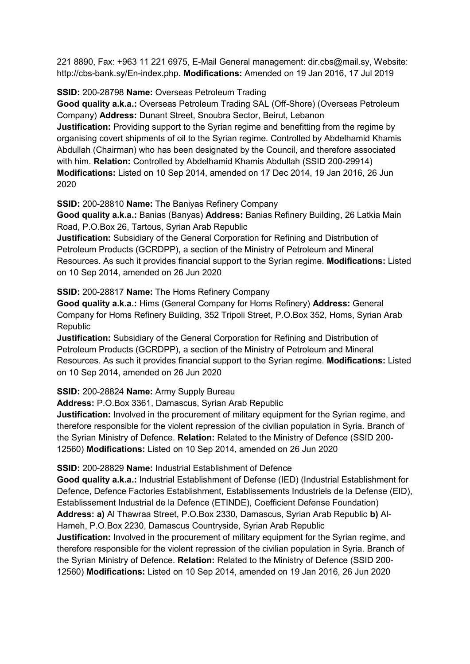221 8890, Fax: +963 11 221 6975, E-Mail General management: dir.cbs@mail.sy, Website: http://cbs-bank.sy/En-index.php. **Modifications:** Amended on 19 Jan 2016, 17 Jul 2019

## **SSID:** 200-28798 **Name:** Overseas Petroleum Trading

**Good quality a.k.a.:** Overseas Petroleum Trading SAL (Off-Shore) (Overseas Petroleum Company) **Address:** Dunant Street, Snoubra Sector, Beirut, Lebanon

**Justification:** Providing support to the Syrian regime and benefitting from the regime by organising covert shipments of oil to the Syrian regime. Controlled by Abdelhamid Khamis Abdullah (Chairman) who has been designated by the Council, and therefore associated with him. **Relation:** Controlled by Abdelhamid Khamis Abdullah (SSID 200-29914) **Modifications:** Listed on 10 Sep 2014, amended on 17 Dec 2014, 19 Jan 2016, 26 Jun 2020

**SSID:** 200-28810 **Name:** The Baniyas Refinery Company

**Good quality a.k.a.:** Banias (Banyas) **Address:** Banias Refinery Building, 26 Latkia Main Road, P.O.Box 26, Tartous, Syrian Arab Republic

**Justification:** Subsidiary of the General Corporation for Refining and Distribution of Petroleum Products (GCRDPP), a section of the Ministry of Petroleum and Mineral Resources. As such it provides financial support to the Syrian regime. **Modifications:** Listed on 10 Sep 2014, amended on 26 Jun 2020

### **SSID:** 200-28817 **Name:** The Homs Refinery Company

**Good quality a.k.a.:** Hims (General Company for Homs Refinery) **Address:** General Company for Homs Refinery Building, 352 Tripoli Street, P.O.Box 352, Homs, Syrian Arab **Republic** 

**Justification:** Subsidiary of the General Corporation for Refining and Distribution of Petroleum Products (GCRDPP), a section of the Ministry of Petroleum and Mineral Resources. As such it provides financial support to the Syrian regime. **Modifications:** Listed on 10 Sep 2014, amended on 26 Jun 2020

**SSID:** 200-28824 **Name:** Army Supply Bureau

**Address:** P.O.Box 3361, Damascus, Syrian Arab Republic

**Justification:** Involved in the procurement of military equipment for the Syrian regime, and therefore responsible for the violent repression of the civilian population in Syria. Branch of the Syrian Ministry of Defence. **Relation:** Related to the Ministry of Defence (SSID 200- 12560) **Modifications:** Listed on 10 Sep 2014, amended on 26 Jun 2020

**SSID:** 200-28829 **Name:** Industrial Establishment of Defence

**Good quality a.k.a.:** Industrial Establishment of Defense (IED) (Industrial Establishment for Defence, Defence Factories Establishment, Establissements Industriels de la Defense (EID), Establissement Industrial de la Defence (ETINDE), Coefficient Defense Foundation) **Address: a)** Al Thawraa Street, P.O.Box 2330, Damascus, Syrian Arab Republic **b)** Al-Hameh, P.O.Box 2230, Damascus Countryside, Syrian Arab Republic

**Justification:** Involved in the procurement of military equipment for the Syrian regime, and therefore responsible for the violent repression of the civilian population in Syria. Branch of the Syrian Ministry of Defence. **Relation:** Related to the Ministry of Defence (SSID 200- 12560) **Modifications:** Listed on 10 Sep 2014, amended on 19 Jan 2016, 26 Jun 2020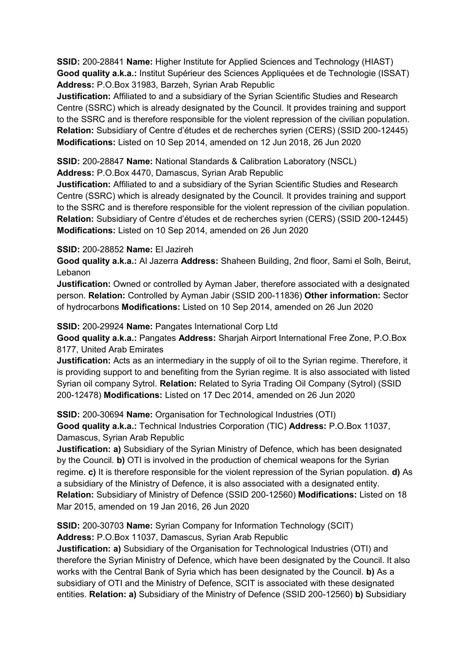**SSID:** 200-28841 **Name:** Higher Institute for Applied Sciences and Technology (HIAST) **Good quality a.k.a.:** Institut Supérieur des Sciences Appliquées et de Technologie (ISSAT) **Address:** P.O.Box 31983, Barzeh, Syrian Arab Republic

**Justification:** Affiliated to and a subsidiary of the Syrian Scientific Studies and Research Centre (SSRC) which is already designated by the Council. It provides training and support to the SSRC and is therefore responsible for the violent repression of the civilian population. **Relation:** Subsidiary of Centre d'études et de recherches syrien (CERS) (SSID 200-12445) **Modifications:** Listed on 10 Sep 2014, amended on 12 Jun 2018, 26 Jun 2020

**SSID:** 200-28847 **Name:** National Standards & Calibration Laboratory (NSCL) **Address:** P.O.Box 4470, Damascus, Syrian Arab Republic

**Justification:** Affiliated to and a subsidiary of the Syrian Scientific Studies and Research Centre (SSRC) which is already designated by the Council. It provides training and support to the SSRC and is therefore responsible for the violent repression of the civilian population. **Relation:** Subsidiary of Centre d'études et de recherches syrien (CERS) (SSID 200-12445) **Modifications:** Listed on 10 Sep 2014, amended on 26 Jun 2020

#### **SSID:** 200-28852 **Name:** El Jazireh

**Good quality a.k.a.:** Al Jazerra **Address:** Shaheen Building, 2nd floor, Sami el Solh, Beirut, Lebanon

**Justification:** Owned or controlled by Ayman Jaber, therefore associated with a designated person. **Relation:** Controlled by Ayman Jabir (SSID 200-11836) **Other information:** Sector of hydrocarbons **Modifications:** Listed on 10 Sep 2014, amended on 26 Jun 2020

### **SSID:** 200-29924 **Name:** Pangates International Corp Ltd

**Good quality a.k.a.:** Pangates **Address:** Sharjah Airport International Free Zone, P.O.Box 8177, United Arab Emirates

**Justification:** Acts as an intermediary in the supply of oil to the Syrian regime. Therefore, it is providing support to and benefiting from the Syrian regime. It is also associated with listed Syrian oil company Sytrol. **Relation:** Related to Syria Trading Oil Company (Sytrol) (SSID 200-12478) **Modifications:** Listed on 17 Dec 2014, amended on 26 Jun 2020

**SSID:** 200-30694 **Name:** Organisation for Technological Industries (OTI)

**Good quality a.k.a.:** Technical Industries Corporation (TIC) **Address:** P.O.Box 11037, Damascus, Syrian Arab Republic

**Justification: a)** Subsidiary of the Syrian Ministry of Defence, which has been designated by the Council. **b)** OTI is involved in the production of chemical weapons for the Syrian regime. **c)** It is therefore responsible for the violent repression of the Syrian population. **d)** As a subsidiary of the Ministry of Defence, it is also associated with a designated entity. **Relation:** Subsidiary of Ministry of Defence (SSID 200-12560) **Modifications:** Listed on 18 Mar 2015, amended on 19 Jan 2016, 26 Jun 2020

**SSID:** 200-30703 **Name:** Syrian Company for Information Technology (SCIT)

**Address:** P.O.Box 11037, Damascus, Syrian Arab Republic

**Justification: a)** Subsidiary of the Organisation for Technological Industries (OTI) and therefore the Syrian Ministry of Defence, which have been designated by the Council. It also works with the Central Bank of Syria which has been designated by the Council. **b)** As a subsidiary of OTI and the Ministry of Defence, SCIT is associated with these designated entities. **Relation: a)** Subsidiary of the Ministry of Defence (SSID 200-12560) **b)** Subsidiary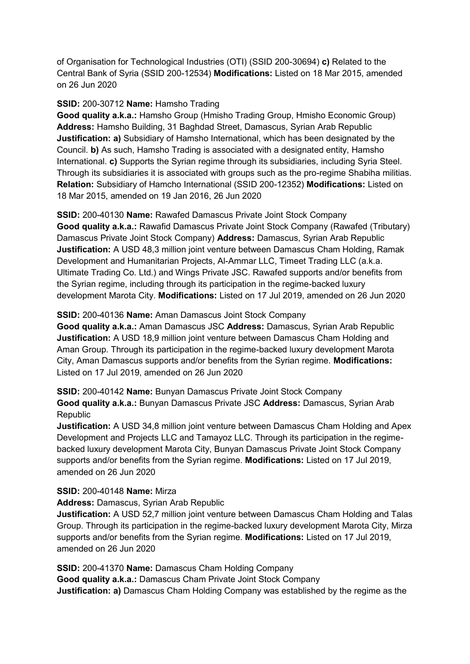of Organisation for Technological Industries (OTI) (SSID 200-30694) **c)** Related to the Central Bank of Syria (SSID 200-12534) **Modifications:** Listed on 18 Mar 2015, amended on 26 Jun 2020

## **SSID:** 200-30712 **Name:** Hamsho Trading

**Good quality a.k.a.:** Hamsho Group (Hmisho Trading Group, Hmisho Economic Group) **Address:** Hamsho Building, 31 Baghdad Street, Damascus, Syrian Arab Republic **Justification: a)** Subsidiary of Hamsho International, which has been designated by the Council. **b)** As such, Hamsho Trading is associated with a designated entity, Hamsho International. **c)** Supports the Syrian regime through its subsidiaries, including Syria Steel. Through its subsidiaries it is associated with groups such as the pro-regime Shabiha militias. **Relation:** Subsidiary of Hamcho International (SSID 200-12352) **Modifications:** Listed on 18 Mar 2015, amended on 19 Jan 2016, 26 Jun 2020

**SSID:** 200-40130 **Name:** Rawafed Damascus Private Joint Stock Company **Good quality a.k.a.:** Rawafid Damascus Private Joint Stock Company (Rawafed (Tributary) Damascus Private Joint Stock Company) **Address:** Damascus, Syrian Arab Republic **Justification:** A USD 48,3 million joint venture between Damascus Cham Holding, Ramak Development and Humanitarian Projects, Al-Ammar LLC, Timeet Trading LLC (a.k.a. Ultimate Trading Co. Ltd.) and Wings Private JSC. Rawafed supports and/or benefits from the Syrian regime, including through its participation in the regime-backed luxury development Marota City. **Modifications:** Listed on 17 Jul 2019, amended on 26 Jun 2020

## **SSID:** 200-40136 **Name:** Aman Damascus Joint Stock Company

**Good quality a.k.a.:** Aman Damascus JSC **Address:** Damascus, Syrian Arab Republic **Justification:** A USD 18,9 million joint venture between Damascus Cham Holding and Aman Group. Through its participation in the regime-backed luxury development Marota City, Aman Damascus supports and/or benefits from the Syrian regime. **Modifications:**  Listed on 17 Jul 2019, amended on 26 Jun 2020

**SSID:** 200-40142 **Name:** Bunyan Damascus Private Joint Stock Company **Good quality a.k.a.:** Bunyan Damascus Private JSC **Address:** Damascus, Syrian Arab **Republic** 

**Justification:** A USD 34,8 million joint venture between Damascus Cham Holding and Apex Development and Projects LLC and Tamayoz LLC. Through its participation in the regimebacked luxury development Marota City, Bunyan Damascus Private Joint Stock Company supports and/or benefits from the Syrian regime. **Modifications:** Listed on 17 Jul 2019, amended on 26 Jun 2020

#### **SSID:** 200-40148 **Name:** Mirza

#### **Address:** Damascus, Syrian Arab Republic

**Justification:** A USD 52,7 million joint venture between Damascus Cham Holding and Talas Group. Through its participation in the regime-backed luxury development Marota City, Mirza supports and/or benefits from the Syrian regime. **Modifications:** Listed on 17 Jul 2019, amended on 26 Jun 2020

**SSID:** 200-41370 **Name:** Damascus Cham Holding Company **Good quality a.k.a.:** Damascus Cham Private Joint Stock Company **Justification: a)** Damascus Cham Holding Company was established by the regime as the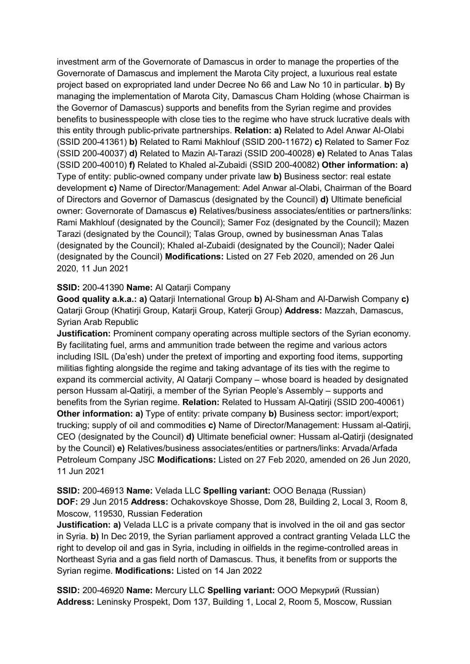investment arm of the Governorate of Damascus in order to manage the properties of the Governorate of Damascus and implement the Marota City project, a luxurious real estate project based on expropriated land under Decree No 66 and Law No 10 in particular. **b)** By managing the implementation of Marota City, Damascus Cham Holding (whose Chairman is the Governor of Damascus) supports and benefits from the Syrian regime and provides benefits to businesspeople with close ties to the regime who have struck lucrative deals with this entity through public-private partnerships. **Relation: a)** Related to Adel Anwar Al-Olabi (SSID 200-41361) **b)** Related to Rami Makhlouf (SSID 200-11672) **c)** Related to Samer Foz (SSID 200-40037) **d)** Related to Mazin Al-Tarazi (SSID 200-40028) **e)** Related to Anas Talas (SSID 200-40010) **f)** Related to Khaled al-Zubaidi (SSID 200-40082) **Other information: a)**  Type of entity: public-owned company under private law **b)** Business sector: real estate development **c)** Name of Director/Management: Adel Anwar al-Olabi, Chairman of the Board of Directors and Governor of Damascus (designated by the Council) **d)** Ultimate beneficial owner: Governorate of Damascus **e)** Relatives/business associates/entities or partners/links: Rami Makhlouf (designated by the Council); Samer Foz (designated by the Council); Mazen Tarazi (designated by the Council); Talas Group, owned by businessman Anas Talas (designated by the Council); Khaled al-Zubaidi (designated by the Council); Nader Qalei (designated by the Council) **Modifications:** Listed on 27 Feb 2020, amended on 26 Jun 2020, 11 Jun 2021

### **SSID:** 200-41390 **Name:** Al Qatarji Company

**Good quality a.k.a.: a)** Qatarji International Group **b)** Al-Sham and Al-Darwish Company **c)**  Qatarji Group (Khatirji Group, Katarji Group, Katerji Group) **Address:** Mazzah, Damascus, Syrian Arab Republic

**Justification:** Prominent company operating across multiple sectors of the Syrian economy. By facilitating fuel, arms and ammunition trade between the regime and various actors including ISIL (Da'esh) under the pretext of importing and exporting food items, supporting militias fighting alongside the regime and taking advantage of its ties with the regime to expand its commercial activity, Al Qatarji Company – whose board is headed by designated person Hussam al-Qatirji, a member of the Syrian People's Assembly – supports and benefits from the Syrian regime. **Relation:** Related to Hussam Al-Qatirji (SSID 200-40061) **Other information: a)** Type of entity: private company **b)** Business sector: import/export; trucking; supply of oil and commodities **c)** Name of Director/Management: Hussam al-Qatirji, CEO (designated by the Council) **d)** Ultimate beneficial owner: Hussam al-Qatirji (designated by the Council) **e)** Relatives/business associates/entities or partners/links: Arvada/Arfada Petroleum Company JSC **Modifications:** Listed on 27 Feb 2020, amended on 26 Jun 2020, 11 Jun 2021

**SSID:** 200-46913 **Name:** Velada LLC **Spelling variant:** OOO Велада (Russian) **DOF:** 29 Jun 2015 **Address:** Ochakovskoye Shosse, Dom 28, Building 2, Local 3, Room 8, Moscow, 119530, Russian Federation

**Justification: a)** Velada LLC is a private company that is involved in the oil and gas sector in Syria. **b)** In Dec 2019, the Syrian parliament approved a contract granting Velada LLC the right to develop oil and gas in Syria, including in oilfields in the regime-controlled areas in Northeast Syria and a gas field north of Damascus. Thus, it benefits from or supports the Syrian regime. **Modifications:** Listed on 14 Jan 2022

**SSID:** 200-46920 **Name:** Mercury LLC **Spelling variant:** OOO Меркурий (Russian) **Address:** Leninsky Prospekt, Dom 137, Building 1, Local 2, Room 5, Moscow, Russian